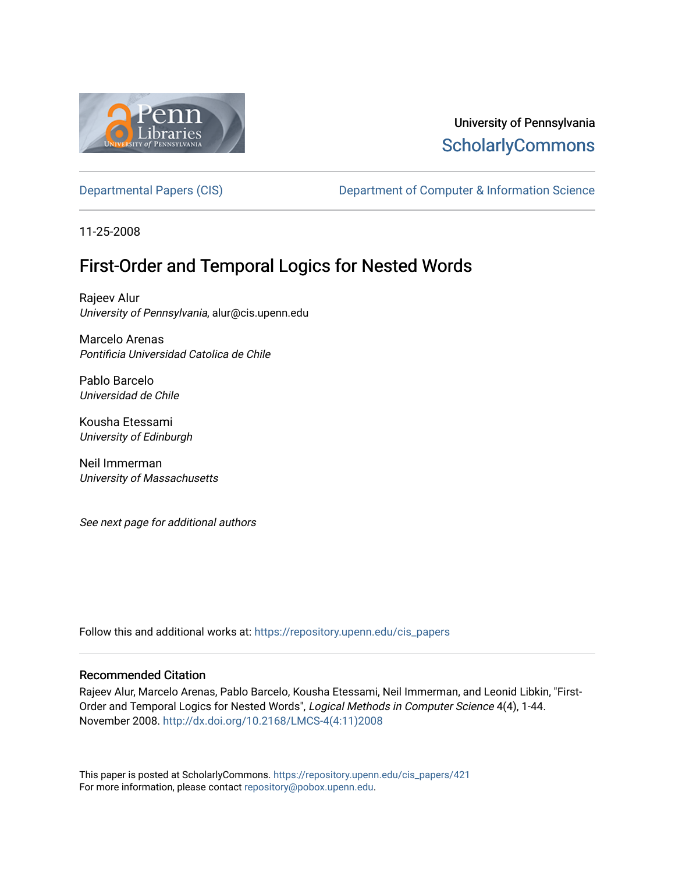

# University of Pennsylvania **ScholarlyCommons**

[Departmental Papers \(CIS\)](https://repository.upenn.edu/cis_papers) Department of Computer & Information Science

11-25-2008

# First-Order and Temporal Logics for Nested Words

Rajeev Alur University of Pennsylvania, alur@cis.upenn.edu

Marcelo Arenas Pontificia Universidad Catolica de Chile

Pablo Barcelo Universidad de Chile

Kousha Etessami University of Edinburgh

Neil Immerman University of Massachusetts

See next page for additional authors

Follow this and additional works at: [https://repository.upenn.edu/cis\\_papers](https://repository.upenn.edu/cis_papers?utm_source=repository.upenn.edu%2Fcis_papers%2F421&utm_medium=PDF&utm_campaign=PDFCoverPages)

### Recommended Citation

Rajeev Alur, Marcelo Arenas, Pablo Barcelo, Kousha Etessami, Neil Immerman, and Leonid Libkin, "First-Order and Temporal Logics for Nested Words", Logical Methods in Computer Science 4(4), 1-44. November 2008. [http://dx.doi.org/10.2168/LMCS-4\(4:11\)2008](http://dx.doi.org/10.2168/LMCS-4(4:11)2008) 

This paper is posted at ScholarlyCommons. [https://repository.upenn.edu/cis\\_papers/421](https://repository.upenn.edu/cis_papers/421)  For more information, please contact [repository@pobox.upenn.edu.](mailto:repository@pobox.upenn.edu)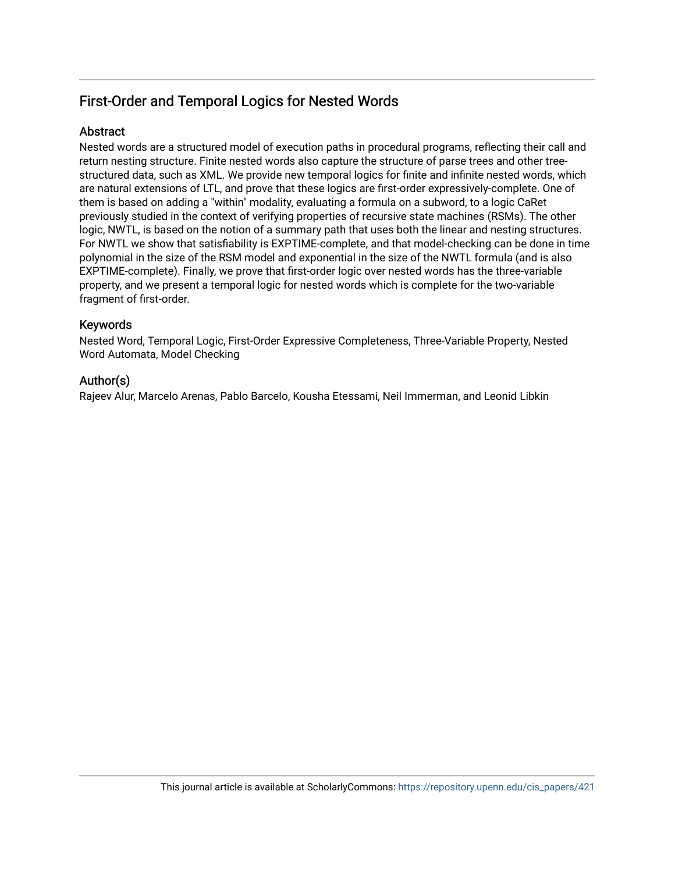## First-Order and Temporal Logics for Nested Words

### Abstract

Nested words are a structured model of execution paths in procedural programs, reflecting their call and return nesting structure. Finite nested words also capture the structure of parse trees and other treestructured data, such as XML. We provide new temporal logics for finite and infinite nested words, which are natural extensions of LTL, and prove that these logics are first-order expressively-complete. One of them is based on adding a "within" modality, evaluating a formula on a subword, to a logic CaRet previously studied in the context of verifying properties of recursive state machines (RSMs). The other logic, NWTL, is based on the notion of a summary path that uses both the linear and nesting structures. For NWTL we show that satisfiability is EXPTIME-complete, and that model-checking can be done in time polynomial in the size of the RSM model and exponential in the size of the NWTL formula (and is also EXPTIME-complete). Finally, we prove that first-order logic over nested words has the three-variable property, and we present a temporal logic for nested words which is complete for the two-variable fragment of first-order.

### Keywords

Nested Word, Temporal Logic, First-Order Expressive Completeness, Three-Variable Property, Nested Word Automata, Model Checking

### Author(s)

Rajeev Alur, Marcelo Arenas, Pablo Barcelo, Kousha Etessami, Neil Immerman, and Leonid Libkin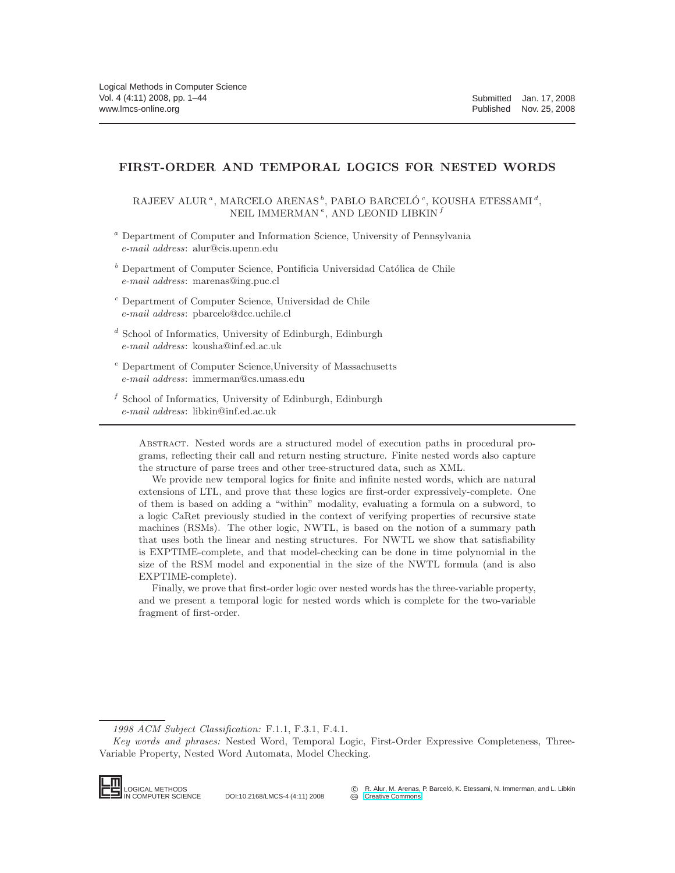### FIRST-ORDER AND TEMPORAL LOGICS FOR NESTED WORDS

RAJEEV ALUR<sup> $a$ </sup>, MARCELO ARENAS $^b,$  PABLO BARCELÓ $^c,$  KOUSHA ETESSAMI $^d,$ NEIL IMMERMAN $\,{}^e,$  AND LEONID LIBKIN $\,{}^f$ 

- $^a$  Department of Computer and Information Science, University of Pennsylvania *e-mail address*: alur@cis.upenn.edu
- $b$  Department of Computer Science, Pontificia Universidad Católica de Chile *e-mail address*: marenas@ing.puc.cl
- <sup>c</sup> Department of Computer Science, Universidad de Chile *e-mail address*: pbarcelo@dcc.uchile.cl
- $d$  School of Informatics, University of Edinburgh, Edinburgh *e-mail address*: kousha@inf.ed.ac.uk
- <sup>e</sup> Department of Computer Science,University of Massachusetts *e-mail address*: immerman@cs.umass.edu
- f School of Informatics, University of Edinburgh, Edinburgh *e-mail address*: libkin@inf.ed.ac.uk

Abstract. Nested words are a structured model of execution paths in procedural programs, reflecting their call and return nesting structure. Finite nested words also capture the structure of parse trees and other tree-structured data, such as XML.

We provide new temporal logics for finite and infinite nested words, which are natural extensions of LTL, and prove that these logics are first-order expressively-complete. One of them is based on adding a "within" modality, evaluating a formula on a subword, to a logic CaRet previously studied in the context of verifying properties of recursive state machines (RSMs). The other logic, NWTL, is based on the notion of a summary path that uses both the linear and nesting structures. For NWTL we show that satisfiability is EXPTIME-complete, and that model-checking can be done in time polynomial in the size of the RSM model and exponential in the size of the NWTL formula (and is also EXPTIME-complete).

Finally, we prove that first-order logic over nested words has the three-variable property, and we present a temporal logic for nested words which is complete for the two-variable fragment of first-order.

*Key words and phrases:* Nested Word, Temporal Logic, First-Order Expressive Completeness, Three-Variable Property, Nested Word Automata, Model Checking.



*<sup>1998</sup> ACM Subject Classification:* F.1.1, F.3.1, F.4.1.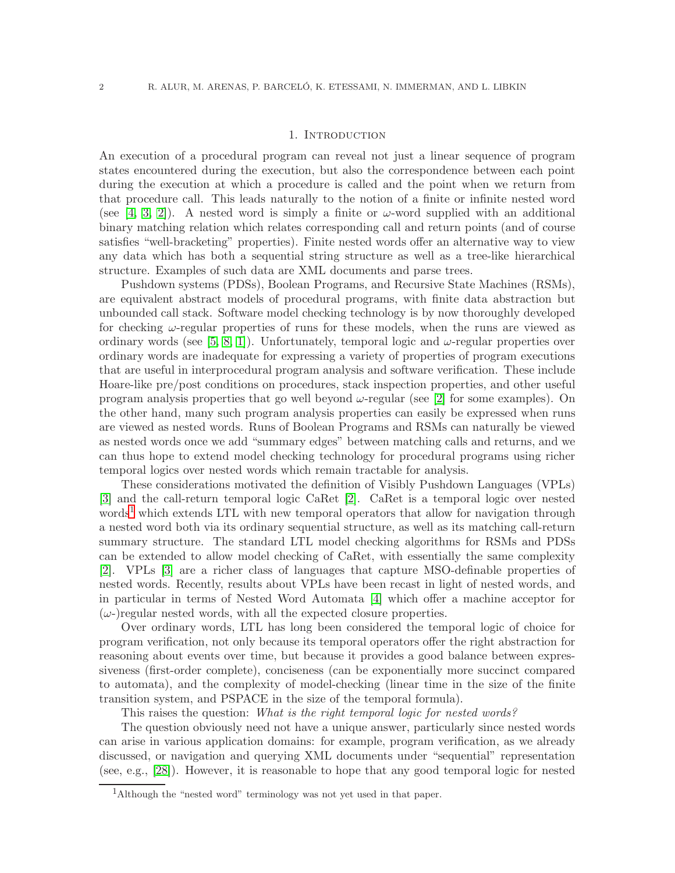#### 1. Introduction

An execution of a procedural program can reveal not just a linear sequence of program states encountered during the execution, but also the correspondence between each point during the execution at which a procedure is called and the point when we return from that procedure call. This leads naturally to the notion of a finite or infinite nested word (see [\[4,](#page-39-0) [3,](#page-39-1) [2\]](#page-39-2)). A nested word is simply a finite or  $\omega$ -word supplied with an additional binary matching relation which relates corresponding call and return points (and of course satisfies "well-bracketing" properties). Finite nested words offer an alternative way to view any data which has both a sequential string structure as well as a tree-like hierarchical structure. Examples of such data are XML documents and parse trees.

Pushdown systems (PDSs), Boolean Programs, and Recursive State Machines (RSMs), are equivalent abstract models of procedural programs, with finite data abstraction but unbounded call stack. Software model checking technology is by now thoroughly developed for checking  $\omega$ -regular properties of runs for these models, when the runs are viewed as ordinary words (see [\[5,](#page-39-3) [8,](#page-39-4) [1\]](#page-39-5)). Unfortunately, temporal logic and  $\omega$ -regular properties over ordinary words are inadequate for expressing a variety of properties of program executions that are useful in interprocedural program analysis and software verification. These include Hoare-like pre/post conditions on procedures, stack inspection properties, and other useful program analysis properties that go well beyond  $\omega$ -regular (see [\[2\]](#page-39-2) for some examples). On the other hand, many such program analysis properties can easily be expressed when runs are viewed as nested words. Runs of Boolean Programs and RSMs can naturally be viewed as nested words once we add "summary edges" between matching calls and returns, and we can thus hope to extend model checking technology for procedural programs using richer temporal logics over nested words which remain tractable for analysis.

These considerations motivated the definition of Visibly Pushdown Languages (VPLs) [\[3\]](#page-39-1) and the call-return temporal logic CaRet [\[2\]](#page-39-2). CaRet is a temporal logic over nested words<sup>[1](#page-3-0)</sup> which extends LTL with new temporal operators that allow for navigation through a nested word both via its ordinary sequential structure, as well as its matching call-return summary structure. The standard LTL model checking algorithms for RSMs and PDSs can be extended to allow model checking of CaRet, with essentially the same complexity [\[2\]](#page-39-2). VPLs [\[3\]](#page-39-1) are a richer class of languages that capture MSO-definable properties of nested words. Recently, results about VPLs have been recast in light of nested words, and in particular in terms of Nested Word Automata [\[4\]](#page-39-0) which offer a machine acceptor for  $(\omega)$  regular nested words, with all the expected closure properties.

Over ordinary words, LTL has long been considered the temporal logic of choice for program verification, not only because its temporal operators offer the right abstraction for reasoning about events over time, but because it provides a good balance between expressiveness (first-order complete), conciseness (can be exponentially more succinct compared to automata), and the complexity of model-checking (linear time in the size of the finite transition system, and PSPACE in the size of the temporal formula).

This raises the question: *What is the right temporal logic for nested words?*

The question obviously need not have a unique answer, particularly since nested words can arise in various application domains: for example, program verification, as we already discussed, or navigation and querying XML documents under "sequential" representation (see, e.g., [\[28\]](#page-39-6)). However, it is reasonable to hope that any good temporal logic for nested

<span id="page-3-0"></span><sup>&</sup>lt;sup>1</sup>Although the "nested word" terminology was not yet used in that paper.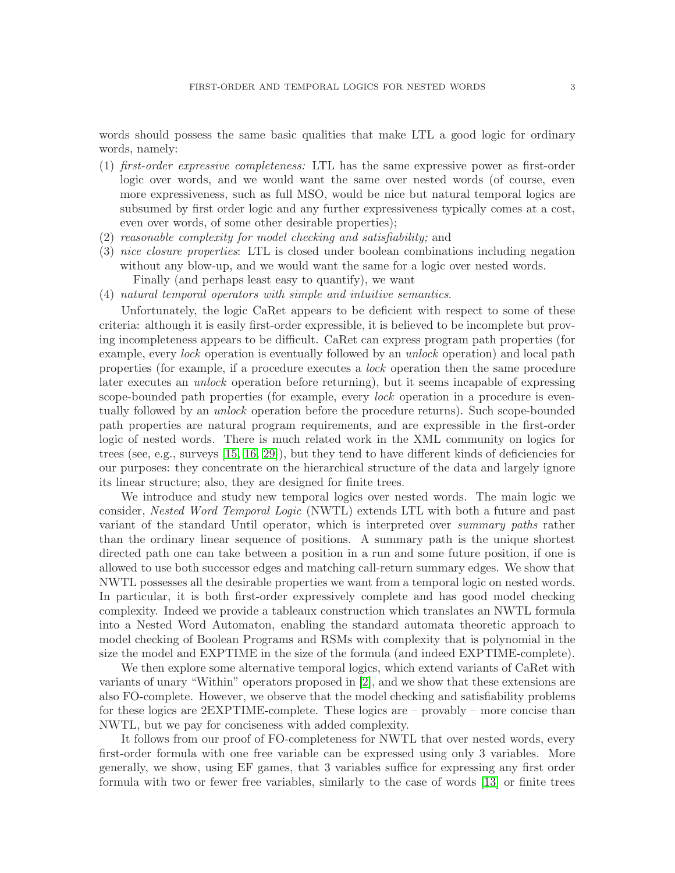words should possess the same basic qualities that make LTL a good logic for ordinary words, namely:

- (1) *first-order expressive completeness:* LTL has the same expressive power as first-order logic over words, and we would want the same over nested words (of course, even more expressiveness, such as full MSO, would be nice but natural temporal logics are subsumed by first order logic and any further expressiveness typically comes at a cost, even over words, of some other desirable properties);
- (2) *reasonable complexity for model checking and satisfiability;* and
- (3) *nice closure properties*: LTL is closed under boolean combinations including negation without any blow-up, and we would want the same for a logic over nested words. Finally (and perhaps least easy to quantify), we want
- (4) *natural temporal operators with simple and intuitive semantics*.

Unfortunately, the logic CaRet appears to be deficient with respect to some of these criteria: although it is easily first-order expressible, it is believed to be incomplete but proving incompleteness appears to be difficult. CaRet can express program path properties (for example, every *lock* operation is eventually followed by an *unlock* operation) and local path properties (for example, if a procedure executes a *lock* operation then the same procedure later executes an *unlock* operation before returning), but it seems incapable of expressing scope-bounded path properties (for example, every *lock* operation in a procedure is eventually followed by an *unlock* operation before the procedure returns). Such scope-bounded path properties are natural program requirements, and are expressible in the first-order logic of nested words. There is much related work in the XML community on logics for trees (see, e.g., surveys [\[15,](#page-39-7) [16,](#page-39-8) [29\]](#page-39-9)), but they tend to have different kinds of deficiencies for our purposes: they concentrate on the hierarchical structure of the data and largely ignore its linear structure; also, they are designed for finite trees.

We introduce and study new temporal logics over nested words. The main logic we consider, *Nested Word Temporal Logic* (NWTL) extends LTL with both a future and past variant of the standard Until operator, which is interpreted over *summary paths* rather than the ordinary linear sequence of positions. A summary path is the unique shortest directed path one can take between a position in a run and some future position, if one is allowed to use both successor edges and matching call-return summary edges. We show that NWTL possesses all the desirable properties we want from a temporal logic on nested words. In particular, it is both first-order expressively complete and has good model checking complexity. Indeed we provide a tableaux construction which translates an NWTL formula into a Nested Word Automaton, enabling the standard automata theoretic approach to model checking of Boolean Programs and RSMs with complexity that is polynomial in the size the model and EXPTIME in the size of the formula (and indeed EXPTIME-complete).

We then explore some alternative temporal logics, which extend variants of CaRet with variants of unary "Within" operators proposed in [\[2\]](#page-39-2), and we show that these extensions are also FO-complete. However, we observe that the model checking and satisfiability problems for these logics are 2EXPTIME-complete. These logics are – provably – more concise than NWTL, but we pay for conciseness with added complexity.

It follows from our proof of FO-completeness for NWTL that over nested words, every first-order formula with one free variable can be expressed using only 3 variables. More generally, we show, using EF games, that 3 variables suffice for expressing any first order formula with two or fewer free variables, similarly to the case of words [\[13\]](#page-39-10) or finite trees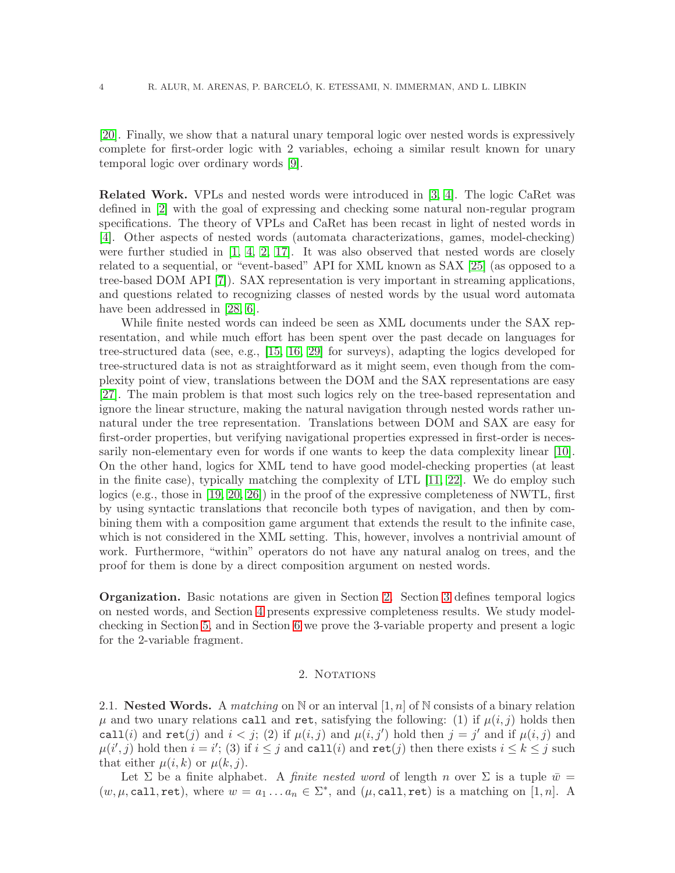[\[20\]](#page-39-11). Finally, we show that a natural unary temporal logic over nested words is expressively complete for first-order logic with 2 variables, echoing a similar result known for unary temporal logic over ordinary words [\[9\]](#page-39-12).

Related Work. VPLs and nested words were introduced in [\[3,](#page-39-1) [4\]](#page-39-0). The logic CaRet was defined in [\[2\]](#page-39-2) with the goal of expressing and checking some natural non-regular program specifications. The theory of VPLs and CaRet has been recast in light of nested words in [\[4\]](#page-39-0). Other aspects of nested words (automata characterizations, games, model-checking) were further studied in  $[1, 4, 2, 17]$  $[1, 4, 2, 17]$  $[1, 4, 2, 17]$  $[1, 4, 2, 17]$ . It was also observed that nested words are closely related to a sequential, or "event-based" API for XML known as SAX [\[25\]](#page-39-14) (as opposed to a tree-based DOM API [\[7\]](#page-39-15)). SAX representation is very important in streaming applications, and questions related to recognizing classes of nested words by the usual word automata have been addressed in [\[28,](#page-39-6) [6\]](#page-39-16).

While finite nested words can indeed be seen as XML documents under the SAX representation, and while much effort has been spent over the past decade on languages for tree-structured data (see, e.g., [\[15,](#page-39-7) [16,](#page-39-8) [29\]](#page-39-9) for surveys), adapting the logics developed for tree-structured data is not as straightforward as it might seem, even though from the complexity point of view, translations between the DOM and the SAX representations are easy [\[27\]](#page-39-17). The main problem is that most such logics rely on the tree-based representation and ignore the linear structure, making the natural navigation through nested words rather unnatural under the tree representation. Translations between DOM and SAX are easy for first-order properties, but verifying navigational properties expressed in first-order is necessarily non-elementary even for words if one wants to keep the data complexity linear [\[10\]](#page-39-18). On the other hand, logics for XML tend to have good model-checking properties (at least in the finite case), typically matching the complexity of LTL [\[11,](#page-39-19) [22\]](#page-39-20). We do employ such logics (e.g., those in [\[19,](#page-39-21) [20,](#page-39-11) [26\]](#page-39-22)) in the proof of the expressive completeness of NWTL, first by using syntactic translations that reconcile both types of navigation, and then by combining them with a composition game argument that extends the result to the infinite case, which is not considered in the XML setting. This, however, involves a nontrivial amount of work. Furthermore, "within" operators do not have any natural analog on trees, and the proof for them is done by a direct composition argument on nested words.

Organization. Basic notations are given in Section [2.](#page-5-0) Section [3](#page-7-0) defines temporal logics on nested words, and Section [4](#page-11-0) presents expressive completeness results. We study modelchecking in Section [5,](#page-27-0) and in Section [6](#page-32-0) we prove the 3-variable property and present a logic for the 2-variable fragment.

### 2. NOTATIONS

<span id="page-5-0"></span>2.1. **Nested Words.** A *matching* on  $\mathbb N$  or an interval  $[1, n]$  of  $\mathbb N$  consists of a binary relation  $\mu$  and two unary relations call and ret, satisfying the following: (1) if  $\mu(i,j)$  holds then call(i) and  $\text{ret}(j)$  and  $i < j$ ; (2) if  $\mu(i, j)$  and  $\mu(i, j')$  hold then  $j = j'$  and if  $\mu(i, j)$  and  $\mu(i',j)$  hold then  $i = i'$ ; (3) if  $i \leq j$  and call(i) and ret(j) then there exists  $i \leq k \leq j$  such that either  $\mu(i,k)$  or  $\mu(k,j)$ .

Let  $\Sigma$  be a finite alphabet. A *finite nested word* of length n over  $\Sigma$  is a tuple  $\bar{w} =$  $(w, \mu, \text{call}, \text{ret}),$  where  $w = a_1 \dots a_n \in \Sigma^*$ , and  $(\mu, \text{call}, \text{ret})$  is a matching on [1, n]. A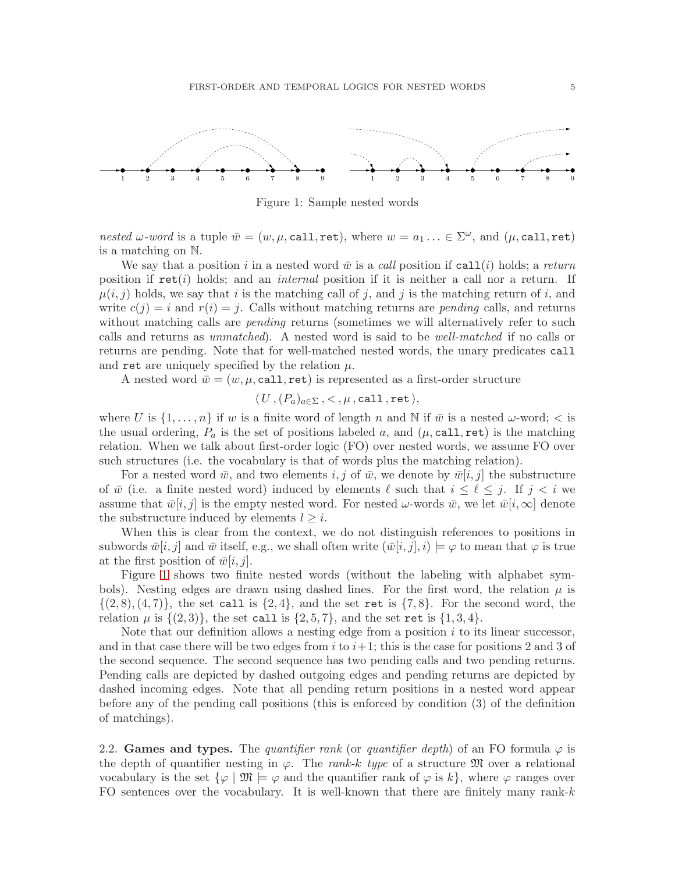

<span id="page-6-0"></span>Figure 1: Sample nested words

*nested*  $\omega$ -word is a tuple  $\bar{w} = (w, \mu, \text{call}, \text{ret})$ , where  $w = a_1 \dots \in \Sigma^\omega$ , and  $(\mu, \text{call}, \text{ret})$ is a matching on N.

We say that a position i in a nested word  $\bar{w}$  is a *call* position if call(i) holds; a *return* position if  $\text{ret}(i)$  holds; and an *internal* position if it is neither a call nor a return. If  $\mu(i,j)$  holds, we say that i is the matching call of j, and j is the matching return of i, and write  $c(j) = i$  and  $r(i) = j$ . Calls without matching returns are *pending* calls, and returns without matching calls are *pending* returns (sometimes we will alternatively refer to such calls and returns as *unmatched*). A nested word is said to be *well-matched* if no calls or returns are pending. Note that for well-matched nested words, the unary predicates call and ret are uniquely specified by the relation  $\mu$ .

A nested word  $\bar{w} = (w, \mu, \text{call}, \text{ret})$  is represented as a first-order structure

 $\langle U, (P_a)_{a \in \Sigma}$ ,  $\langle , \mu, \text{call, ret} \rangle$ ,

where U is  $\{1,\ldots,n\}$  if w is a finite word of length n and N if  $\bar{w}$  is a nested  $\omega$ -word;  $\langle$  is the usual ordering,  $P_a$  is the set of positions labeled a, and  $(\mu, \text{call}, \text{ret})$  is the matching relation. When we talk about first-order logic (FO) over nested words, we assume FO over such structures (i.e. the vocabulary is that of words plus the matching relation).

For a nested word  $\bar{w}$ , and two elements i, j of  $\bar{w}$ , we denote by  $\bar{w}[i,j]$  the substructure of  $\bar{w}$  (i.e. a finite nested word) induced by elements  $\ell$  such that  $i \leq \ell \leq j$ . If  $j < i$  we assume that  $\bar{w}[i,j]$  is the empty nested word. For nested  $\omega$ -words  $\bar{w}$ , we let  $\bar{w}[i,\infty]$  denote the substructure induced by elements  $l \geq i$ .

When this is clear from the context, we do not distinguish references to positions in subwords  $\bar{w}[i,j]$  and  $\bar{w}$  itself, e.g., we shall often write  $(\bar{w}[i,j],i) \models \varphi$  to mean that  $\varphi$  is true at the first position of  $\bar{w}|i,j|$ .

Figure [1](#page-6-0) shows two finite nested words (without the labeling with alphabet symbols). Nesting edges are drawn using dashed lines. For the first word, the relation  $\mu$  is  $\{(2, 8), (4, 7)\}\$ , the set call is  $\{2, 4\}\$ , and the set ret is  $\{7, 8\}\$ . For the second word, the relation  $\mu$  is  $\{(2,3)\}\)$ , the set call is  $\{2,5,7\}$ , and the set ret is  $\{1,3,4\}$ .

Note that our definition allows a nesting edge from a position  $i$  to its linear successor, and in that case there will be two edges from i to  $i+1$ ; this is the case for positions 2 and 3 of the second sequence. The second sequence has two pending calls and two pending returns. Pending calls are depicted by dashed outgoing edges and pending returns are depicted by dashed incoming edges. Note that all pending return positions in a nested word appear before any of the pending call positions (this is enforced by condition (3) of the definition of matchings).

2.2. Games and types. The *quantifier rank* (or *quantifier depth*) of an FO formula  $\varphi$  is the depth of quantifier nesting in  $\varphi$ . The *rank-k type* of a structure  $\mathfrak{M}$  over a relational vocabulary is the set  $\{\varphi \mid \mathfrak{M} \models \varphi \text{ and the quantifier rank of } \varphi \text{ is } k\},\$  where  $\varphi$  ranges over FO sentences over the vocabulary. It is well-known that there are finitely many rank-k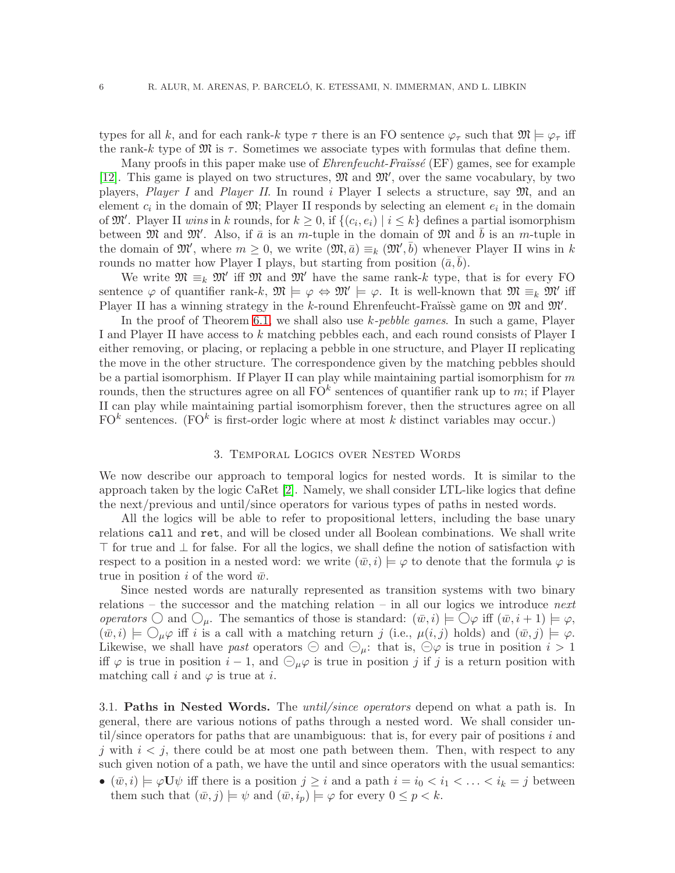types for all k, and for each rank-k type  $\tau$  there is an FO sentence  $\varphi_{\tau}$  such that  $\mathfrak{M} \models \varphi_{\tau}$  iff the rank-k type of  $\mathfrak{M}$  is  $\tau$ . Sometimes we associate types with formulas that define them.

Many proofs in this paper make use of *Ehrenfeucht-Fraüssé* (EF) games, see for example [\[12\]](#page-39-23). This game is played on two structures,  $\mathfrak{M}$  and  $\mathfrak{M}'$ , over the same vocabulary, by two players, *Player I* and *Player II*. In round i Player I selects a structure, say M, and an element  $c_i$  in the domain of  $\mathfrak{M}$ ; Player II responds by selecting an element  $e_i$  in the domain of  $\mathfrak{M}'$ . Player II *wins* in k rounds, for  $k \geq 0$ , if  $\{(c_i, e_i) \mid i \leq k\}$  defines a partial isomorphism between  $\mathfrak{M}$  and  $\mathfrak{M}'$ . Also, if  $\bar{a}$  is an m-tuple in the domain of  $\mathfrak{M}$  and  $\bar{b}$  is an m-tuple in the domain of  $\mathfrak{M}'$ , where  $m \geq 0$ , we write  $(\mathfrak{M}, \bar{a}) \equiv_k (\mathfrak{M}', \bar{b})$  whenever Player II wins in k rounds no matter how Player I plays, but starting from position  $(\bar{a}, \bar{b})$ .

We write  $\mathfrak{M} \equiv_k \mathfrak{M}'$  iff  $\mathfrak{M}$  and  $\mathfrak{M}'$  have the same rank-k type, that is for every FO sentence  $\varphi$  of quantifier rank-k,  $\mathfrak{M} \models \varphi \Leftrightarrow \mathfrak{M}' \models \varphi$ . It is well-known that  $\mathfrak{M} \equiv_k \mathfrak{M}'$  iff Player II has a winning strategy in the k-round Ehrenfeucht-Fraüssè game on  $\mathfrak{M}$  and  $\mathfrak{M}'$ .

In the proof of Theorem [6.1,](#page-33-0) we shall also use k*-pebble games*. In such a game, Player I and Player II have access to k matching pebbles each, and each round consists of Player I either removing, or placing, or replacing a pebble in one structure, and Player II replicating the move in the other structure. The correspondence given by the matching pebbles should be a partial isomorphism. If Player II can play while maintaining partial isomorphism for  $m$ rounds, then the structures agree on all  $\mathrm{FO}^k$  sentences of quantifier rank up to m; if Player II can play while maintaining partial isomorphism forever, then the structures agree on all  $FO<sup>k</sup>$  sentences. (FO<sup>k</sup> is first-order logic where at most k distinct variables may occur.)

#### 3. Temporal Logics over Nested Words

<span id="page-7-0"></span>We now describe our approach to temporal logics for nested words. It is similar to the approach taken by the logic CaRet [\[2\]](#page-39-2). Namely, we shall consider LTL-like logics that define the next/previous and until/since operators for various types of paths in nested words.

All the logics will be able to refer to propositional letters, including the base unary relations call and ret, and will be closed under all Boolean combinations. We shall write ⊤ for true and ⊥ for false. For all the logics, we shall define the notion of satisfaction with respect to a position in a nested word: we write  $(\bar{w},i) \models \varphi$  to denote that the formula  $\varphi$  is true in position i of the word  $\bar{w}$ .

Since nested words are naturally represented as transition systems with two binary relations – the successor and the matching relation – in all our logics we introduce *next operators*  $\bigcirc$  and  $\bigcirc_{\mu}$ . The semantics of those is standard:  $(\bar{w}, i) \models \bigcirc \varphi$  iff  $(\bar{w}, i + 1) \models \varphi$ ,  $(\bar{w},i) \models \bigcirc_{\mu} \varphi$  iff i is a call with a matching return j (i.e.,  $\mu(i,j)$  holds) and  $(\bar{w},j) \models \varphi$ . Likewise, we shall have *past* operators  $\ominus$  and  $\ominus_{\mu}$ : that is,  $\ominus \varphi$  is true in position  $i > 1$ iff  $\varphi$  is true in position  $i-1$ , and  $\bigoplus_{\mu} \varphi$  is true in position j if j is a return position with matching call i and  $\varphi$  is true at i.

3.1. Paths in Nested Words. The *until/since operators* depend on what a path is. In general, there are various notions of paths through a nested word. We shall consider until/since operators for paths that are unambiguous: that is, for every pair of positions  $i$  and j with  $i < j$ , there could be at most one path between them. Then, with respect to any such given notion of a path, we have the until and since operators with the usual semantics:

•  $(\bar{w},i) \models \varphi \mathbf{U} \psi$  iff there is a position  $j \geq i$  and a path  $i = i_0 < i_1 < \ldots < i_k = j$  between them such that  $(\bar{w},j) \models \psi$  and  $(\bar{w},i_p) \models \varphi$  for every  $0 \leq p < k$ .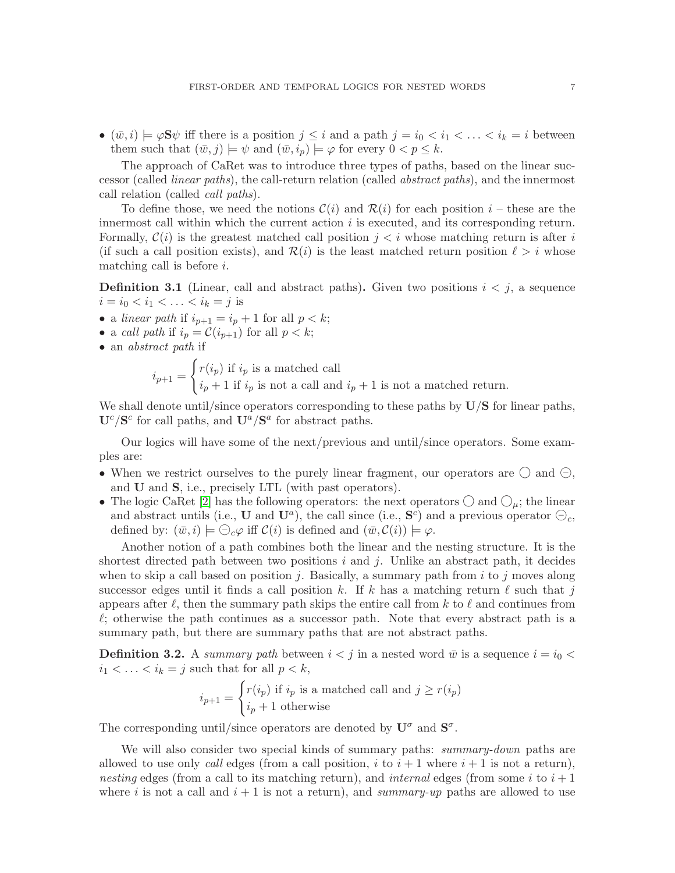•  $(\bar{w},i) \models \varphi S\psi$  iff there is a position  $j \leq i$  and a path  $j = i_0 < i_1 < \ldots < i_k = i$  between them such that  $(\bar{w},j) \models \psi$  and  $(\bar{w},i_p) \models \varphi$  for every  $0 < p \leq k$ .

The approach of CaRet was to introduce three types of paths, based on the linear successor (called *linear paths*), the call-return relation (called *abstract paths*), and the innermost call relation (called *call paths*).

To define those, we need the notions  $\mathcal{C}(i)$  and  $\mathcal{R}(i)$  for each position  $i$  – these are the innermost call within which the current action  $i$  is executed, and its corresponding return. Formally,  $\mathcal{C}(i)$  is the greatest matched call position  $j < i$  whose matching return is after i (if such a call position exists), and  $\mathcal{R}(i)$  is the least matched return position  $\ell > i$  whose matching call is before  $i$ .

**Definition 3.1** (Linear, call and abstract paths). Given two positions  $i < j$ , a sequence  $i = i_0 < i_1 < \ldots < i_k = j$  is

- a *linear path* if  $i_{p+1} = i_p + 1$  for all  $p < k$ ;
- a *call path* if  $i_p = \mathcal{C}(i_{p+1})$  for all  $p < k$ ;
- an *abstract path* if

$$
i_{p+1} = \begin{cases} r(i_p) \text{ if } i_p \text{ is a matched call} \\ i_p + 1 \text{ if } i_p \text{ is not a call and } i_p + 1 \text{ is not a matched return.} \end{cases}
$$

We shall denote until/since operators corresponding to these paths by  $\mathbf{U}/\mathbf{S}$  for linear paths,  $\mathbf{U}^c/\mathbf{S}^c$  for call paths, and  $\mathbf{U}^a/\mathbf{S}^a$  for abstract paths.

Our logics will have some of the next/previous and until/since operators. Some examples are:

- When we restrict ourselves to the purely linear fragment, our operators are  $\bigcirc$  and  $\ominus$ , and U and S, i.e., precisely LTL (with past operators).
- The logic CaRet [\[2\]](#page-39-2) has the following operators: the next operators  $\bigcirc$  and  $\bigcirc_{\mu}$ ; the linear and abstract untils (i.e., U and  $U^a$ ), the call since (i.e.,  $S^c$ ) and a previous operator  $\bigoplus_c$ , defined by:  $(\bar{w},i) \models \bigcirc_{c} \varphi$  iff  $\mathcal{C}(i)$  is defined and  $(\bar{w}, \mathcal{C}(i)) \models \varphi$ .

Another notion of a path combines both the linear and the nesting structure. It is the shortest directed path between two positions i and j. Unlike an abstract path, it decides when to skip a call based on position j. Basically, a summary path from  $i$  to j moves along successor edges until it finds a call position k. If k has a matching return  $\ell$  such that j appears after  $\ell$ , then the summary path skips the entire call from k to  $\ell$  and continues from  $\ell$ ; otherwise the path continues as a successor path. Note that every abstract path is a summary path, but there are summary paths that are not abstract paths.

**Definition 3.2.** A *summary path* between  $i < j$  in a nested word  $\bar{w}$  is a sequence  $i = i_0 < j$  $i_1 < \ldots < i_k = j$  such that for all  $p < k$ ,

$$
i_{p+1} = \begin{cases} r(i_p) \text{ if } i_p \text{ is a matched call and } j \ge r(i_p) \\ i_p + 1 \text{ otherwise} \end{cases}
$$

The corresponding until/since operators are denoted by  $U^{\sigma}$  and  $S^{\sigma}$ .

We will also consider two special kinds of summary paths: *summary-down* paths are allowed to use only *call* edges (from a call position,  $i$  to  $i + 1$  where  $i + 1$  is not a return), *nesting* edges (from a call to its matching return), and *internal* edges (from some i to  $i + 1$ where i is not a call and  $i + 1$  is not a return), and *summary-up* paths are allowed to use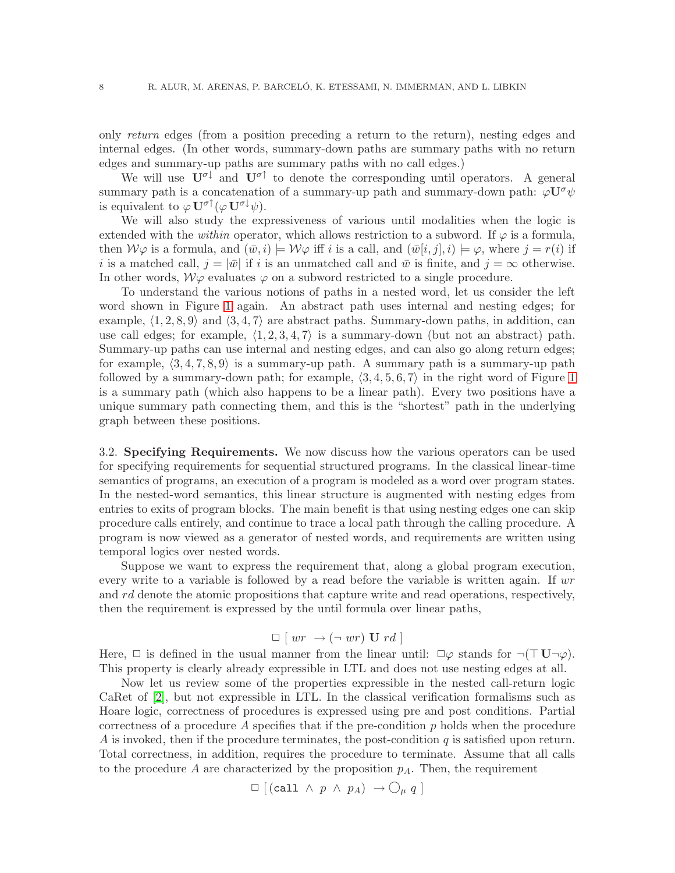only *return* edges (from a position preceding a return to the return), nesting edges and internal edges. (In other words, summary-down paths are summary paths with no return edges and summary-up paths are summary paths with no call edges.)

We will use  $U^{\sigma\downarrow}$  and  $U^{\sigma\uparrow}$  to denote the corresponding until operators. A general summary path is a concatenation of a summary-up path and summary-down path:  $\varphi \mathbf{U}^{\sigma} \psi$ is equivalent to  $\varphi \mathbf{U}^{\sigma \uparrow}(\varphi \mathbf{U}^{\sigma \downarrow} \psi)$ .

We will also study the expressiveness of various until modalities when the logic is extended with the *within* operator, which allows restriction to a subword. If  $\varphi$  is a formula, then  $W\varphi$  is a formula, and  $(\bar{w},i) \models W\varphi$  iff i is a call, and  $(\bar{w}[i,j],i) \models \varphi$ , where  $j = r(i)$  if i is a matched call,  $j = |\bar{w}|$  if i is an unmatched call and  $\bar{w}$  is finite, and  $j = \infty$  otherwise. In other words,  $W\varphi$  evaluates  $\varphi$  on a subword restricted to a single procedure.

To understand the various notions of paths in a nested word, let us consider the left word shown in Figure [1](#page-6-0) again. An abstract path uses internal and nesting edges; for example,  $\langle 1, 2, 8, 9 \rangle$  and  $\langle 3, 4, 7 \rangle$  are abstract paths. Summary-down paths, in addition, can use call edges; for example,  $\langle 1, 2, 3, 4, 7 \rangle$  is a summary-down (but not an abstract) path. Summary-up paths can use internal and nesting edges, and can also go along return edges; for example,  $\langle 3, 4, 7, 8, 9 \rangle$  is a summary-up path. A summary path is a summary-up path followed by a summary-down path; for example,  $\langle 3, 4, 5, 6, 7 \rangle$  in the right word of Figure [1](#page-6-0) is a summary path (which also happens to be a linear path). Every two positions have a unique summary path connecting them, and this is the "shortest" path in the underlying graph between these positions.

3.2. Specifying Requirements. We now discuss how the various operators can be used for specifying requirements for sequential structured programs. In the classical linear-time semantics of programs, an execution of a program is modeled as a word over program states. In the nested-word semantics, this linear structure is augmented with nesting edges from entries to exits of program blocks. The main benefit is that using nesting edges one can skip procedure calls entirely, and continue to trace a local path through the calling procedure. A program is now viewed as a generator of nested words, and requirements are written using temporal logics over nested words.

Suppose we want to express the requirement that, along a global program execution, every write to a variable is followed by a read before the variable is written again. If wr and rd denote the atomic propositions that capture write and read operations, respectively, then the requirement is expressed by the until formula over linear paths,

$$
\Box [ wr \rightarrow (\neg wr) \mathbf{U} rd ]
$$

Here,  $\Box$  is defined in the usual manner from the linear until:  $\Box \varphi$  stands for  $\neg (\top \mathbf{U} \neg \varphi)$ . This property is clearly already expressible in LTL and does not use nesting edges at all.

Now let us review some of the properties expressible in the nested call-return logic CaRet of [\[2\]](#page-39-2), but not expressible in LTL. In the classical verification formalisms such as Hoare logic, correctness of procedures is expressed using pre and post conditions. Partial correctness of a procedure  $\tilde{A}$  specifies that if the pre-condition  $p$  holds when the procedure A is invoked, then if the procedure terminates, the post-condition  $q$  is satisfied upon return. Total correctness, in addition, requires the procedure to terminate. Assume that all calls to the procedure A are characterized by the proposition  $p_A$ . Then, the requirement

$$
\Box \; [(\text{call} \; \wedge \; p \; \wedge \; p_A) \; \rightarrow \bigcirc_{\mu} q \; ]
$$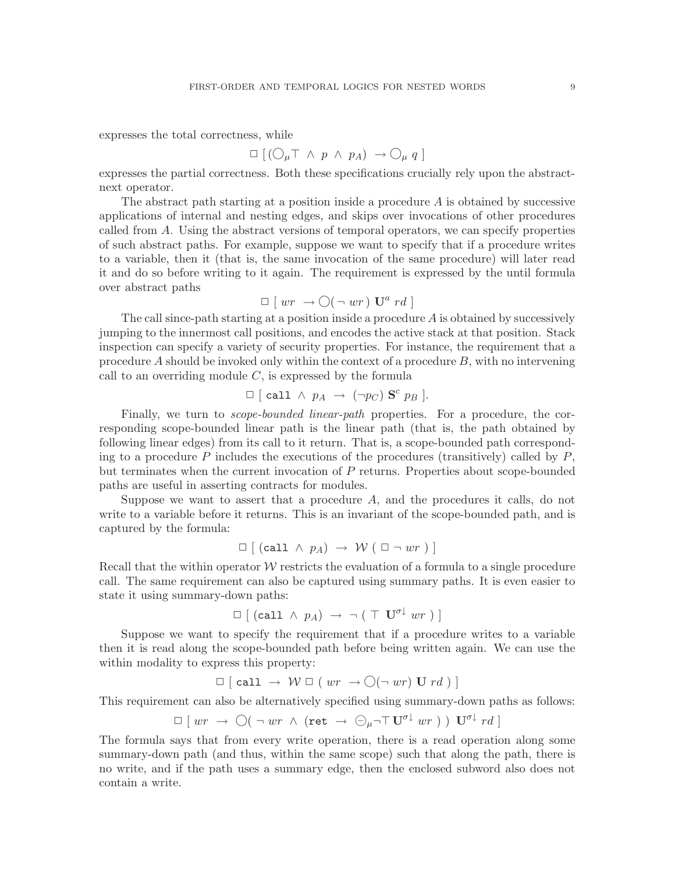expresses the total correctness, while

$$
\Box \left[ (\bigcirc_{\mu} \top \land p \land p_A) \rightarrow \bigcirc_{\mu} q \right]
$$

expresses the partial correctness. Both these specifications crucially rely upon the abstractnext operator.

The abstract path starting at a position inside a procedure  $\vec{A}$  is obtained by successive applications of internal and nesting edges, and skips over invocations of other procedures called from A. Using the abstract versions of temporal operators, we can specify properties of such abstract paths. For example, suppose we want to specify that if a procedure writes to a variable, then it (that is, the same invocation of the same procedure) will later read it and do so before writing to it again. The requirement is expressed by the until formula over abstract paths

$$
\Box [ wr \rightarrow \bigcirc (\neg wr) \mathbf{U}^a rd ]
$$

The call since-path starting at a position inside a procedure  $A$  is obtained by successively jumping to the innermost call positions, and encodes the active stack at that position. Stack inspection can specify a variety of security properties. For instance, the requirement that a procedure A should be invoked only within the context of a procedure  $B$ , with no intervening call to an overriding module  $C$ , is expressed by the formula

$$
\Box \ [\ \text{call} \ \land \ p_A \ \rightarrow \ (\neg p_C) \ \mathbf{S}^c \ p_B \ ].
$$

Finally, we turn to *scope-bounded linear-path* properties. For a procedure, the corresponding scope-bounded linear path is the linear path (that is, the path obtained by following linear edges) from its call to it return. That is, a scope-bounded path corresponding to a procedure P includes the executions of the procedures (transitively) called by  $P$ , but terminates when the current invocation of P returns. Properties about scope-bounded paths are useful in asserting contracts for modules.

Suppose we want to assert that a procedure A, and the procedures it calls, do not write to a variable before it returns. This is an invariant of the scope-bounded path, and is captured by the formula:

$$
\Box [(\text{call} \land p_A) \rightarrow \mathcal{W} (\Box \neg wr)]
$$

Recall that the within operator  $W$  restricts the evaluation of a formula to a single procedure call. The same requirement can also be captured using summary paths. It is even easier to state it using summary-down paths:

$$
\Box [(\text{call } \land p_A) \rightarrow \neg (\top \mathbf{U}^{\sigma \downarrow} \text{ wr})]
$$

Suppose we want to specify the requirement that if a procedure writes to a variable then it is read along the scope-bounded path before being written again. We can use the within modality to express this property:

$$
\Box [\text{call } \rightarrow \mathcal{W} \Box (wr \rightarrow \bigcirc (\neg wr) \text{U } rd)]
$$

This requirement can also be alternatively specified using summary-down paths as follows:

$$
\Box \; [ \; wr \; \rightarrow \; \bigcirc (\; \neg \; wr \; \wedge \; (\texttt{ret} \; \rightarrow \; \ominus_{\mu} \neg \top \; \mathbf{U}^{\sigma \downarrow} \; wr \; ) \; ) \; \; \mathbf{U}^{\sigma \downarrow} \; rd \; ]
$$

The formula says that from every write operation, there is a read operation along some summary-down path (and thus, within the same scope) such that along the path, there is no write, and if the path uses a summary edge, then the enclosed subword also does not contain a write.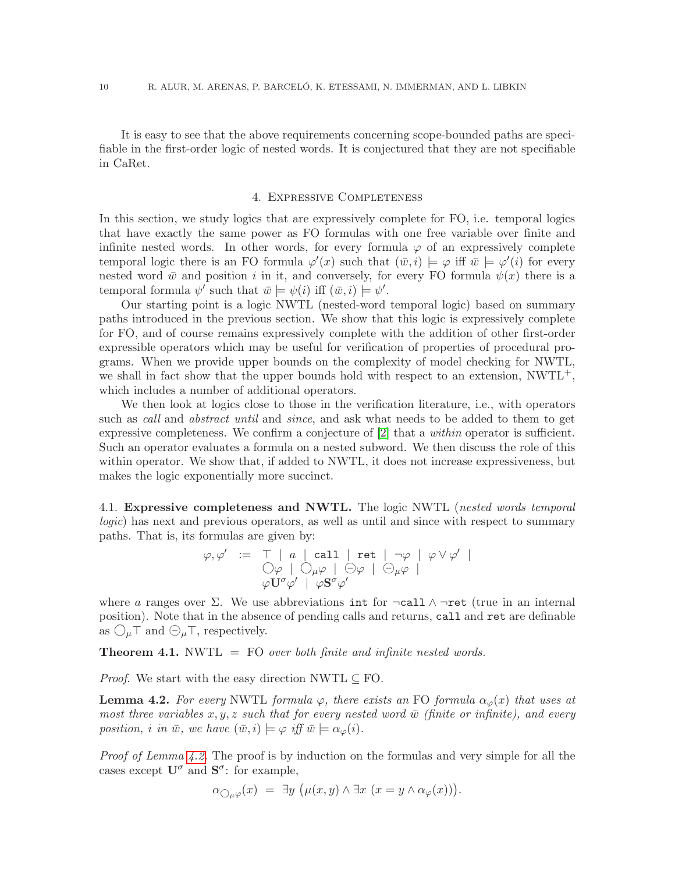It is easy to see that the above requirements concerning scope-bounded paths are specifiable in the first-order logic of nested words. It is conjectured that they are not specifiable in CaRet.

#### 4. Expressive Completeness

<span id="page-11-0"></span>In this section, we study logics that are expressively complete for FO, i.e. temporal logics that have exactly the same power as FO formulas with one free variable over finite and infinite nested words. In other words, for every formula  $\varphi$  of an expressively complete temporal logic there is an FO formula  $\varphi'(x)$  such that  $(\bar{w}, i) \models \varphi$  iff  $\bar{w} \models \varphi'(i)$  for every nested word  $\bar{w}$  and position i in it, and conversely, for every FO formula  $\psi(x)$  there is a temporal formula  $\psi'$  such that  $\bar{w} \models \psi(i)$  iff  $(\bar{w}, i) \models \psi'.$ 

Our starting point is a logic NWTL (nested-word temporal logic) based on summary paths introduced in the previous section. We show that this logic is expressively complete for FO, and of course remains expressively complete with the addition of other first-order expressible operators which may be useful for verification of properties of procedural programs. When we provide upper bounds on the complexity of model checking for NWTL, we shall in fact show that the upper bounds hold with respect to an extension, NWTL<sup>+</sup>, which includes a number of additional operators.

We then look at logics close to those in the verification literature, i.e., with operators such as *call* and *abstract until* and *since*, and ask what needs to be added to them to get expressive completeness. We confirm a conjecture of [\[2\]](#page-39-2) that a *within* operator is sufficient. Such an operator evaluates a formula on a nested subword. We then discuss the role of this within operator. We show that, if added to NWTL, it does not increase expressiveness, but makes the logic exponentially more succinct.

4.1. Expressive completeness and NWTL. The logic NWTL (*nested words temporal logic*) has next and previous operators, as well as until and since with respect to summary paths. That is, its formulas are given by:

$$
\varphi, \varphi' \ := \top \ | \ a \ | \ \mathtt{call} \ | \ \mathtt{ret} \ | \ \neg \varphi \ | \ \varphi \vee \varphi' \ |
$$
  

$$
\bigcirc \varphi \ | \ \bigcirc \mu \varphi \ | \ \ominus \varphi \ | \ \ominus \mu \varphi \ |
$$
  

$$
\varphi \mathbf{U}^{\sigma} \varphi' \ | \ \varphi \mathbf{S}^{\sigma} \varphi'
$$

where a ranges over  $\Sigma$ . We use abbreviations int for  $\neg$ call  $\wedge \neg$ ret (true in an internal position). Note that in the absence of pending calls and returns, call and ret are definable as  $\bigcirc_{\mu} \top$  and  $\bigcirc_{\mu} \top$ , respectively.

<span id="page-11-2"></span>Theorem 4.1. NWTL = FO *over both finite and infinite nested words.*

<span id="page-11-1"></span>*Proof.* We start with the easy direction NWTL  $\subseteq$  FO.

**Lemma 4.2.** For every NWTL formula  $\varphi$ , there exists an FO formula  $\alpha_{\varphi}(x)$  that uses at *most three variables*  $x, y, z$  *such that for every nested word*  $\bar{w}$  *(finite or infinite), and every position, i in*  $\bar{w}$ *, we have*  $(\bar{w}, i) \models \varphi$  *iff*  $\bar{w} \models \alpha_{\varphi}(i)$ *.* 

*Proof of Lemma [4.2.](#page-11-1)* The proof is by induction on the formulas and very simple for all the cases except  $\mathbf{U}^{\sigma}$  and  $\mathbf{S}^{\sigma}$ : for example,

$$
\alpha_{\bigcirc_{\mu}\varphi}(x) = \exists y \, \big(\mu(x,y) \land \exists x \, (x=y \land \alpha_{\varphi}(x))\big).
$$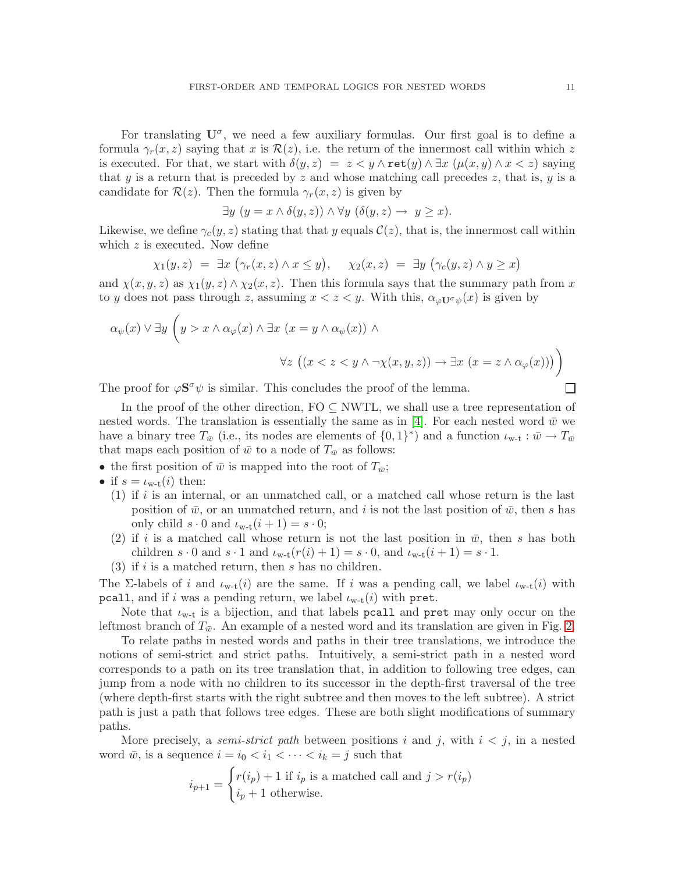For translating  $U^{\sigma}$ , we need a few auxiliary formulas. Our first goal is to define a formula  $\gamma_r(x, z)$  saying that x is  $\mathcal{R}(z)$ , i.e. the return of the innermost call within which z is executed. For that, we start with  $\delta(y, z) = z \langle y \wedge \text{ret}(y) \wedge \exists x \ (\mu(x, y) \wedge x \langle z)$  saying that y is a return that is preceded by z and whose matching call precedes z, that is, y is a candidate for  $\mathcal{R}(z)$ . Then the formula  $\gamma_r(x,z)$  is given by

$$
\exists y \ (y = x \land \delta(y, z)) \land \forall y \ (\delta(y, z) \to y \geq x).
$$

Likewise, we define  $\gamma_c(y, z)$  stating that that y equals  $\mathcal{C}(z)$ , that is, the innermost call within which  $z$  is executed. Now define

$$
\chi_1(y,z) = \exists x \ (\gamma_r(x,z) \land x \leq y), \quad \chi_2(x,z) = \exists y \ (\gamma_c(y,z) \land y \geq x)
$$

and  $\chi(x,y,z)$  as  $\chi_1(y,z) \wedge \chi_2(x,z)$ . Then this formula says that the summary path from x to y does not pass through z, assuming  $x < z < y$ . With this,  $\alpha_{\varphi U^{\sigma}\psi}(x)$  is given by

$$
\alpha_{\psi}(x) \lor \exists y \left( y > x \land \alpha_{\varphi}(x) \land \exists x \ (x = y \land \alpha_{\psi}(x)) \land \right.
$$
  

$$
\forall z \ ((x < z < y \land \neg \chi(x, y, z)) \rightarrow \exists x \ (x = z \land \alpha_{\varphi}(x)))
$$

The proof for  $\varphi S^{\sigma}\psi$  is similar. This concludes the proof of the lemma.

In the proof of the other direction,  $FO \subseteq NWTL$ , we shall use a tree representation of nested words. The translation is essentially the same as in [\[4\]](#page-39-0). For each nested word  $\bar{w}$  we have a binary tree  $T_{\bar{w}}$  (i.e., its nodes are elements of  $\{0,1\}^*$ ) and a function  $\iota_{w-t} : \bar{w} \to T_{\bar{w}}$ that maps each position of  $\bar{w}$  to a node of  $T_{\bar{w}}$  as follows:

- the first position of  $\bar{w}$  is mapped into the root of  $T_{\bar{w}}$ ;
- if  $s = \iota_{w-t}(i)$  then:
	- $(1)$  if i is an internal, or an unmatched call, or a matched call whose return is the last position of  $\bar{w}$ , or an unmatched return, and i is not the last position of  $\bar{w}$ , then s has only child  $s \cdot 0$  and  $\iota_{w-t}(i+1) = s \cdot 0;$
	- (2) if i is a matched call whose return is not the last position in  $\bar{w}$ , then s has both children  $s \cdot 0$  and  $s \cdot 1$  and  $\iota_{w-t}(r(i) + 1) = s \cdot 0$ , and  $\iota_{w-t}(i + 1) = s \cdot 1$ .
	- (3) if i is a matched return, then s has no children.

The Σ-labels of i and  $\iota_{w-t}(i)$  are the same. If i was a pending call, we label  $\iota_{w-t}(i)$  with pcall, and if i was a pending return, we label  $\iota_{w-t}(i)$  with pret.

Note that  $\iota_{w-t}$  is a bijection, and that labels pcall and pret may only occur on the leftmost branch of  $T_{\bar{w}}$ . An example of a nested word and its translation are given in Fig. [2.](#page-13-0)

To relate paths in nested words and paths in their tree translations, we introduce the notions of semi-strict and strict paths. Intuitively, a semi-strict path in a nested word corresponds to a path on its tree translation that, in addition to following tree edges, can jump from a node with no children to its successor in the depth-first traversal of the tree (where depth-first starts with the right subtree and then moves to the left subtree). A strict path is just a path that follows tree edges. These are both slight modifications of summary paths.

More precisely, a *semi-strict path* between positions i and j, with  $i < j$ , in a nested word  $\bar{w}$ , is a sequence  $i = i_0 < i_1 < \cdots < i_k = j$  such that

$$
i_{p+1} = \begin{cases} r(i_p) + 1 \text{ if } i_p \text{ is a matched call and } j > r(i_p) \\ i_p + 1 \text{ otherwise.} \end{cases}
$$

 $\Box$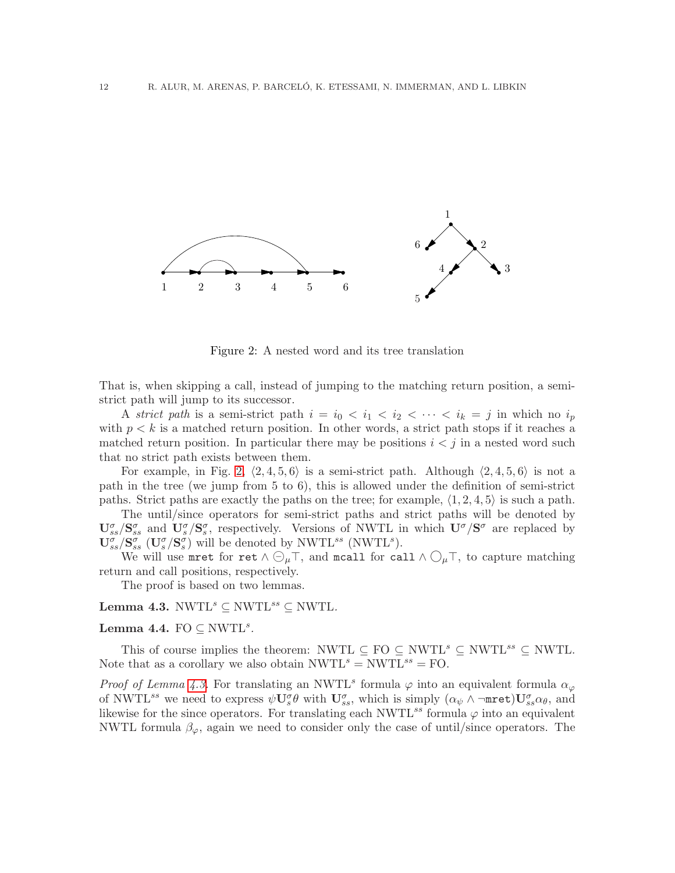

<span id="page-13-0"></span>Figure 2: A nested word and its tree translation

That is, when skipping a call, instead of jumping to the matching return position, a semistrict path will jump to its successor.

A *strict path* is a semi-strict path  $i = i_0 < i_1 < i_2 < \cdots < i_k = j$  in which no  $i_p$ with  $p < k$  is a matched return position. In other words, a strict path stops if it reaches a matched return position. In particular there may be positions  $i < j$  in a nested word such that no strict path exists between them.

For example, in Fig. [2,](#page-13-0)  $\langle 2, 4, 5, 6 \rangle$  is a semi-strict path. Although  $\langle 2, 4, 5, 6 \rangle$  is not a path in the tree (we jump from 5 to 6), this is allowed under the definition of semi-strict paths. Strict paths are exactly the paths on the tree; for example,  $\langle 1, 2, 4, 5 \rangle$  is such a path.

The until/since operators for semi-strict paths and strict paths will be denoted by  $\mathbf{U}_{ss}^{\sigma}/\mathbf{S}_{ss}^{\sigma}$  and  $\mathbf{U}_{s}^{\sigma}/\mathbf{S}_{s}^{\sigma}$ , respectively. Versions of NWTL in which  $\mathbf{U}^{\sigma}/\mathbf{S}^{\sigma}$  are replaced by  $\mathbf{U}_{ss}^{\sigma}/\mathbf{S}_{ss}^{\sigma}$  ( $\mathbf{U}_{s}^{\sigma}/\mathbf{S}_{s}^{\sigma}$ ) will be denoted by NWTL<sup>ss</sup> (NWTL<sup>s</sup>).

We will use mret for ret  $\wedge \bigcirc_{\mu} \top$ , and mcall for call  $\wedge \bigcirc_{\mu} \top$ , to capture matching return and call positions, respectively.

The proof is based on two lemmas.

<span id="page-13-2"></span><span id="page-13-1"></span>Lemma 4.3.  $\text{NWTL}^s \subset \text{NWTL}^{ss} \subset \text{NWTL}$ .

### Lemma 4.4.  $FO \subseteq NWTL^s$ .

This of course implies the theorem: NWTL  $\subseteq$  FO  $\subseteq$  NWTL<sup>s</sup>  $\subseteq$  NWTL<sup>ss</sup>  $\subseteq$  NWTL. Note that as a corollary we also obtain  $NWTL<sup>s</sup> = NWTL<sup>ss</sup> = FO$ .

*Proof of Lemma [4.3.](#page-13-1)* For translating an NWTL<sup>s</sup> formula  $\varphi$  into an equivalent formula  $\alpha_{\varphi}$ of NWTL<sup>ss</sup> we need to express  $\psi \mathbf{U}^{\sigma}_{s} \theta$  with  $\mathbf{U}^{\sigma}_{ss}$ , which is simply  $(\alpha_{\psi} \wedge \neg \texttt{mret}) \mathbf{U}^{\sigma}_{ss} \alpha_{\theta}$ , and likewise for the since operators. For translating each  $\text{NWTL}^{ss}$  formula  $\varphi$  into an equivalent NWTL formula  $\beta_{\varphi}$ , again we need to consider only the case of until/since operators. The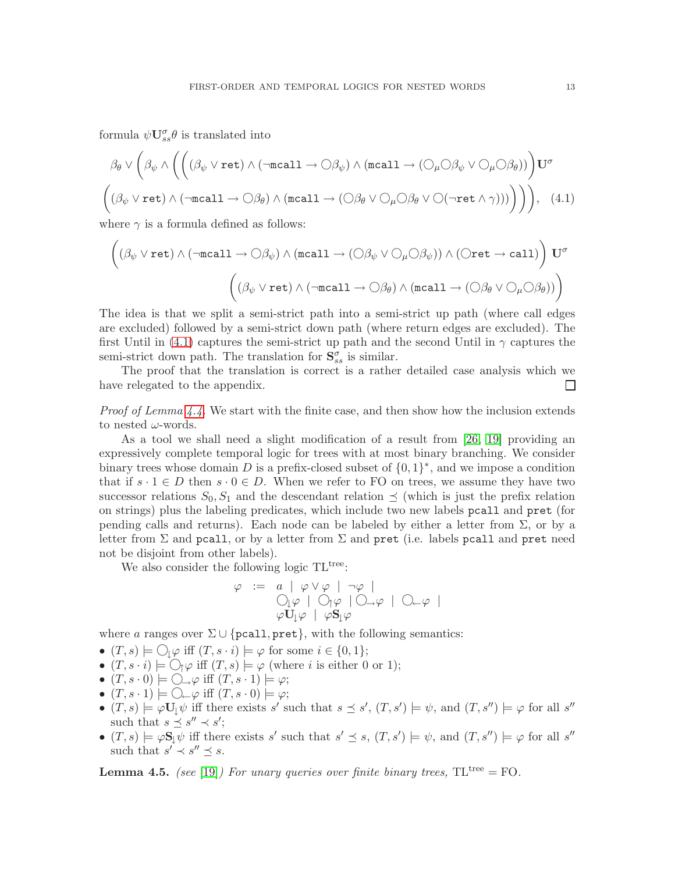formula  $\psi \mathbf{U}_{ss}^{\sigma} \theta$  is translated into

$$
\beta_{\theta} \vee \left( \beta_{\psi} \wedge \left( \left( (\beta_{\psi} \vee \text{ret}) \wedge (\neg \text{recall} \rightarrow \bigcirc \beta_{\psi}) \wedge (\text{recall} \rightarrow (\bigcirc_{\mu} \bigcirc \beta_{\psi} \vee \bigcirc_{\mu} \bigcirc \beta_{\theta}) \right) \right) U^{\sigma} \right)
$$

$$
\left( (\beta_{\psi} \vee \text{ret}) \wedge (\neg \text{recall} \rightarrow \bigcirc \beta_{\theta}) \wedge (\text{recall} \rightarrow (\bigcirc \beta_{\theta} \vee \bigcirc_{\mu} \bigcirc \beta_{\theta} \vee \bigcirc (\neg \text{ret} \wedge \gamma)) \big) \right) \right), \quad (4.1)
$$

where  $\gamma$  is a formula defined as follows:

<span id="page-14-0"></span>
$$
\left((\beta_{\psi}\lor \texttt{ret})\land (\neg \texttt{mcall}\to \bigcirc \beta_{\psi})\land (\texttt{mcall}\to (\bigcirc \beta_{\psi}\lor \bigcirc_{\mu}\bigcirc \beta_{\psi}))\land (\bigcirc \texttt{ret}\to \texttt{call})\right)\mathbf{U}^{\sigma}\\ \left((\beta_{\psi}\lor \texttt{ret})\land (\neg \texttt{mcall}\to \bigcirc \beta_{\theta})\land (\texttt{mcall}\to (\bigcirc \beta_{\theta}\lor \bigcirc_{\mu}\bigcirc \beta_{\theta}))\right)
$$

The idea is that we split a semi-strict path into a semi-strict up path (where call edges are excluded) followed by a semi-strict down path (where return edges are excluded). The first Until in [\(4.1\)](#page-14-0) captures the semi-strict up path and the second Until in  $\gamma$  captures the semi-strict down path. The translation for  $S_{ss}^{\sigma}$  is similar.

The proof that the translation is correct is a rather detailed case analysis which we have relegated to the appendix. ப

*Proof of Lemma [4.4.](#page-13-2)* We start with the finite case, and then show how the inclusion extends to nested  $\omega$ -words.

As a tool we shall need a slight modification of a result from [\[26,](#page-39-22) [19\]](#page-39-21) providing an expressively complete temporal logic for trees with at most binary branching. We consider binary trees whose domain D is a prefix-closed subset of  $\{0,1\}^*$ , and we impose a condition that if  $s \cdot 1 \in D$  then  $s \cdot 0 \in D$ . When we refer to FO on trees, we assume they have two successor relations  $S_0, S_1$  and the descendant relation  $\preceq$  (which is just the prefix relation on strings) plus the labeling predicates, which include two new labels pcall and pret (for pending calls and returns). Each node can be labeled by either a letter from Σ, or by a letter from  $\Sigma$  and pcall, or by a letter from  $\Sigma$  and pret (i.e. labels pcall and pret need not be disjoint from other labels).

We also consider the following logic TL<sup>tree</sup>:

$$
\varphi := a | \varphi \lor \varphi | \neg \varphi |
$$
  
\n
$$
\bigcirc_{\psi} \varphi | \bigcirc_{\uparrow} \varphi | \bigcirc_{\neg} \varphi |
$$
  
\n
$$
\varphi \mathbf{U}_{\downarrow} \varphi | \varphi \mathbf{S}_{\downarrow} \varphi
$$

where a ranges over  $\Sigma \cup \{ \text{pcall}, \text{pret} \}$ , with the following semantics:

- $(T, s) \models \bigcirc_{\downarrow} \varphi$  iff  $(T, s \cdot i) \models \varphi$  for some  $i \in \{0, 1\};$
- $(T, s \cdot i) \models \bigcirc_{\uparrow} \varphi$  iff  $(T, s) \models \varphi$  (where i is either 0 or 1);
- $(T, s \cdot 0) \models \bigcirc \rightarrow \varphi$  iff  $(T, s \cdot 1) \models \varphi$ ;
- $(T, s \cdot 1) \models \bigcirc \rightleftharpoons \varphi$  iff  $(T, s \cdot 0) \models \varphi$ ;
- $(T, s) \models \varphi \mathbf{U}_{\downarrow} \psi$  iff there exists s' such that  $s \preceq s'$ ,  $(T, s') \models \psi$ , and  $(T, s'') \models \varphi$  for all s'' such that  $s \preceq s'' \prec s';$
- $(T, s) \models \varphi \mathbf{S} \downarrow \psi$  iff there exists s' such that  $s' \preceq s$ ,  $(T, s') \models \psi$ , and  $(T, s'') \models \varphi$  for all s'' such that  $s' \prec s'' \preceq s$ .

<span id="page-14-1"></span>**Lemma 4.5.** *(see* [\[19\]](#page-39-21)*) For unary queries over finite binary trees,*  $TL^{tree} = FO$ .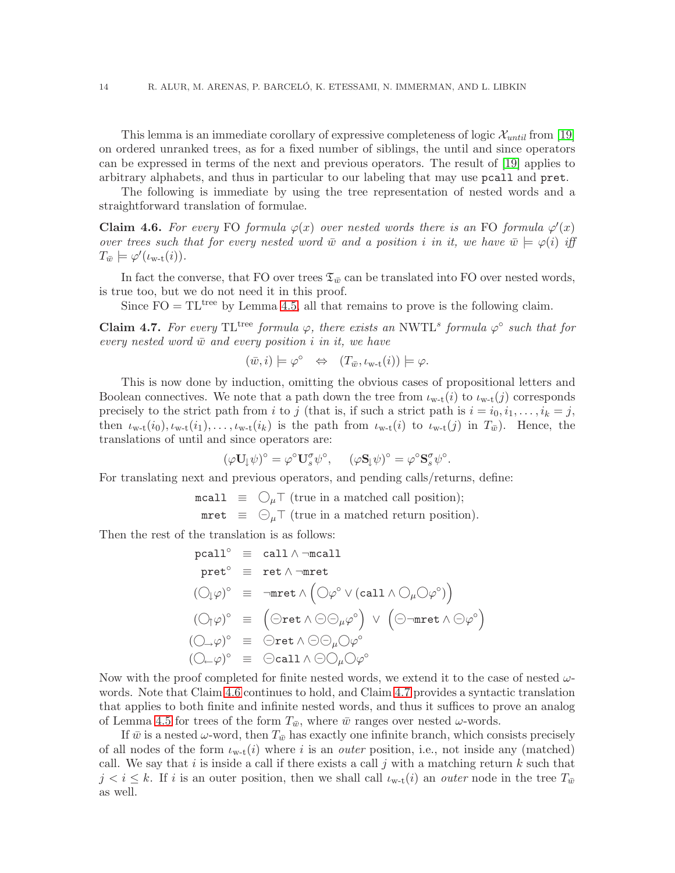This lemma is an immediate corollary of expressive completeness of logic  $\mathcal{X}_{until}$  from [\[19\]](#page-39-21) on ordered unranked trees, as for a fixed number of siblings, the until and since operators can be expressed in terms of the next and previous operators. The result of [\[19\]](#page-39-21) applies to arbitrary alphabets, and thus in particular to our labeling that may use pcall and pret.

<span id="page-15-0"></span>The following is immediate by using the tree representation of nested words and a straightforward translation of formulae.

Claim 4.6. For every FO formula  $\varphi(x)$  over nested words there is an FO formula  $\varphi'(x)$ *over trees such that for every nested word*  $\bar{w}$  *and a position i in it, we have*  $\bar{w} \models \varphi(i)$  *iff*  $T_{\bar{w}} \models \varphi'(\iota_{w-t}(i)).$ 

In fact the converse, that FO over trees  $\mathfrak{T}_{\bar{w}}$  can be translated into FO over nested words, is true too, but we do not need it in this proof.

<span id="page-15-1"></span>Since  $FO = TL<sup>tree</sup>$  by Lemma [4.5,](#page-14-1) all that remains to prove is the following claim.

**Claim 4.7.** For every  $TL^{tree}$  formula  $\varphi$ , there exists an NWTL<sup>s</sup> formula  $\varphi^{\circ}$  such that for  $every$  nested word  $\bar{w}$  and every position *i* in *it*, we have

$$
(\bar{w}, i) \models \varphi^{\circ} \Leftrightarrow (T_{\bar{w}}, \iota_{w-t}(i)) \models \varphi.
$$

This is now done by induction, omitting the obvious cases of propositional letters and Boolean connectives. We note that a path down the tree from  $\iota_{w-t}(i)$  to  $\iota_{w-t}(j)$  corresponds precisely to the strict path from i to j (that is, if such a strict path is  $i = i_0, i_1, \ldots, i_k = j$ , then  $\iota_{w-t}(i_0), \iota_{w-t}(i_1), \ldots, \iota_{w-t}(i_k)$  is the path from  $\iota_{w-t}(i)$  to  $\iota_{w-t}(j)$  in  $T_{\bar{w}}$ ). Hence, the translations of until and since operators are:

$$
(\varphi \mathbf{U}_{\downarrow} \psi)^{\circ} = \varphi^{\circ} \mathbf{U}_{s}^{\sigma} \psi^{\circ}, \quad (\varphi \mathbf{S}_{\downarrow} \psi)^{\circ} = \varphi^{\circ} \mathbf{S}_{s}^{\sigma} \psi^{\circ}.
$$

For translating next and previous operators, and pending calls/returns, define:

$$
\begin{array}{rcl}\n\texttt{mcall} & \equiv & \bigcirc_{\mu} \top \text{ (true in a matched call position)}; \\
\texttt{mret} & \equiv & \bigcirc_{\mu} \top \text{ (true in a matched return position)}.\n\end{array}
$$

Then the rest of the translation is as follows:

$$
\begin{array}{rcl}\texttt{pcall}^{\circ} & \equiv & \texttt{call} \land \neg \texttt{mcall} \\
 \texttt{pret}^{\circ} & \equiv & \texttt{ret} \land \neg \texttt{mret} \\
 (\bigcirc \varphi)^{\circ} & \equiv & \neg \texttt{mret} \land \left( \bigcirc \varphi^{\circ} \lor (\texttt{call} \land \bigcirc \mu \bigcirc \varphi^{\circ}) \right) \\
 (\bigcirc \uparrow \varphi)^{\circ} & \equiv & \left( \bigcirc \texttt{ret} \land \ominus \bigcirc \mu \varphi^{\circ} \right) \lor \left( \bigcirc \neg \texttt{mret} \land \ominus \varphi^{\circ} \right) \\
 (\bigcirc \downarrow \varphi)^{\circ} & \equiv & \bigcirc \texttt{ret} \land \ominus \bigcirc \mu \bigcirc \varphi^{\circ} \\
 (\bigcirc \downarrow \varphi)^{\circ} & \equiv & \bigcirc \texttt{call} \land \ominus \bigcirc \mu \bigcirc \varphi^{\circ}\n\end{array}
$$

Now with the proof completed for finite nested words, we extend it to the case of nested  $\omega$ words. Note that Claim [4.6](#page-15-0) continues to hold, and Claim [4.7](#page-15-1) provides a syntactic translation that applies to both finite and infinite nested words, and thus it suffices to prove an analog of Lemma [4.5](#page-14-1) for trees of the form  $T_{\bar{w}}$ , where  $\bar{w}$  ranges over nested  $\omega$ -words.

If  $\bar{w}$  is a nested  $\omega$ -word, then  $T_{\bar{w}}$  has exactly one infinite branch, which consists precisely of all nodes of the form  $\iota_{w-t}(i)$  where i is an *outer* position, i.e., not inside any (matched) call. We say that i is inside a call if there exists a call j with a matching return  $k$  such that  $j < i \leq k$ . If i is an outer position, then we shall call  $\iota_{w-t}(i)$  an *outer* node in the tree  $T_{\bar{w}}$ as well.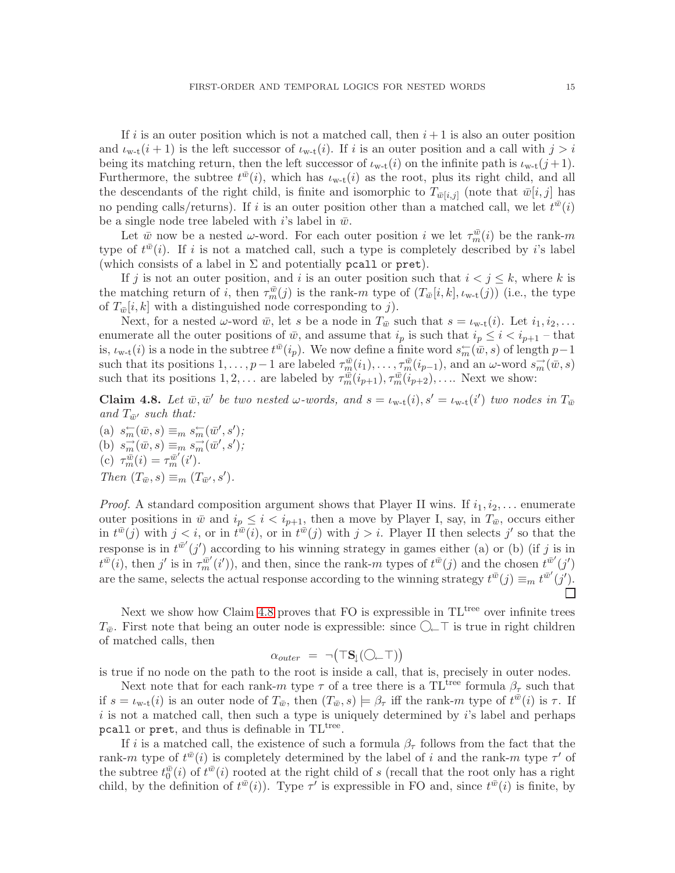If i is an outer position which is not a matched call, then  $i + 1$  is also an outer position and  $\iota_{w-t}(i+1)$  is the left successor of  $\iota_{w-t}(i)$ . If i is an outer position and a call with  $j > i$ being its matching return, then the left successor of  $\iota_{w-t}(i)$  on the infinite path is  $\iota_{w-t}(j+1)$ . Furthermore, the subtree  $t^{\bar{w}}(i)$ , which has  $\iota_{w-t}(i)$  as the root, plus its right child, and all the descendants of the right child, is finite and isomorphic to  $T_{\bar{w}[i,j]}$  (note that  $\bar{w}[i,j]$  has no pending calls/returns). If i is an outer position other than a matched call, we let  $t^{\bar{w}}(i)$ be a single node tree labeled with i's label in  $\bar{w}$ .

Let  $\bar{w}$  now be a nested  $\omega$ -word. For each outer position i we let  $\tau_m^{\bar{w}}(i)$  be the rank-m type of  $t^{\bar{w}}(i)$ . If i is not a matched call, such a type is completely described by i's label (which consists of a label in  $\Sigma$  and potentially pcall or pret).

If j is not an outer position, and i is an outer position such that  $i < j \leq k$ , where k is the matching return of *i*, then  $\tau_m^{\bar{w}}(j)$  is the rank-m type of  $(T_{\bar{w}}[i,k], \iota_{w-t}(j))$  (i.e., the type of  $T_{\bar{w}}[i,k]$  with a distinguished node corresponding to j).

Next, for a nested  $\omega$ -word  $\bar{w}$ , let s be a node in  $T_{\bar{w}}$  such that  $s = \iota_{w-t}(i)$ . Let  $i_1, i_2, \ldots$ enumerate all the outer positions of  $\bar{w}$ , and assume that  $i_p$  is such that  $i_p \leq i \leq i_{p+1}$  – that is,  $\iota_{w-t}(i)$  is a node in the subtree  $t^{\bar{w}}(i_p)$ . We now define a finite word  $s_m^{\leftarrow}(\bar{w}, s)$  of length  $p-1$ such that its positions  $1, \ldots, p-1$  are labeled  $\tau_m^{\bar{w}}(i_1), \ldots, \tau_m^{\bar{w}}(i_{p-1}),$  and an  $\omega$ -word  $s_m^{\rightarrow}(\bar{w}, s)$ such that its positions  $1, 2, \ldots$  are labeled by  $\tau_m^{\bar{w}}(i_{p+1}), \tau_m^{\bar{w}}(i_{p+2}), \ldots$ . Next we show:

<span id="page-16-0"></span>**Claim 4.8.** Let  $\bar{w}, \bar{w}'$  be two nested  $\omega$ -words, and  $s = \iota_{w-t}(i), s' = \iota_{w-t}(i')$  two nodes in  $T_{\bar{w}}$ and  $T_{\bar{w}'}$  such that:

(a)  $s_m^{\leftarrow}(\bar{w}, s) \equiv_m s_m^{\leftarrow}(\bar{w}', s')$ ; (b)  $s_m^{\rightarrow}(\bar{w},s) \equiv_m s_m^{\rightarrow}(\bar{w}',s')$ ; (c)  $\tau_m^{\bar{w}}(i) = \tau_m^{\bar{w}'}(i').$ *Then*  $(T_{\bar{w}}, s) \equiv_m (T_{\bar{w}'}, s')$ *.* 

*Proof.* A standard composition argument shows that Player II wins. If  $i_1, i_2, \ldots$  enumerate outer positions in  $\bar{w}$  and  $i_p \leq i < i_{p+1}$ , then a move by Player I, say, in  $T_{\bar{w}}$ , occurs either in  $t^{\bar{w}}(j)$  with  $j < i$ , or in  $t^{\bar{w}}(i)$ , or in  $t^{\bar{w}}(j)$  with  $j > i$ . Player II then selects j' so that the response is in  $t^{\bar{w}'}(j')$  according to his winning strategy in games either (a) or (b) (if j is in  $t^{\bar{w}}(i)$ , then j' is in  $\tau_m^{\bar{w}'}(i')$ ), and then, since the rank-m types of  $t^{\bar{w}}(j)$  and the chosen  $t^{\bar{w}'}(j')$ are the same, selects the actual response according to the winning strategy  $t^{\bar{w}}(j) \equiv_m t^{\bar{w}'}(j')$ .

Next we show how Claim [4.8](#page-16-0) proves that FO is expressible in  $TL<sup>tree</sup>$  over infinite trees  $T_{\bar{w}}$ . First note that being an outer node is expressible: since  $\bigcirc\subset\top$  is true in right children of matched calls, then

$$
\alpha_{outer} = \neg (\top S_{\downarrow}(\bigcirc \leftarrow \top))
$$

is true if no node on the path to the root is inside a call, that is, precisely in outer nodes.

Next note that for each rank-m type  $\tau$  of a tree there is a TL<sup>tree</sup> formula  $\beta_{\tau}$  such that if  $s = \iota_{w-t}(i)$  is an outer node of  $T_{\bar{w}}$ , then  $(T_{\bar{w}}, s) \models \beta_{\tau}$  iff the rank-m type of  $t^{\bar{w}}(i)$  is  $\tau$ . If  $i$  is not a matched call, then such a type is uniquely determined by  $i$ 's label and perhaps  $pcal$ 1 or  $pret$ , and thus is definable in  $TL<sup>tree</sup>$ .

If i is a matched call, the existence of such a formula  $\beta_{\tau}$  follows from the fact that the rank-m type of  $t^{\bar{w}}(i)$  is completely determined by the label of i and the rank-m type  $\tau'$  of the subtree  $t_0^{\bar{w}}(i)$  of  $t^{\bar{w}}(i)$  rooted at the right child of s (recall that the root only has a right child, by the definition of  $t^{\bar{w}}(i)$ ). Type  $\tau'$  is expressible in FO and, since  $t^{\bar{w}}(i)$  is finite, by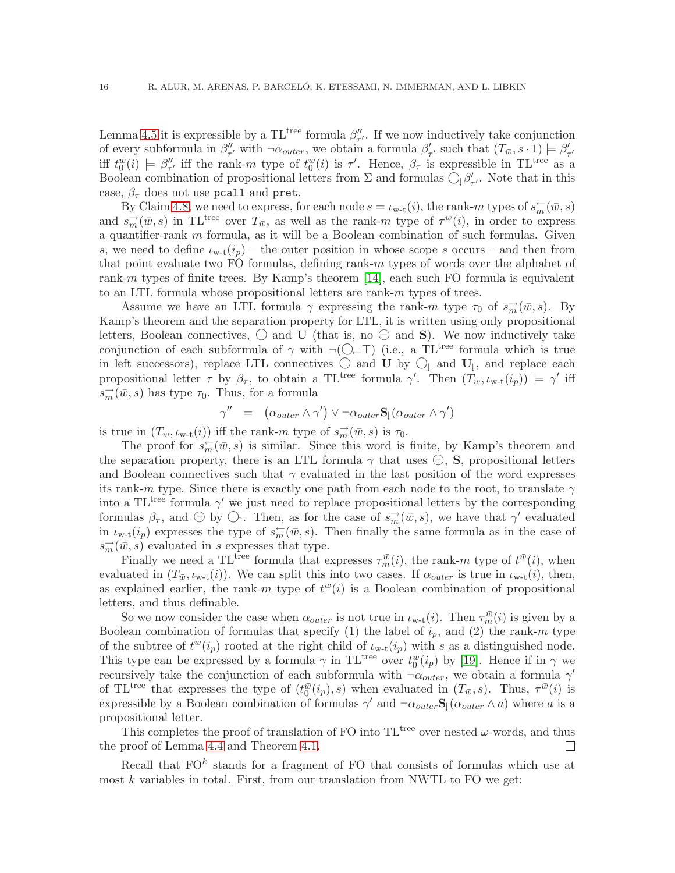Lemma [4.5](#page-14-1) it is expressible by a TL<sup>tree</sup> formula  $\beta''_{\tau'}$ . If we now inductively take conjunction of every subformula in  $\beta''_{\tau'}$  with  $\neg \alpha_{outer}$ , we obtain a formula  $\beta'_{\tau'}$  such that  $(T_{\bar{w}}, s \cdot 1) \models \beta'_{\tau'}$ iff  $t_0^{\bar{w}}(i) \models \beta''_{\tau'}$  iff the rank-m type of  $t_0^{\bar{w}}(i)$  is  $\tau'$ . Hence,  $\beta_{\tau}$  is expressible in TL<sup>tree</sup> as a Boolean combination of propositional letters from  $\Sigma$  and formulas  $\bigcirc_{\downarrow} \beta'_{\tau'}$ . Note that in this case,  $\beta_{\tau}$  does not use pcall and pret.

By Claim [4.8,](#page-16-0) we need to express, for each node  $s = \iota_{w-t}(i)$ , the rank-m types of  $s_m^{\leftarrow}(\bar{w}, s)$ and  $s_m^{\rightarrow}(\bar{w},s)$  in TL<sup>tree</sup> over  $T_{\bar{w}}$ , as well as the rank-m type of  $\tau^{\bar{w}}(i)$ , in order to express a quantifier-rank  $m$  formula, as it will be a Boolean combination of such formulas. Given s, we need to define  $\iota_{w-t}(i_p)$  – the outer position in whose scope s occurs – and then from that point evaluate two FO formulas, defining rank- $m$  types of words over the alphabet of rank-m types of finite trees. By Kamp's theorem [\[14\]](#page-39-24), each such FO formula is equivalent to an LTL formula whose propositional letters are rank-m types of trees.

Assume we have an LTL formula  $\gamma$  expressing the rank-m type  $\tau_0$  of  $s_m^{\rightarrow}(\bar{w},s)$ . By Kamp's theorem and the separation property for LTL, it is written using only propositional letters, Boolean connectives,  $\bigcirc$  and U (that is, no  $\bigcirc$  and S). We now inductively take conjunction of each subformula of  $\gamma$  with  $\neg$ ( $\Box$  $\top$ ) (i.e., a TL<sup>tree</sup> formula which is true in left successors), replace LTL connectives  $\bigcirc$  and U by  $\bigcirc$  and U<sub>|</sub>, and replace each propositional letter  $\tau$  by  $\beta_{\tau}$ , to obtain a TL<sup>tree</sup> formula  $\gamma'$ . Then  $(T_{\bar{w}}, \iota_{w-t}(i_p)) \models \gamma'$  iff  $s_m^{\rightarrow}(\bar{w},s)$  has type  $\tau_0$ . Thus, for a formula

$$
\gamma'' \;\; = \;\; \big( \alpha_{outer} \wedge \gamma' \big) \vee \neg \alpha_{outer} \, \mathbf{S}_\downarrow(\alpha_{outer} \wedge \gamma')
$$

is true in  $(T_{\bar{w}}, \iota_{w-t}(i))$  iff the rank-m type of  $s_m^{\rightarrow}(\bar{w}, s)$  is  $\tau_0$ .

The proof for  $s_m^{\leftarrow}(\bar{w},s)$  is similar. Since this word is finite, by Kamp's theorem and the separation property, there is an LTL formula  $\gamma$  that uses  $\ominus$ , **S**, propositional letters and Boolean connectives such that  $\gamma$  evaluated in the last position of the word expresses its rank-m type. Since there is exactly one path from each node to the root, to translate  $\gamma$ into a TL<sup>tree</sup> formula  $\gamma'$  we just need to replace propositional letters by the corresponding formulas  $\beta_{\tau}$ , and  $\ominus$  by  $\bigcirc_{\uparrow}$ . Then, as for the case of  $s_m^{\rightarrow}(\bar{w},s)$ , we have that  $\gamma'$  evaluated in  $\iota_{w-t}(i_p)$  expresses the type of  $s_m^{\leftarrow}(\bar{w}, s)$ . Then finally the same formula as in the case of  $s_m^{\rightarrow}(\bar{w},s)$  evaluated in s expresses that type.

Finally we need a TL<sup>tree</sup> formula that expresses  $\tau_m^{\bar{w}}(i)$ , the rank-m type of  $t^{\bar{w}}(i)$ , when evaluated in  $(T_{\bar{w}}, \iota_{w-t}(i))$ . We can split this into two cases. If  $\alpha_{outer}$  is true in  $\iota_{w-t}(i)$ , then, as explained earlier, the rank-m type of  $t^{\bar{w}}(i)$  is a Boolean combination of propositional letters, and thus definable.

So we now consider the case when  $\alpha_{outer}$  is not true in  $\iota_{w-t}(i)$ . Then  $\tau_m^{\bar{w}}(i)$  is given by a Boolean combination of formulas that specify (1) the label of  $i_p$ , and (2) the rank-m type of the subtree of  $t^{\bar{w}}(i_p)$  rooted at the right child of  $\iota_{w-t}(i_p)$  with s as a distinguished node. This type can be expressed by a formula  $\gamma$  in TL<sup>tree</sup> over  $t_0^{\bar{w}}(i_p)$  by [\[19\]](#page-39-21). Hence if in  $\gamma$  we recursively take the conjunction of each subformula with  $\neg \alpha_{outer}$ , we obtain a formula  $\gamma'$ of TL<sup>tree</sup> that expresses the type of  $(t_0^{\bar{w}}(i_p), s)$  when evaluated in  $(T_{\bar{w}}, s)$ . Thus,  $\tau^{\bar{w}}(i)$  is expressible by a Boolean combination of formulas  $\gamma'$  and  $\neg \alpha_{outer} S_{\downarrow}(\alpha_{outer} \wedge a)$  where a is a propositional letter.

This completes the proof of translation of FO into  $TL^{\text{tree}}$  over nested  $\omega$ -words, and thus the proof of Lemma [4.4](#page-13-2) and Theorem [4.1.](#page-11-2)  $\Box$ 

Recall that  $FO<sup>k</sup>$  stands for a fragment of FO that consists of formulas which use at most  $k$  variables in total. First, from our translation from NWTL to FO we get: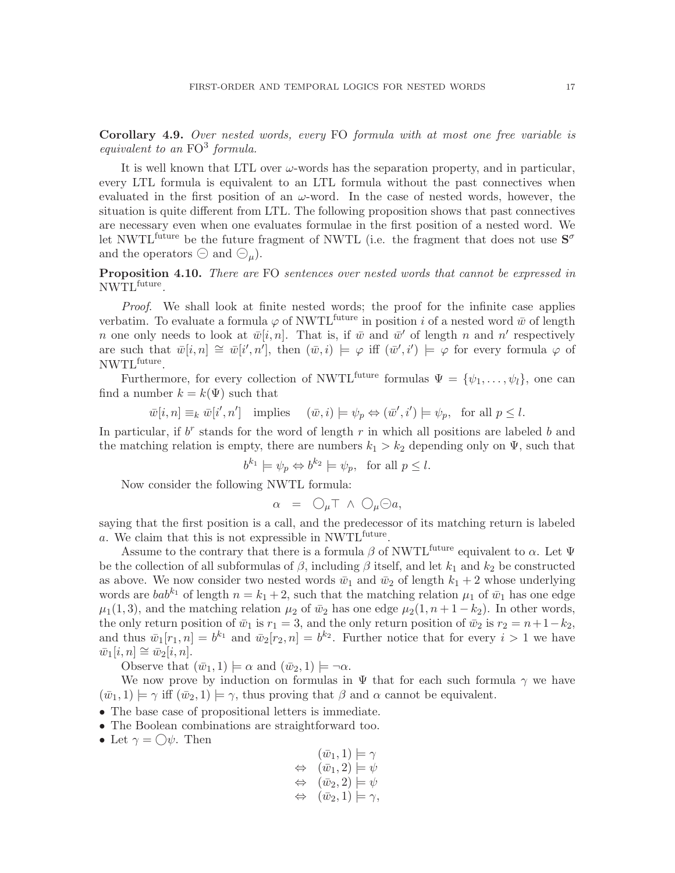Corollary 4.9. *Over nested words, every* FO *formula with at most one free variable is equivalent to an* FO<sup>3</sup> *formula.*

It is well known that LTL over  $\omega$ -words has the separation property, and in particular, every LTL formula is equivalent to an LTL formula without the past connectives when evaluated in the first position of an  $\omega$ -word. In the case of nested words, however, the situation is quite different from LTL. The following proposition shows that past connectives are necessary even when one evaluates formulae in the first position of a nested word. We let NWTL<sup>future</sup> be the future fragment of NWTL (i.e. the fragment that does not use  $S^{\sigma}$ and the operators  $\ominus$  and  $\ominus_u$ ).

### Proposition 4.10. *There are* FO *sentences over nested words that cannot be expressed in* NWTLfuture *.*

*Proof*. We shall look at finite nested words; the proof for the infinite case applies verbatim. To evaluate a formula  $\varphi$  of NWTL<sup>future</sup> in position i of a nested word  $\bar{w}$  of length n one only needs to look at  $\bar{w}[i,n]$ . That is, if  $\bar{w}$  and  $\bar{w}'$  of length n and n' respectively are such that  $\bar{w}[i,n] \cong \bar{w}[i',n'],$  then  $(\bar{w},i) \models \varphi$  iff  $(\bar{w}',i') \models \varphi$  for every formula  $\varphi$  of  $\text{NWTL}^{\text{future}}.$ 

Furthermore, for every collection of NWTL<sup>future</sup> formulas  $\Psi = {\psi_1, \ldots, \psi_l}$ , one can find a number  $k = k(\Psi)$  such that

 $\overline{w}[i,n] \equiv_k \overline{w}[i',n'] \text{ implies } (\overline{w},i) \models \psi_p \Leftrightarrow (\overline{w}',i') \models \psi_p, \text{ for all } p \leq l.$ 

In particular, if  $b^r$  stands for the word of length  $r$  in which all positions are labeled  $b$  and the matching relation is empty, there are numbers  $k_1 > k_2$  depending only on  $\Psi$ , such that

$$
b^{k_1} \models \psi_p \Leftrightarrow b^{k_2} \models \psi_p, \text{ for all } p \le l.
$$

Now consider the following NWTL formula:

$$
\alpha = \bigcirc_{\mu} \top \wedge \bigcirc_{\mu} \ominus a,
$$

saying that the first position is a call, and the predecessor of its matching return is labeled a. We claim that this is not expressible in NWTL<sup>future</sup>.

Assume to the contrary that there is a formula  $\beta$  of NWTL<sup>future</sup> equivalent to  $\alpha$ . Let  $\Psi$ be the collection of all subformulas of  $\beta$ , including  $\beta$  itself, and let  $k_1$  and  $k_2$  be constructed as above. We now consider two nested words  $\bar{w}_1$  and  $\bar{w}_2$  of length  $k_1 + 2$  whose underlying words are  $bab^{k_1}$  of length  $n = k_1 + 2$ , such that the matching relation  $\mu_1$  of  $\bar{w}_1$  has one edge  $\mu_1(1,3)$ , and the matching relation  $\mu_2$  of  $\bar{w}_2$  has one edge  $\mu_2(1,n+1-k_2)$ . In other words, the only return position of  $\bar{w}_1$  is  $r_1 = 3$ , and the only return position of  $\bar{w}_2$  is  $r_2 = n + 1 - k_2$ , and thus  $\bar{w}_1[r_1,n] = b^{k_1}$  and  $\bar{w}_2[r_2,n] = b^{k_2}$ . Further notice that for every  $i > 1$  we have  $\bar{w}_1[i,n] \cong \bar{w}_2[i,n].$ 

Observe that  $(\bar{w}_1, 1) \models \alpha$  and  $(\bar{w}_2, 1) \models \neg \alpha$ .

We now prove by induction on formulas in  $\Psi$  that for each such formula  $\gamma$  we have  $(\bar{w}_1, 1) \models \gamma$  iff  $(\bar{w}_2, 1) \models \gamma$ , thus proving that  $\beta$  and  $\alpha$  cannot be equivalent.

- The base case of propositional letters is immediate.
- The Boolean combinations are straightforward too.
- Let  $\gamma = \bigcirc \psi$ . Then

$$
(\bar{w}_1, 1) \models \gamma
$$
  
\n
$$
\Leftrightarrow (\bar{w}_1, 2) \models \psi
$$
  
\n
$$
\Leftrightarrow (\bar{w}_2, 2) \models \psi
$$
  
\n
$$
\Leftrightarrow (\bar{w}_2, 1) \models \gamma,
$$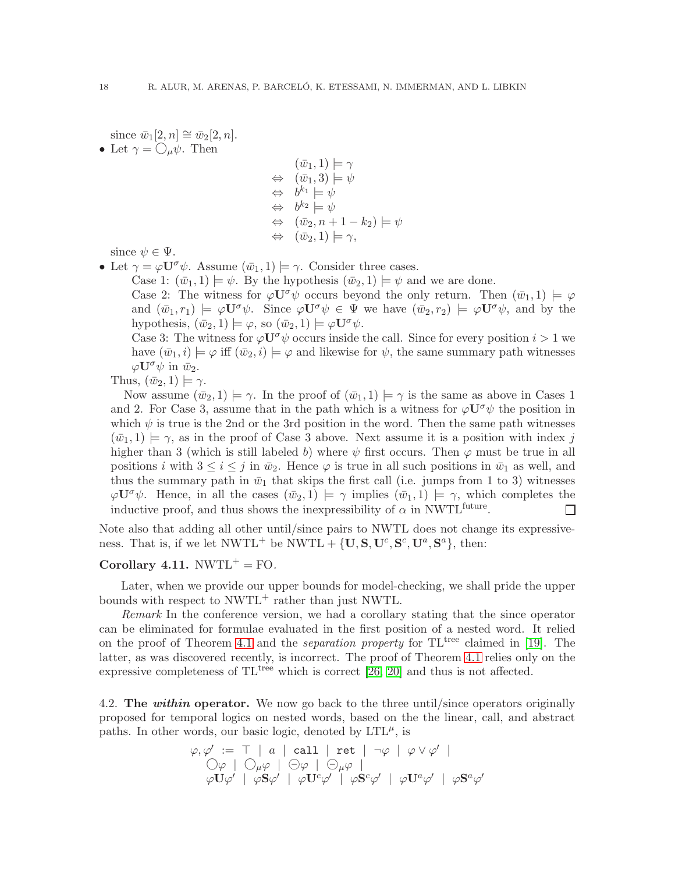since  $\bar{w}_1[2,n] \cong \bar{w}_2[2,n]$ .

• Let  $\gamma = \bigcirc_{\mu} \psi$ . Then

$$
(\bar{w}_1, 1) \models \gamma
$$
  
\n
$$
\Leftrightarrow (\bar{w}_1, 3) \models \psi
$$
  
\n
$$
\Leftrightarrow b^{k_1} \models \psi
$$
  
\n
$$
\Leftrightarrow b^{k_2} \models \psi
$$
  
\n
$$
\Leftrightarrow (\bar{w}_2, n + 1 - k_2) \models \psi
$$
  
\n
$$
\Leftrightarrow (\bar{w}_2, 1) \models \gamma,
$$

since  $\psi \in \Psi$ .

• Let  $\gamma = \varphi \mathbf{U}^{\sigma} \psi$ . Assume  $(\bar{w}_1, 1) \models \gamma$ . Consider three cases.

Case 1:  $(\bar{w}_1, 1) \models \psi$ . By the hypothesis  $(\bar{w}_2, 1) \models \psi$  and we are done.

Case 2: The witness for  $\varphi \mathbf{U}^{\sigma} \psi$  occurs beyond the only return. Then  $(\bar{w}_1, 1) \models \varphi$ and  $(\bar{w}_1,r_1) \models \varphi \mathbf{U}^\sigma \psi$ . Since  $\varphi \mathbf{U}^\sigma \psi \in \Psi$  we have  $(\bar{w}_2,r_2) \models \varphi \mathbf{U}^\sigma \psi$ , and by the hypothesis,  $(\bar{w}_2, 1) \models \varphi$ , so  $(\bar{w}_2, 1) \models \varphi \mathbf{U}^{\sigma} \psi$ .

Case 3: The witness for  $\varphi \mathbf{U}^{\sigma} \psi$  occurs inside the call. Since for every position  $i > 1$  we have  $(\bar{w}_1,i) \models \varphi$  iff  $(\bar{w}_2,i) \models \varphi$  and likewise for  $\psi$ , the same summary path witnesses  $\varphi \mathbf{U}^{\sigma} \psi$  in  $\bar{w}_2$ .

Thus,  $(\bar{w}_2, 1) \models \gamma$ .

Now assume  $(\bar{w}_2, 1) \models \gamma$ . In the proof of  $(\bar{w}_1, 1) \models \gamma$  is the same as above in Cases 1 and 2. For Case 3, assume that in the path which is a witness for  $\varphi \mathbf{U}^{\sigma} \psi$  the position in which  $\psi$  is true is the 2nd or the 3rd position in the word. Then the same path witnesses  $(\bar{w}_1, 1) \models \gamma$ , as in the proof of Case 3 above. Next assume it is a position with index j higher than 3 (which is still labeled b) where  $\psi$  first occurs. Then  $\varphi$  must be true in all positions i with  $3 \le i \le j$  in  $\bar{w}_2$ . Hence  $\varphi$  is true in all such positions in  $\bar{w}_1$  as well, and thus the summary path in  $\bar{w}_1$  that skips the first call (i.e. jumps from 1 to 3) witnesses  $\varphi \mathbf{U}^{\sigma} \psi$ . Hence, in all the cases  $(\bar{w}_2, 1) \models \gamma$  implies  $(\bar{w}_1, 1) \models \gamma$ , which completes the inductive proof, and thus shows the inexpressibility of  $\alpha$  in NWTL<sup>future</sup>.  $\Box$ 

Note also that adding all other until/since pairs to NWTL does not change its expressiveness. That is, if we let  $NWTL^+$  be  $NWTL + \{U, S, U^c, S^c, U^a, S^a\}$ , then:

### Corollary 4.11.  $NWTL^+ = FO$ .

Later, when we provide our upper bounds for model-checking, we shall pride the upper bounds with respect to  $NWTL^+$  rather than just NWTL.

*Remark* In the conference version, we had a corollary stating that the since operator can be eliminated for formulae evaluated in the first position of a nested word. It relied on the proof of Theorem [4.1](#page-11-2) and the *separation property* for TL<sup>tree</sup> claimed in [\[19\]](#page-39-21). The latter, as was discovered recently, is incorrect. The proof of Theorem [4.1](#page-11-2) relies only on the expressive completeness of  $TL^{tree}$  which is correct [\[26,](#page-39-22) [20\]](#page-39-11) and thus is not affected.

4.2. The within operator. We now go back to the three until/since operators originally proposed for temporal logics on nested words, based on the the linear, call, and abstract paths. In other words, our basic logic, denoted by  $LTL^{\mu}$ , is

$$
\varphi, \varphi' := \top | a | \text{ call } | \text{ ret } | \neg \varphi | \varphi \vee \varphi' |
$$
  
\n
$$
\bigcirc \varphi | \bigcirc \varphi \varphi | \bigcirc \varphi | \bigcirc \varphi |
$$
  
\n
$$
\varphi \mathbf{U} \varphi' | \varphi \mathbf{S} \varphi' | \varphi \mathbf{U}^c \varphi' | \varphi \mathbf{S}^c \varphi' | \varphi \mathbf{U}^a \varphi' | \varphi \mathbf{S}^a \varphi'
$$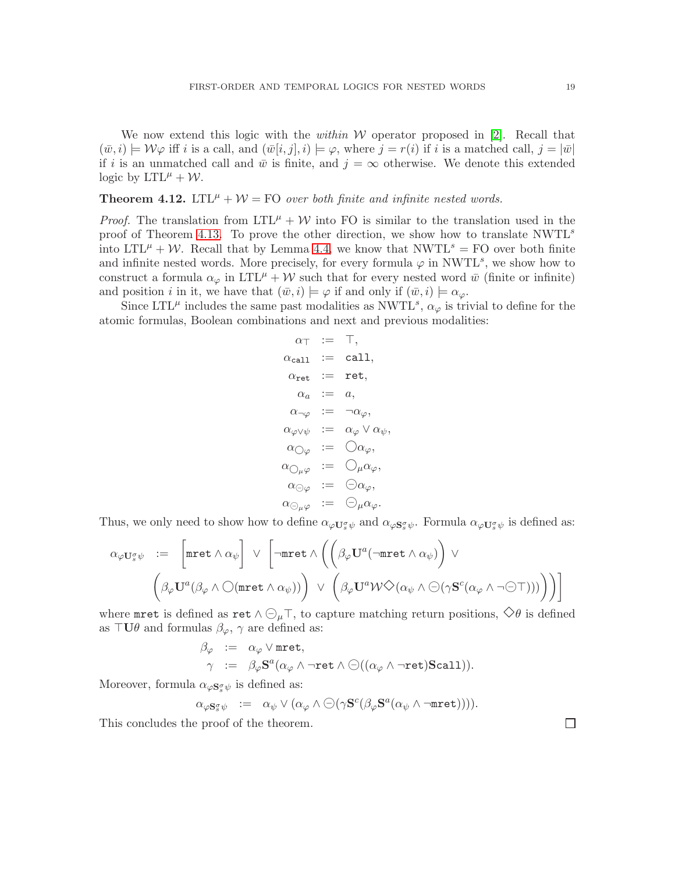We now extend this logic with the *within* W operator proposed in [\[2\]](#page-39-2). Recall that  $(\bar{w},i) \models \mathcal{W}\varphi$  iff i is a call, and  $(\bar{w}[i,j],i) \models \varphi$ , where  $j = r(i)$  if i is a matched call,  $j = |\bar{w}|$ if i is an unmatched call and  $\bar{w}$  is finite, and  $j = \infty$  otherwise. We denote this extended logic by  $LTL^{\mu} + \mathcal{W}$ .

### **Theorem 4.12.** LTL<sup> $\mu$ </sup> +  $\mathcal{W}$  = FO *over both finite and infinite nested words.*

*Proof.* The translation from  $LTL^{\mu} + \mathcal{W}$  into FO is similar to the translation used in the proof of Theorem [4.13.](#page-21-0) To prove the other direction, we show how to translate  $NWTL<sup>s</sup>$ into  $LTL^{\mu} + \mathcal{W}$ . Recall that by Lemma [4.4,](#page-13-2) we know that NWTL<sup>s</sup> = FO over both finite and infinite nested words. More precisely, for every formula  $\varphi$  in NWTL<sup>s</sup>, we show how to construct a formula  $\alpha_{\varphi}$  in LTL<sup> $\mu$ </sup> + W such that for every nested word  $\bar{w}$  (finite or infinite) and position i in it, we have that  $(\bar{w},i) \models \varphi$  if and only if  $(\bar{w},i) \models \alpha_{\varphi}$ .

Since LTL<sup> $\mu$ </sup> includes the same past modalities as NWTL<sup>s</sup>,  $\alpha_{\varphi}$  is trivial to define for the atomic formulas, Boolean combinations and next and previous modalities:

$$
\begin{array}{rcl} \alpha_{\top} & := & \top, \\ \alpha_{\text{call}} & := & \text{call}, \\ \alpha_{\text{ret}} & := & \text{ret}, \\ \alpha_a & := & a, \\ \alpha_{\neg \varphi} & := & \neg \alpha_{\varphi}, \\ \alpha_{\varphi \vee \psi} & := & \alpha_{\varphi} \vee \alpha_{\psi}, \\ \alpha_{\bigcirc \varphi} & := & \bigcirc \alpha_{\varphi}, \\ \alpha_{\bigcirc \varphi} & := & \bigcirc \alpha_{\varphi}, \\ \alpha_{\bigcirc \varphi} & := & \bigcirc \alpha_{\varphi}, \\ \alpha_{\bigcirc \varphi} & := & \bigcirc \mu \alpha_{\varphi}. \end{array}
$$

Thus, we only need to show how to define  $\alpha_{\varphi}U_s^{\sigma}\psi$  and  $\alpha_{\varphi}S_s^{\sigma}\psi$ . Formula  $\alpha_{\varphi}U_s^{\sigma}\psi$  is defined as:

$$
\alpha_{\varphi} U_{s}^{\sigma} \psi := \left[ \text{mret} \wedge \alpha_{\psi} \right] \vee \left[ \neg \text{mret} \wedge \left( \left( \beta_{\varphi} U^{a}(\neg \text{mret} \wedge \alpha_{\psi}) \right) \vee \right. \right. \left. \left. \left( \beta_{\varphi} U^{a} (\beta_{\varphi} \wedge \bigcirc (\text{mret} \wedge \alpha_{\psi})) \right) \vee \left( \beta_{\varphi} U^{a} \mathcal{W} \Diamond (\alpha_{\psi} \wedge \bigcirc (\gamma \mathbf{S}^{c}(\alpha_{\varphi} \wedge \neg \bigcirc \top))) \right) \right) \right]
$$

where mret is defined as ret  $\wedge \bigcirc_{\mu} \top$ , to capture matching return positions,  $\diamondsuit \theta$  is defined as  $\top U \theta$  and formulas  $\beta_{\varphi}$ ,  $\gamma$  are defined as:

$$
\begin{array}{rcl}\beta_{\varphi}&:=&\alpha_{\varphi}\vee\mathrm{mret},\\ \gamma&:=&\beta_{\varphi}\mathbf{S}^{a}(\alpha_{\varphi}\wedge\neg\mathrm{ret}\wedge\ominus((\alpha_{\varphi}\wedge\neg\mathrm{ret})\mathbf{Scall})).\end{array}
$$

Moreover, formula  $\alpha_{\varphi}$ **s**<sub>s</sub> $_{\psi}$  is defined as:

$$
\alpha_{\varphi {\bf S}_s^{\sigma} \psi} \ \ := \ \ \alpha_{\psi} \vee (\alpha_{\varphi} \wedge \ominus (\gamma {\bf S}^c (\beta_{\varphi} {\bf S}^a (\alpha_{\psi} \wedge \neg \texttt{mret}))).
$$

This concludes the proof of the theorem.

 $\Box$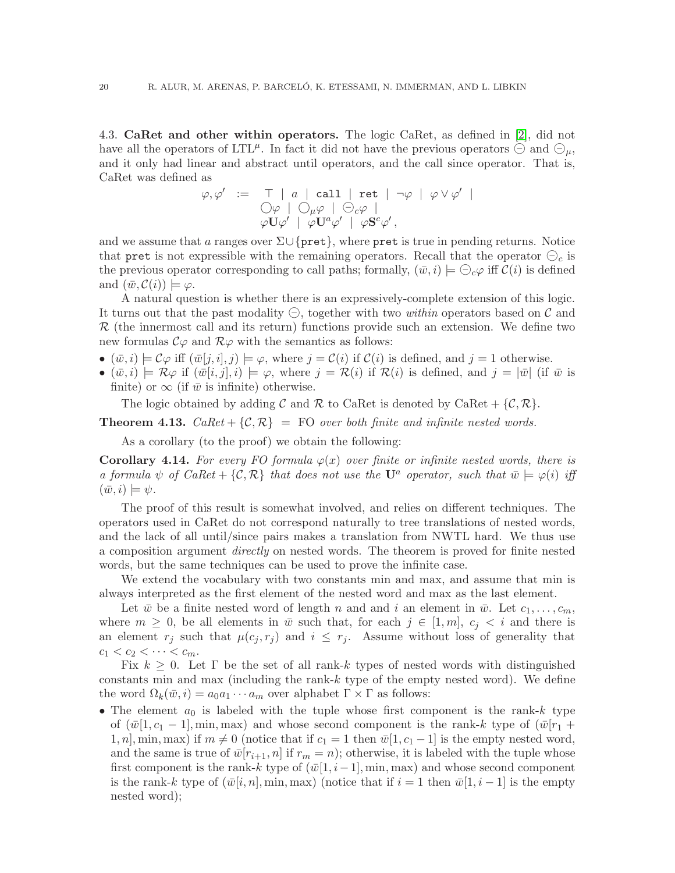4.3. CaRet and other within operators. The logic CaRet, as defined in [\[2\]](#page-39-2), did not have all the operators of LTL<sup> $\mu$ </sup>. In fact it did not have the previous operators  $\ominus$  and  $\ominus_{\mu}$ , and it only had linear and abstract until operators, and the call since operator. That is, CaRet was defined as

$$
\varphi, \varphi' \ := \ \top \ | \ a \ | \ \mathtt{call} \ | \ \mathtt{ret} \ | \ \neg \varphi \ | \ \varphi \vee \varphi' \ | \\ \bigcirc \varphi \ | \ \bigcirc \varphi \varphi \ | \ \ominus \varphi \varphi \ | \\ \varphi \mathbf{U} \varphi' \ | \ \varphi \mathbf{U}^a \varphi' \ | \ \varphi \mathbf{S}^c \varphi',
$$

and we assume that a ranges over  $\Sigma \cup \{ \text{pret} \}$ , where pret is true in pending returns. Notice that pret is not expressible with the remaining operators. Recall that the operator  $\Theta_c$  is the previous operator corresponding to call paths; formally,  $(\bar{w},i) \models \bigcirc_{c} \varphi$  iff  $\mathcal{C}(i)$  is defined and  $(\bar{w}, \mathcal{C}(i)) \models \varphi$ .

A natural question is whether there is an expressively-complete extension of this logic. It turns out that the past modality ⊖, together with two *within* operators based on C and  $\mathcal R$  (the innermost call and its return) functions provide such an extension. We define two new formulas  $\mathcal{C}\varphi$  and  $\mathcal{R}\varphi$  with the semantics as follows:

- $(\bar{w},i) \models \mathcal{C}\varphi$  iff  $(\bar{w}[j,i],j) \models \varphi$ , where  $j = \mathcal{C}(i)$  if  $\mathcal{C}(i)$  is defined, and  $j = 1$  otherwise.
- $(\bar{w},i) \models \mathcal{R}\varphi$  if  $(\bar{w}[i,j],i) \models \varphi$ , where  $j = \mathcal{R}(i)$  if  $\mathcal{R}(i)$  is defined, and  $j = |\bar{w}|$  (if  $\bar{w}$  is finite) or  $\infty$  (if  $\bar{w}$  is infinite) otherwise.

<span id="page-21-0"></span>The logic obtained by adding C and R to CaRet is denoted by CaRet  $\{\mathcal{C}, \mathcal{R}\}.$ 

**Theorem 4.13.** *CaRet* +  $\{C, \mathcal{R}\}$  = FO *over both finite and infinite nested words.* 

As a corollary (to the proof) we obtain the following:

**Corollary 4.14.** For every FO formula  $\varphi(x)$  over finite or infinite nested words, there is *a formula*  $\psi$  *of CaRet* + {C, R} *that does not use the* U<sup>a</sup> *operator, such that*  $\bar{w} \models \varphi(i)$  *iff*  $(\bar{w},i) \models \psi.$ 

The proof of this result is somewhat involved, and relies on different techniques. The operators used in CaRet do not correspond naturally to tree translations of nested words, and the lack of all until/since pairs makes a translation from NWTL hard. We thus use a composition argument *directly* on nested words. The theorem is proved for finite nested words, but the same techniques can be used to prove the infinite case.

We extend the vocabulary with two constants min and max, and assume that min is always interpreted as the first element of the nested word and max as the last element.

Let  $\bar{w}$  be a finite nested word of length n and and i an element in  $\bar{w}$ . Let  $c_1,\ldots,c_m$ , where  $m \geq 0$ , be all elements in  $\bar{w}$  such that, for each  $j \in [1,m], c_j < i$  and there is an element  $r_j$  such that  $\mu(c_j, r_j)$  and  $i \leq r_j$ . Assume without loss of generality that  $c_1 < c_2 < \cdots < c_m$ .

Fix  $k \geq 0$ . Let  $\Gamma$  be the set of all rank-k types of nested words with distinguished constants min and max (including the rank- $k$  type of the empty nested word). We define the word  $\Omega_k(\bar{w},i) = a_0a_1 \cdots a_m$  over alphabet  $\Gamma \times \Gamma$  as follows:

• The element  $a_0$  is labeled with the tuple whose first component is the rank-k type of  $(\bar{w}[1,c_1-1], \min, \max)$  and whose second component is the rank-k type of  $(\bar{w}[r_1+$ 1, n, min, max) if  $m \neq 0$  (notice that if  $c_1 = 1$  then  $\bar{w}[1, c_1 - 1]$  is the empty nested word, and the same is true of  $\bar{w}[r_{i+1},n]$  if  $r_m = n$ ; otherwise, it is labeled with the tuple whose first component is the rank-k type of  $(\bar{w}[1,i-1], \min, \max)$  and whose second component is the rank-k type of  $(\bar{w}[i,n], \min, \max)$  (notice that if  $i = 1$  then  $\bar{w}[1, i - 1]$  is the empty nested word);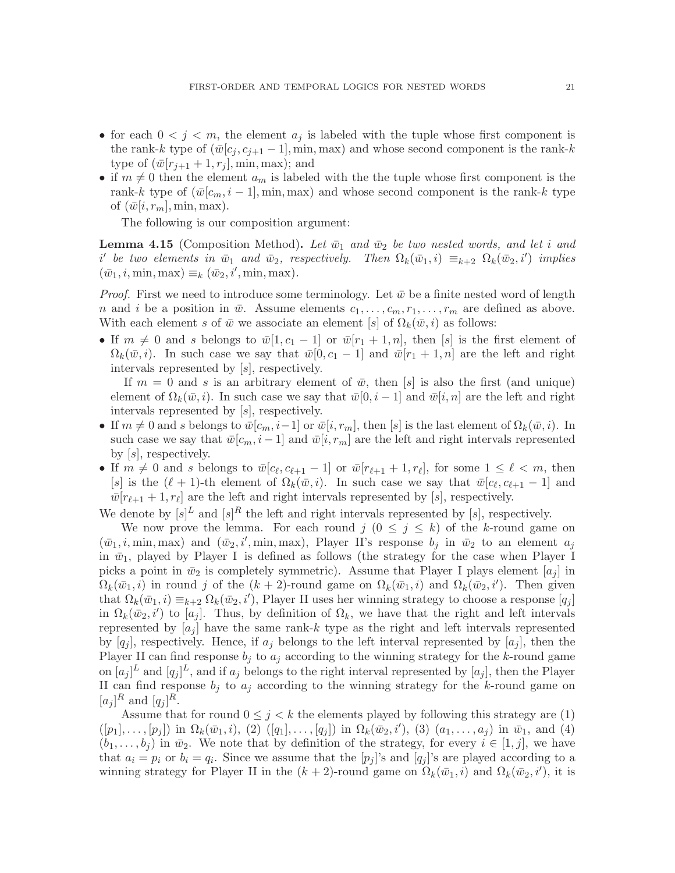- for each  $0 < j < m$ , the element  $a_j$  is labeled with the tuple whose first component is the rank-k type of  $(\bar{w}[c_j, c_{j+1} - 1], \min, \max)$  and whose second component is the rank-k type of  $(\bar{w}[r_{i+1}+1,r_i], \min, \max)$ ; and
- if  $m \neq 0$  then the element  $a_m$  is labeled with the the tuple whose first component is the rank-k type of  $(\bar{w}[c_m,i-1], \min, \max)$  and whose second component is the rank-k type of  $(\bar{w}[i,r_m], \min, \max)$ .

The following is our composition argument:

**Lemma 4.15** (Composition Method). Let  $\bar{w}_1$  and  $\bar{w}_2$  be two nested words, and let i and  $i'$  be two elements in  $\bar{w}_1$  and  $\bar{w}_2$ , respectively. Then  $\Omega_k(\bar{w}_1,i) \equiv_{k+2} \Omega_k(\bar{w}_2,i')$  implies  $(\bar{w}_1, i, \min, \max) \equiv_k (\bar{w}_2, i', \min, \max)$ .

*Proof.* First we need to introduce some terminology. Let  $\bar{w}$  be a finite nested word of length n and i be a position in  $\bar{w}$ . Assume elements  $c_1, \ldots, c_m, r_1, \ldots, r_m$  are defined as above. With each element s of  $\bar{w}$  we associate an element [s] of  $\Omega_k(\bar{w},i)$  as follows:

• If  $m \neq 0$  and s belongs to  $\bar{w}[1,c_1-1]$  or  $\bar{w}[r_1+1,n]$ , then [s] is the first element of  $\Omega_k(\bar{w},i)$ . In such case we say that  $\bar{w}[0,c_1-1]$  and  $\bar{w}[r_1+1,n]$  are the left and right intervals represented by [s], respectively.

If  $m = 0$  and s is an arbitrary element of  $\bar{w}$ , then [s] is also the first (and unique) element of  $\Omega_k(\bar{w},i)$ . In such case we say that  $\bar{w}[0,i-1]$  and  $\bar{w}[i,n]$  are the left and right intervals represented by [s], respectively.

- If  $m \neq 0$  and s belongs to  $\bar{w}[c_m,i-1]$  or  $\bar{w}[i,r_m]$ , then [s] is the last element of  $\Omega_k(\bar{w},i)$ . In such case we say that  $\bar{w}[c_m,i-1]$  and  $\bar{w}[i,r_m]$  are the left and right intervals represented by  $[s]$ , respectively.
- If  $m \neq 0$  and s belongs to  $\bar{w}[c_{\ell}, c_{\ell+1} 1]$  or  $\bar{w}[r_{\ell+1} + 1, r_{\ell}],$  for some  $1 \leq \ell < m$ , then [s] is the  $(\ell + 1)$ -th element of  $\Omega_k(\bar{w}, i)$ . In such case we say that  $\bar{w}[c_{\ell}, c_{\ell+1} - 1]$  and  $\bar{w}[r_{\ell+1}+1,r_{\ell}]$  are the left and right intervals represented by [s], respectively.

We denote by  $[s]^L$  and  $[s]^R$  the left and right intervals represented by  $[s]$ , respectively.

We now prove the lemma. For each round  $j$   $(0 \leq j \leq k)$  of the k-round game on  $(\bar{w}_1, i, \min, \max)$  and  $(\bar{w}_2, i', \min, \max)$ , Player II's response  $b_j$  in  $\bar{w}_2$  to an element  $a_j$ in  $\bar{w}_1$ , played by Player I is defined as follows (the strategy for the case when Player I picks a point in  $\bar{w}_2$  is completely symmetric). Assume that Player I plays element  $[a_i]$  in  $\Omega_k(\bar{w}_1,i)$  in round j of the  $(k+2)$ -round game on  $\Omega_k(\bar{w}_1,i)$  and  $\Omega_k(\bar{w}_2,i')$ . Then given that  $\Omega_k(\bar{w}_1,i) \equiv_{k+2} \Omega_k(\bar{w}_2,i')$ , Player II uses her winning strategy to choose a response  $[q_j]$ in  $\Omega_k(\bar{w}_2, i')$  to  $[a_j]$ . Thus, by definition of  $\Omega_k$ , we have that the right and left intervals represented by  $|a_i|$  have the same rank-k type as the right and left intervals represented by  $[q_i]$ , respectively. Hence, if  $a_i$  belongs to the left interval represented by  $[a_i]$ , then the Player II can find response  $b_j$  to  $a_j$  according to the winning strategy for the k-round game on  $[a_j]^L$  and  $[q_j]^L$ , and if  $a_j$  belongs to the right interval represented by  $[a_j]$ , then the Player II can find response  $b_j$  to  $a_j$  according to the winning strategy for the k-round game on  $[a_j]^R$  and  $[q_j]^R$ .

Assume that for round  $0 \leq j \leq k$  the elements played by following this strategy are (1)  $([p_1], \ldots, [p_j])$  in  $\Omega_k(\bar{w}_1, i)$ , (2)  $([q_1], \ldots, [q_j])$  in  $\Omega_k(\bar{w}_2, i')$ , (3)  $(a_1, \ldots, a_j)$  in  $\bar{w}_1$ , and (4)  $(b_1,\ldots,b_j)$  in  $\bar{w}_2$ . We note that by definition of the strategy, for every  $i \in [1,j]$ , we have that  $a_i = p_i$  or  $b_i = q_i$ . Since we assume that the  $[p_j]$ 's and  $[q_j]$ 's are played according to a winning strategy for Player II in the  $(k+2)$ -round game on  $\Omega_k(\bar{w}_1, i)$  and  $\Omega_k(\bar{w}_2, i')$ , it is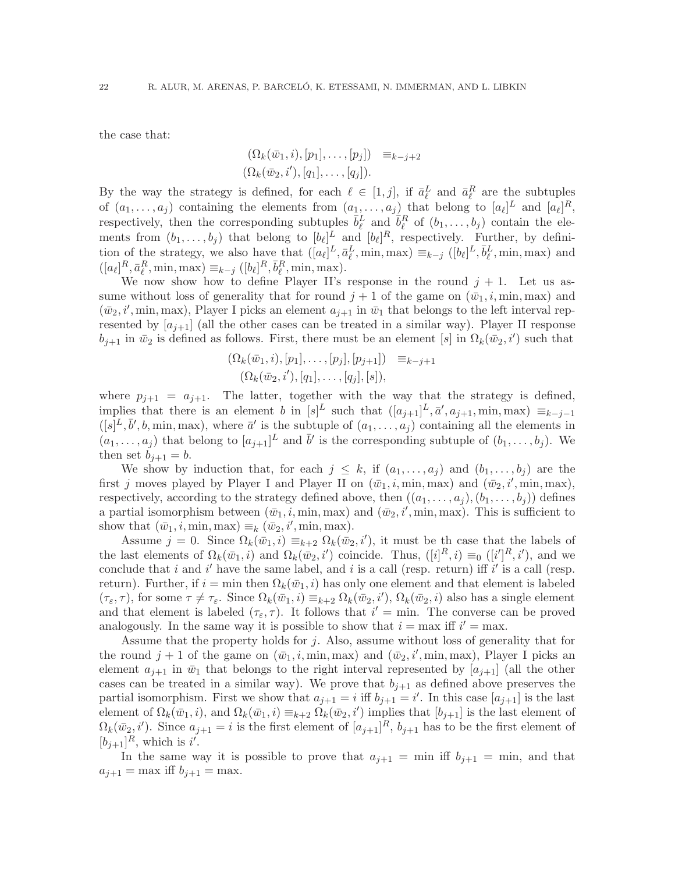the case that:

$$
\begin{aligned} (\Omega_k(\bar{w}_1, i), [p_1], \dots, [p_j]) & \equiv_{k-j+2} \\ (\Omega_k(\bar{w}_2, i'), [q_1], \dots, [q_j]). \end{aligned}
$$

By the way the strategy is defined, for each  $\ell \in [1, j]$ , if  $\bar{a}_{\ell}^{L}$  and  $\bar{a}_{\ell}^{R}$  are the subtuples of  $(a_1, \ldots, a_j)$  containing the elements from  $(a_1, \ldots, a_j)$  that belong to  $[a_\ell]^L$  and  $[a_\ell]^R$ , respectively, then the corresponding subtuples  $\bar{b}_{\ell}^L$  and  $\bar{b}_{\ell}^R$  of  $(b_1,\ldots,b_j)$  contain the elements from  $(b_1,\ldots,b_j)$  that belong to  $[b_\ell]^L$  and  $[b_\ell]^R$ , respectively. Further, by definition of the strategy, we also have that  $([a_\ell]^L, \bar{a}^L_\ell, \min, \max) \equiv_{k-j} ([b_\ell]^L, \bar{b}^L_\ell, \min, \max)$  and  $([a_{\ell}]^R, \bar{a}_{\ell}^R, \min, \max) \equiv_{k-j} ([b_{\ell}]^R, \bar{b}_{\ell}^R, \min, \max).$ 

We now show how to define Player II's response in the round  $j + 1$ . Let us assume without loss of generality that for round  $j + 1$  of the game on  $(\bar{w}_1, i, \min, \max)$  and  $(\bar{w}_2, i', \text{min}, \text{max})$ , Player I picks an element  $a_{j+1}$  in  $\bar{w}_1$  that belongs to the left interval represented by  $[a_{i+1}]$  (all the other cases can be treated in a similar way). Player II response  $b_{j+1}$  in  $\bar{w}_2$  is defined as follows. First, there must be an element [s] in  $\Omega_k(\bar{w}_2,i')$  such that

$$
(\Omega_k(\bar{w}_1, i), [p_1], \dots, [p_j], [p_{j+1}]) \equiv_{k-j+1}
$$
  

$$
(\Omega_k(\bar{w}_2, i'), [q_1], \dots, [q_j], [s]),
$$

where  $p_{i+1} = a_{i+1}$ . The latter, together with the way that the strategy is defined, implies that there is an element b in  $[s]^L$  such that  $([a_{j+1}]^L, \bar{a}', a_{j+1}, \min, \max) \equiv_{k-j-1}$  $([s]^L, \bar{b}', b, \min, \max)$ , where  $\bar{a}'$  is the subtuple of  $(a_1, \ldots, a_j)$  containing all the elements in  $(a_1, \ldots, a_j)$  that belong to  $[a_{j+1}]^L$  and  $\bar{b}'$  is the corresponding subtuple of  $(b_1, \ldots, b_j)$ . We then set  $b_{i+1} = b$ .

We show by induction that, for each  $j \leq k$ , if  $(a_1, \ldots, a_j)$  and  $(b_1, \ldots, b_j)$  are the first j moves played by Player I and Player II on  $(\bar{w}_1, i, \min, \max)$  and  $(\bar{w}_2, i', \min, \max)$ , respectively, according to the strategy defined above, then  $((a_1, \ldots, a_i), (b_1, \ldots, b_i))$  defines a partial isomorphism between  $(\bar{w}_1, i, \min, \max)$  and  $(\bar{w}_2, i', \min, \max)$ . This is sufficient to show that  $(\bar{w}_1, i, \min, \max) \equiv_k (\bar{w}_2, i', \min, \max)$ .

Assume  $j = 0$ . Since  $\Omega_k(\bar{w}_1, i) \equiv_{k+2} \Omega_k(\bar{w}_2, i')$ , it must be the case that the labels of the last elements of  $\Omega_k(\bar{w}_1, i)$  and  $\Omega_k(\bar{w}_2, i')$  coincide. Thus,  $([i]^R, i) \equiv_0 ([i']^R, i')$ , and we conclude that i and i' have the same label, and i is a call (resp. return) iff i' is a call (resp. return). Further, if  $i = \min$  then  $\Omega_k(\bar{w}_1, i)$  has only one element and that element is labeled  $(\tau_{\varepsilon}, \tau)$ , for some  $\tau \neq \tau_{\varepsilon}$ . Since  $\Omega_k(\bar{w}_1, i) \equiv_{k+2} \Omega_k(\bar{w}_2, i')$ ,  $\Omega_k(\bar{w}_2, i)$  also has a single element and that element is labeled  $(\tau_{\varepsilon}, \tau)$ . It follows that  $i' = \min$ . The converse can be proved analogously. In the same way it is possible to show that  $i = \max$  iff  $i' = \max$ .

Assume that the property holds for j. Also, assume without loss of generality that for the round  $j + 1$  of the game on  $(\bar{w}_1, i, \min, \max)$  and  $(\bar{w}_2, i', \min, \max)$ , Player I picks an element  $a_{i+1}$  in  $\bar{w}_1$  that belongs to the right interval represented by  $[a_{i+1}]$  (all the other cases can be treated in a similar way). We prove that  $b_{j+1}$  as defined above preserves the partial isomorphism. First we show that  $a_{j+1} = i$  iff  $b_{j+1} = i'$ . In this case  $[a_{j+1}]$  is the last element of  $\Omega_k(\bar{w}_1,i)$ , and  $\Omega_k(\bar{w}_1,i) \equiv_{k+2} \Omega_k(\bar{w}_2,i')$  implies that  $[b_{j+1}]$  is the last element of  $\Omega_k(\bar{w}_2, i')$ . Since  $a_{j+1} = i$  is the first element of  $[a_{j+1}]^R$ ,  $b_{j+1}$  has to be the first element of  $[b_{j+1}]^R$ , which is i'.

In the same way it is possible to prove that  $a_{j+1} = \min$  iff  $b_{j+1} = \min$ , and that  $a_{i+1} = \max \text{ iff } b_{i+1} = \max.$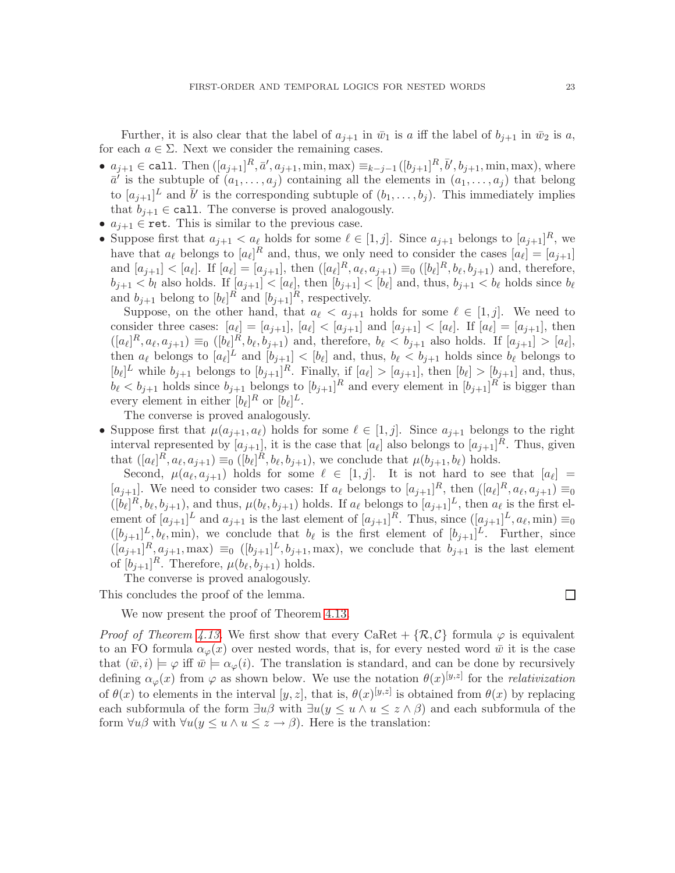Further, it is also clear that the label of  $a_{i+1}$  in  $\bar{w}_1$  is a iff the label of  $b_{i+1}$  in  $\bar{w}_2$  is a, for each  $a \in \Sigma$ . Next we consider the remaining cases.

- $a_{j+1} \in \text{call. Then } ([a_{j+1}]^R, \bar{a}', a_{j+1}, \min, \max) \equiv_{k-j-1} ([b_{j+1}]^R, \bar{b}', b_{j+1}, \min, \max)$ , where  $\bar{a}^{\prime}$  is the subtuple of  $(a_1,\ldots,a_j)$  containing all the elements in  $(a_1,\ldots,a_j)$  that belong to  $[a_{j+1}]^L$  and  $\bar{b}'$  is the corresponding subtuple of  $(b_1,\ldots,b_j)$ . This immediately implies that  $b_{i+1} \in \text{call}$ . The converse is proved analogously.
- $a_{j+1} \in \text{ret.}$  This is similar to the previous case.
- Suppose first that  $a_{j+1} < a_{\ell}$  holds for some  $\ell \in [1, j]$ . Since  $a_{j+1}$  belongs to  $[a_{j+1}]^R$ , we have that  $a_{\ell}$  belongs to  $[a_{\ell}]^R$  and, thus, we only need to consider the cases  $[a_{\ell}] = [a_{j+1}]$ and  $[a_{j+1}] < [a_{\ell}]$ . If  $[a_{\ell}] = [a_{j+1}]$ , then  $([a_{\ell}]^R, a_{\ell}, a_{j+1}) \equiv_0 ([b_{\ell}]^R, b_{\ell}, b_{j+1})$  and, therefore,  $b_{j+1} < b_l$  also holds. If  $[a_{j+1}] < [a_\ell]$ , then  $[b_{j+1}] < [b_\ell]$  and, thus,  $b_{j+1} < b_\ell$  holds since  $b_\ell$ and  $b_{j+1}$  belong to  $[b_{\ell}]^R$  and  $[b_{j+1}]^R$ , respectively.

Suppose, on the other hand, that  $a_{\ell} < a_{i+1}$  holds for some  $\ell \in [1, j]$ . We need to consider three cases:  $[a_{\ell}] = [a_{j+1}], [a_{\ell}] < [a_{j+1}]$  and  $[a_{j+1}] < [a_{\ell}].$  If  $[a_{\ell}] = [a_{j+1}],$  then  $([a_\ell]^R, a_\ell, a_{j+1}) \equiv_0 ([b_\ell]^R, b_\ell, b_{j+1})$  and, therefore,  $b_\ell < b_{j+1}$  also holds. If  $[a_{j+1}] > [a_\ell]$ , then  $a_{\ell}$  belongs to  $[a_{\ell}]^L$  and  $[b_{j+1}] < [b_{\ell}]$  and, thus,  $b_{\ell} < b_{j+1}$  holds since  $b_{\ell}$  belongs to  $[b_{\ell}]^L$  while  $b_{j+1}$  belongs to  $[b_{j+1}]^R$ . Finally, if  $[a_{\ell}] > [a_{j+1}]$ , then  $[b_{\ell}] > [b_{j+1}]$  and, thus,  $b_{\ell} < b_{j+1}$  holds since  $b_{j+1}$  belongs to  $[b_{j+1}]^R$  and every element in  $[b_{j+1}]^R$  is bigger than every element in either  $[b_{\ell}]^R$  or  $[b_{\ell}]^L$ .

The converse is proved analogously.

• Suppose first that  $\mu(a_{j+1},a_{\ell})$  holds for some  $\ell \in [1,j]$ . Since  $a_{j+1}$  belongs to the right interval represented by  $[a_{j+1}]$ , it is the case that  $[a_{\ell}]$  also belongs to  $[a_{j+1}]^R$ . Thus, given that  $([a_\ell]^R, a_\ell, a_{j+1}) \equiv_0 ([b_\ell]^R, b_\ell, b_{j+1})$ , we conclude that  $\mu(b_{j+1}, b_\ell)$  holds.

Second,  $\mu(a_{\ell}, a_{j+1})$  holds for some  $\ell \in [1, j]$ . It is not hard to see that  $[a_{\ell}] =$  $[a_{j+1}]$ . We need to consider two cases: If  $a_{\ell}$  belongs to  $[a_{j+1}]^R$ , then  $([a_{\ell}]^R, a_{\ell}, a_{j+1}) \equiv_0$  $([b_{\ell}]^R, b_{\ell}, b_{j+1}),$  and thus,  $\mu(b_{\ell}, b_{j+1})$  holds. If  $a_{\ell}$  belongs to  $[a_{j+1}]^L$ , then  $a_{\ell}$  is the first element of  $[a_{j+1}]^L$  and  $a_{j+1}$  is the last element of  $[a_{j+1}]^R$ . Thus, since  $([a_{j+1}]^L, a_{\ell}, \min) \equiv_0$  $([b_{j+1}]^L, b_{\ell}, \text{min})$ , we conclude that  $b_{\ell}$  is the first element of  $[b_{j+1}]^L$ . Further, since  $([a_{j+1}]^R, a_{j+1}, \text{max}) \equiv_0 ([b_{j+1}]^L, b_{j+1}, \text{max})$ , we conclude that  $b_{j+1}$  is the last element of  $[b_{j+1}]^R$ . Therefore,  $\mu(b_\ell, b_{j+1})$  holds.

The converse is proved analogously.

This concludes the proof of the lemma.

We now present the proof of Theorem [4.13.](#page-21-0)

*Proof of Theorem [4.13.](#page-21-0)* We first show that every CaRet +  $\{\mathcal{R}, \mathcal{C}\}\$  formula  $\varphi$  is equivalent to an FO formula  $\alpha_{\varphi}(x)$  over nested words, that is, for every nested word  $\bar{w}$  it is the case that  $(\bar{w},i) \models \varphi$  iff  $\bar{w} \models \alpha_{\varphi}(i)$ . The translation is standard, and can be done by recursively defining  $\alpha_{\varphi}(x)$  from  $\varphi$  as shown below. We use the notation  $\theta(x)^{[y,z]}$  for the *relativization* of  $\theta(x)$  to elements in the interval  $[y, z]$ , that is,  $\theta(x)^{[y,z]}$  is obtained from  $\theta(x)$  by replacing each subformula of the form  $\exists u \beta$  with  $\exists u(y \leq u \land u \leq z \land \beta)$  and each subformula of the form  $\forall u\beta$  with  $\forall u(y \leq u \land u \leq z \rightarrow \beta)$ . Here is the translation:

 $\Box$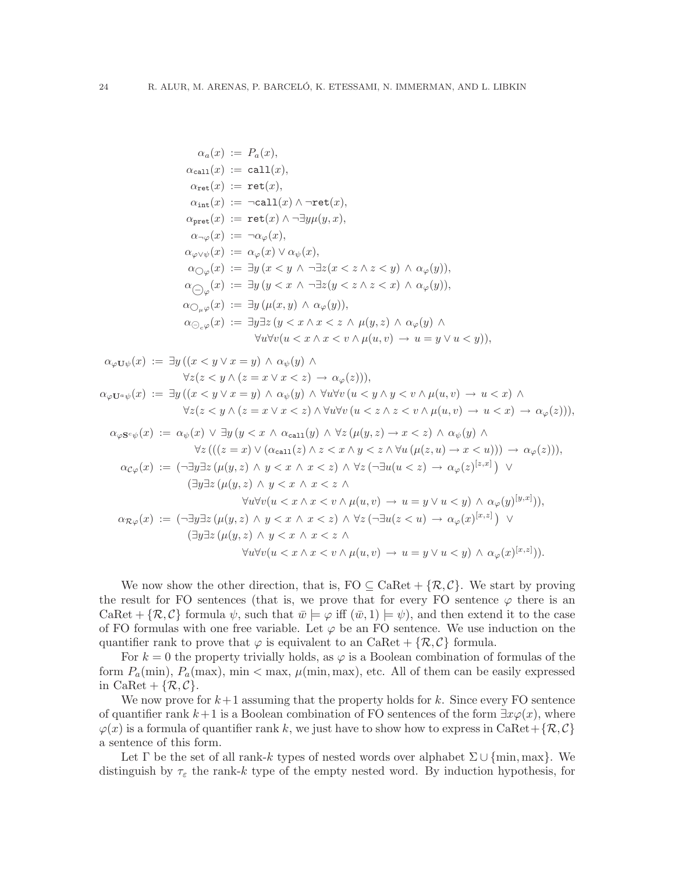$$
\alpha_a(x) := P_a(x),
$$
  
\n
$$
\alpha_{ca11}(x) := ca11(x),
$$
  
\n
$$
\alpha_{ret}(x) := ret(x),
$$
  
\n
$$
\alpha_{int}(x) := -ca11(x) \land -ret(x),
$$
  
\n
$$
\alpha_{pre}(x) := ret(x) \land -\frac{3y\mu(y, x)}{y, x},
$$
  
\n
$$
\alpha_{-\varphi}(x) := \alpha_{\varphi}(x),
$$
  
\n
$$
\alpha_{\varphi\psi}\psi(x) := \alpha_{\varphi}(x) \lor \alpha_{\psi}(x),
$$
  
\n
$$
\alpha_{\varphi\varphi}(x) := \exists y (x < y \land -\frac{1}{2}z(x < z \land z < y) \land \alpha_{\varphi}(y)),
$$
  
\n
$$
\alpha_{\varphi\varphi}(x) := \exists y (y < x \land -\frac{1}{2}z(y < z \land z < x) \land \alpha_{\varphi}(y)),
$$
  
\n
$$
\alpha_{\varphi\varphi}(x) := \exists y (u(x, y) \land \alpha_{\varphi}(y)),
$$
  
\n
$$
\alpha_{\varphi\varphi}(x) := \exists y (x < x \land x < z \land \mu(y, z) \land \alpha_{\varphi}(y),
$$
  
\n
$$
\forall u \forall v (u < x \land x < v \land \mu(u, v) \rightarrow u = y \lor u < y)),
$$
  
\n
$$
\alpha_{\varphi U\psi}(x) := \exists y ((x < y \lor x = y) \land \alpha_{\psi}(y) \land
$$
  
\n
$$
\forall z (z < y \land (z = x \lor x < z) \rightarrow \alpha_{\varphi}(z))),
$$
  
\n
$$
\alpha_{\varphi U\psi}(x) := \exists y ((x < y \lor x = y) \land \alpha_{\psi}(y) \land
$$
  
\n
$$
\forall z (z < y \land (z = x \lor x < z) \land \forall u \forall v (u < y \land y < v \land \mu(u, v) \rightarrow u < x) \land
$$
  
\n
$$
\forall z (z < y \land (z = x \lor x < z) \land \forall u \forall v (u < z \land x < v \land \mu(u, v) \rightarrow u < x) \land \alpha_{\varphi}(z))),
$$
  
\n
$$
\alpha_{
$$

We now show the other direction, that is,  $FO \subseteq CARet + \{R, C\}$ . We start by proving the result for FO sentences (that is, we prove that for every FO sentence  $\varphi$  there is an CaRet +  $\{\mathcal{R}, \mathcal{C}\}$  formula  $\psi$ , such that  $\bar{w} \models \varphi$  iff  $(\bar{w}, 1) \models \psi$ , and then extend it to the case of FO formulas with one free variable. Let  $\varphi$  be an FO sentence. We use induction on the quantifier rank to prove that  $\varphi$  is equivalent to an CaRet + { $\mathcal{R}, \mathcal{C}$ } formula.

For  $k = 0$  the property trivially holds, as  $\varphi$  is a Boolean combination of formulas of the form  $P_a(\text{min})$ ,  $P_a(\text{max})$ ,  $\min < \max$ ,  $\mu(\min, \max)$ , etc. All of them can be easily expressed in CaRet +  $\{\mathcal{R}, \mathcal{C}\}.$ 

We now prove for  $k+1$  assuming that the property holds for k. Since every FO sentence of quantifier rank  $k+1$  is a Boolean combination of FO sentences of the form  $\exists x \varphi(x)$ , where  $\varphi(x)$  is a formula of quantifier rank k, we just have to show how to express in CaRet + { $\mathcal{R}, \mathcal{C}$ } a sentence of this form.

Let  $\Gamma$  be the set of all rank-k types of nested words over alphabet  $\Sigma \cup \{\min, \max\}$ . We distinguish by  $\tau_{\varepsilon}$  the rank-k type of the empty nested word. By induction hypothesis, for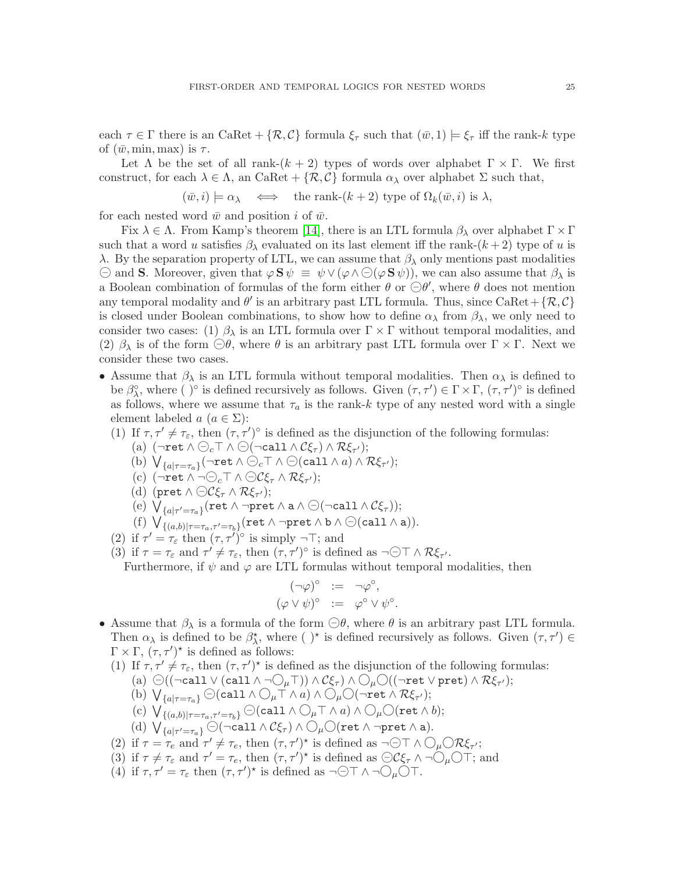each  $\tau \in \Gamma$  there is an CaRet  $+ \{R, C\}$  formula  $\xi_{\tau}$  such that  $(\bar{w}, 1) \models \xi_{\tau}$  iff the rank-k type of  $(\bar{w}, \min, \max)$  is  $\tau$ .

Let  $\Lambda$  be the set of all rank- $(k + 2)$  types of words over alphabet  $\Gamma \times \Gamma$ . We first construct, for each  $\lambda \in \Lambda$ , an CaRet +  $\{\mathcal{R}, \mathcal{C}\}\$  formula  $\alpha_{\lambda}$  over alphabet  $\Sigma$  such that,

$$
(\bar{w}, i) \models \alpha_{\lambda} \iff \text{the rank-}(k+2) \text{ type of } \Omega_k(\bar{w}, i) \text{ is } \lambda,
$$

for each nested word  $\bar{w}$  and position i of  $\bar{w}$ .

Fix  $\lambda \in \Lambda$ . From Kamp's theorem [\[14\]](#page-39-24), there is an LTL formula  $\beta_{\lambda}$  over alphabet  $\Gamma \times \Gamma$ such that a word u satisfies  $\beta_{\lambda}$  evaluated on its last element iff the rank- $(k+2)$  type of u is λ. By the separation property of LTL, we can assume that  $β<sub>λ</sub>$  only mentions past modalities  $\Theta$  and S. Moreover, given that  $\varphi S \psi \equiv \psi \vee (\varphi \wedge \Theta(\varphi S \psi))$ , we can also assume that  $\beta_{\lambda}$  is a Boolean combination of formulas of the form either  $\theta$  or  $\bigodot \theta'$ , where  $\theta$  does not mention any temporal modality and  $\theta'$  is an arbitrary past LTL formula. Thus, since CaRet + { $\mathcal{R}, \mathcal{C}$ } is closed under Boolean combinations, to show how to define  $\alpha_{\lambda}$  from  $\beta_{\lambda}$ , we only need to consider two cases: (1)  $\beta_{\lambda}$  is an LTL formula over  $\Gamma \times \Gamma$  without temporal modalities, and (2)  $\beta_{\lambda}$  is of the form  $\bigcirc \theta$ , where  $\theta$  is an arbitrary past LTL formula over  $\Gamma \times \Gamma$ . Next we consider these two cases.

- Assume that  $\beta_{\lambda}$  is an LTL formula without temporal modalities. Then  $\alpha_{\lambda}$  is defined to be  $\beta_{\lambda}^{\circ}$ , where ()° is defined recursively as follows. Given  $(\tau, \tau') \in \Gamma \times \Gamma$ ,  $(\tau, \tau')^{\circ}$  is defined as follows, where we assume that  $\tau_a$  is the rank-k type of any nested word with a single element labeled  $a \ (a \in \Sigma)$ :
	- (1) If  $\tau, \tau' \neq \tau_{\varepsilon}$ , then  $(\tau, \tau')^{\circ}$  is defined as the disjunction of the following formulas:
		- (a)  $(\neg \textsf{ret} \land \ominus_c \top \land \ominus (\neg \textsf{call} \land \mathcal{C}\xi_\tau) \land \mathcal{R}\xi_{\tau'});$
		- (b)  $V_{\{a|\tau=\tau_a\}}(\neg \text{ret } \wedge \ominus_c \top \wedge \ominus(\text{call } \wedge a) \wedge \mathcal{R}\xi_{\tau'});$
		- (c)  $(\neg \text{ret} \land \neg \ominus_c \top \land \ominus \mathcal{C} \xi_{\tau} \land \mathcal{R} \xi_{\tau'});$
		- (d) (pret  $\wedge \bigodot C \xi_{\tau} \wedge \mathcal{R} \xi_{\tau'}$ );
		- (e)  $V_{\{a|\tau'=\tau_a\}}(\text{ret }\wedge\text{-pret }\wedge \text{ a }\wedge\bigodot(\neg\text{call }\wedge\mathcal{C}\xi_{\tau}));$
		- (f)  $\bigvee_{\{(a,b)|\tau=\tau_a,\tau'=\tau_b\}}$  (ret  $\wedge$   $\neg$ pret  $\wedge$  b  $\wedge$   $\ominus$  (call  $\wedge$  a)).
	- (2) if  $\tau' = \tau_{\varepsilon}$  then  $(\tau, \tau')^{\circ}$  is simply  $\neg$   $\neg$ ; and
	- (3) if  $\tau = \tau_{\varepsilon}$  and  $\tau' \neq \tau_{\varepsilon}$ , then  $(\tau, \tau')^{\circ}$  is defined as  $\neg \ominus \top \wedge \mathcal{R}\xi_{\tau'}$ .

Furthermore, if  $\psi$  and  $\varphi$  are LTL formulas without temporal modalities, then

$$
(\neg \varphi)^{\circ} := \neg \varphi^{\circ},
$$
  

$$
(\varphi \vee \psi)^{\circ} := \varphi^{\circ} \vee \psi^{\circ}.
$$

- Assume that  $\beta_{\lambda}$  is a formula of the form  $\bigcirc \theta$ , where  $\theta$  is an arbitrary past LTL formula. Then  $\alpha_{\lambda}$  is defined to be  $\beta^*_{\lambda}$ , where ( )<sup>\*</sup> is defined recursively as follows. Given  $(\tau, \tau') \in$  $\Gamma \times \Gamma$ ,  $(\tau, \tau')^*$  is defined as follows:
	- (1) If  $\tau, \tau' \neq \tau_{\varepsilon}$ , then  $(\tau, \tau')^*$  is defined as the disjunction of the following formulas:
		- (a)  $\odot ((\neg \text{call} \lor (\text{call} \land \neg \bigcirc_{\mu} \top)) \land \mathcal{C}\xi_{\tau}) \land \bigcirc_{\mu} \bigcirc ((\neg \text{ret} \lor \text{pret}) \land \mathcal{R}\xi_{\tau'});$
		- (b)  $\bigvee_{\{a|\tau=\tau_a\}} \bigodot ( \text{call } \wedge \bigcirc_{\mu} \top \wedge a) \wedge \bigcirc_{\mu} \bigcirc (\neg \text{ret } \wedge \mathcal{R}\xi_{\tau'});$
		- (c)  $\bigvee_{\{(a,b)|\tau=\tau_a,\tau'=\tau_b\}} \bigodot (call \wedge \bigcirc_{\mu} \top \wedge a) \wedge \bigcirc_{\mu} \bigcirc (\mathtt{ret} \wedge b);$
		- (d)  $\bigvee_{\{a|\tau'=\tau_a\}}$   $\ominus$   $(\neg \text{call} \land \mathcal{C}\xi_{\tau}) \land \bigcirc_{\mu} \bigcirc$  (ret  $\land \neg \text{pret} \land a$ ).
	- (2) if  $\tau = \tau_e$  and  $\tau' \neq \tau_e$ , then  $(\tau, \tau')^*$  is defined as  $\neg \ominus \top \wedge \bigcirc_{\mu} \bigcirc \mathcal{R} \xi_{\tau'}$ ;
	- (3) if  $\tau \neq \tau_{\varepsilon}$  and  $\tau' = \tau_{e}$ , then  $(\tau, \tau')^*$  is defined as  $\bigodot C\xi_{\tau} \wedge \neg \bigodot_{\mu} \bigcirc \tau'$ ; and
	- (4) if  $\tau, \tau' = \tau_{\varepsilon}$  then  $(\tau, \tau')^*$  is defined as  $\neg \ominus \top \wedge \neg \ominus_{\mu} \bigcirc \top$ .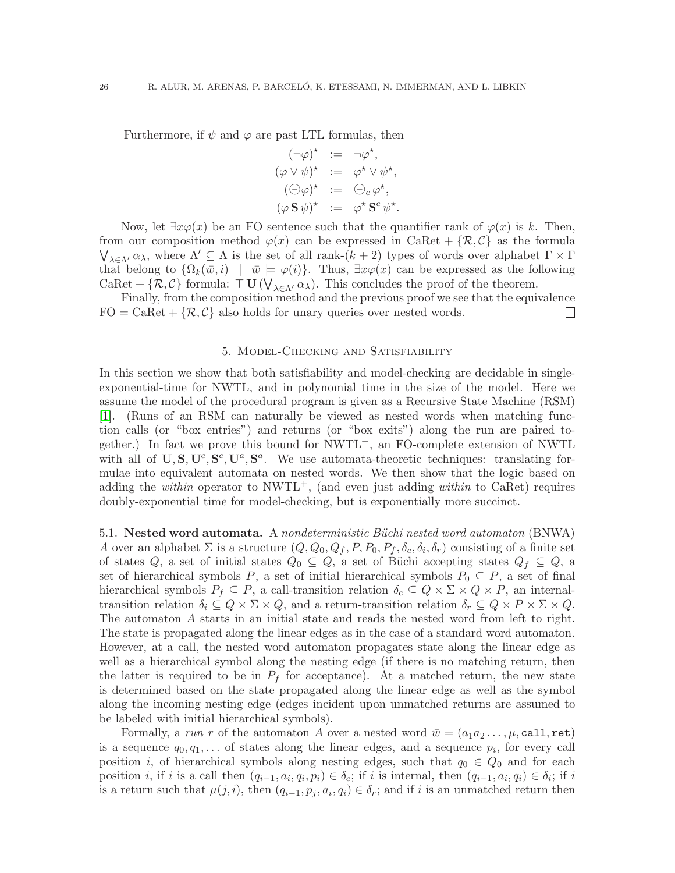Furthermore, if  $\psi$  and  $\varphi$  are past LTL formulas, then

$$
(\neg \varphi)^{\star} := \neg \varphi^{\star},
$$
  
\n
$$
(\varphi \vee \psi)^{\star} := \varphi^{\star} \vee \psi^{\star},
$$
  
\n
$$
(\ominus \varphi)^{\star} := \ominus_c \varphi^{\star},
$$
  
\n
$$
(\varphi \mathbf{S} \psi)^{\star} := \varphi^{\star} \mathbf{S}^c \psi^{\star}.
$$

Now, let  $\exists x \varphi(x)$  be an FO sentence such that the quantifier rank of  $\varphi(x)$  is k. Then, from our composition method  $\varphi(x)$  can be expressed in CaRet + { $\mathcal{R}, \mathcal{C}$ } as the formula  $\bigvee_{\lambda \in \Lambda'} \alpha_{\lambda}$ , where  $\Lambda' \subseteq \Lambda$  is the set of all rank- $(k+2)$  types of words over alphabet  $\Gamma \times \Gamma$ that belong to  $\{\Omega_k(\bar{w},i) \mid \bar{w} \models \varphi(i)\}.$  Thus,  $\exists x \varphi(x)$  can be expressed as the following CaRet +  $\{\mathcal{R}, \mathcal{C}\}$  formula:  $\top \mathbf{U}(\bigvee_{\lambda \in \Lambda'} \alpha_{\lambda})$ . This concludes the proof of the theorem.

Finally, from the composition method and the previous proof we see that the equivalence  $FO = CaRet + \{R, C\}$  also holds for unary queries over nested words.  $\Box$ 

#### 5. Model-Checking and Satisfiability

<span id="page-27-0"></span>In this section we show that both satisfiability and model-checking are decidable in singleexponential-time for NWTL, and in polynomial time in the size of the model. Here we assume the model of the procedural program is given as a Recursive State Machine (RSM) [\[1\]](#page-39-5). (Runs of an RSM can naturally be viewed as nested words when matching function calls (or "box entries") and returns (or "box exits") along the run are paired together.) In fact we prove this bound for  $NWTL^+$ , an FO-complete extension of NWTL with all of  $\mathbf{U}, \mathbf{S}, \mathbf{U}^c, \mathbf{S}^c, \mathbf{U}^a, \mathbf{S}^a$ . We use automata-theoretic techniques: translating formulae into equivalent automata on nested words. We then show that the logic based on adding the *within* operator to NWTL<sup>+</sup>, (and even just adding *within* to CaRet) requires doubly-exponential time for model-checking, but is exponentially more succinct.

5.1. Nested word automata. A *nondeterministic Büchi nested word automaton* (BNWA) A over an alphabet  $\Sigma$  is a structure  $(Q, Q_0, Q_f, P, P_0, P_f, \delta_c, \delta_i, \delta_r)$  consisting of a finite set of states Q, a set of initial states  $Q_0 \subseteq Q$ , a set of Büchi accepting states  $Q_f \subseteq Q$ , a set of hierarchical symbols P, a set of initial hierarchical symbols  $P_0 \subseteq P$ , a set of final hierarchical symbols  $P_f \subseteq P$ , a call-transition relation  $\delta_c \subseteq Q \times \Sigma \times Q \times P$ , an internaltransition relation  $\delta_i \subseteq Q \times \Sigma \times Q$ , and a return-transition relation  $\delta_r \subseteq Q \times P \times \Sigma \times Q$ . The automaton A starts in an initial state and reads the nested word from left to right. The state is propagated along the linear edges as in the case of a standard word automaton. However, at a call, the nested word automaton propagates state along the linear edge as well as a hierarchical symbol along the nesting edge (if there is no matching return, then the latter is required to be in  $P_f$  for acceptance). At a matched return, the new state is determined based on the state propagated along the linear edge as well as the symbol along the incoming nesting edge (edges incident upon unmatched returns are assumed to be labeled with initial hierarchical symbols).

Formally, a *run* r of the automaton A over a nested word  $\bar{w} = (a_1 a_2 \dots, \mu, \text{call}, \text{ret})$ is a sequence  $q_0, q_1, \ldots$  of states along the linear edges, and a sequence  $p_i$ , for every call position i, of hierarchical symbols along nesting edges, such that  $q_0 \in Q_0$  and for each position *i*, if *i* is a call then  $(q_{i-1}, a_i, q_i, p_i) \in \delta_c$ ; if *i* is internal, then  $(q_{i-1}, a_i, q_i) \in \delta_i$ ; if *i* is a return such that  $\mu(j, i)$ , then  $(q_{i-1}, p_j, a_i, q_i) \in \delta_r$ ; and if i is an unmatched return then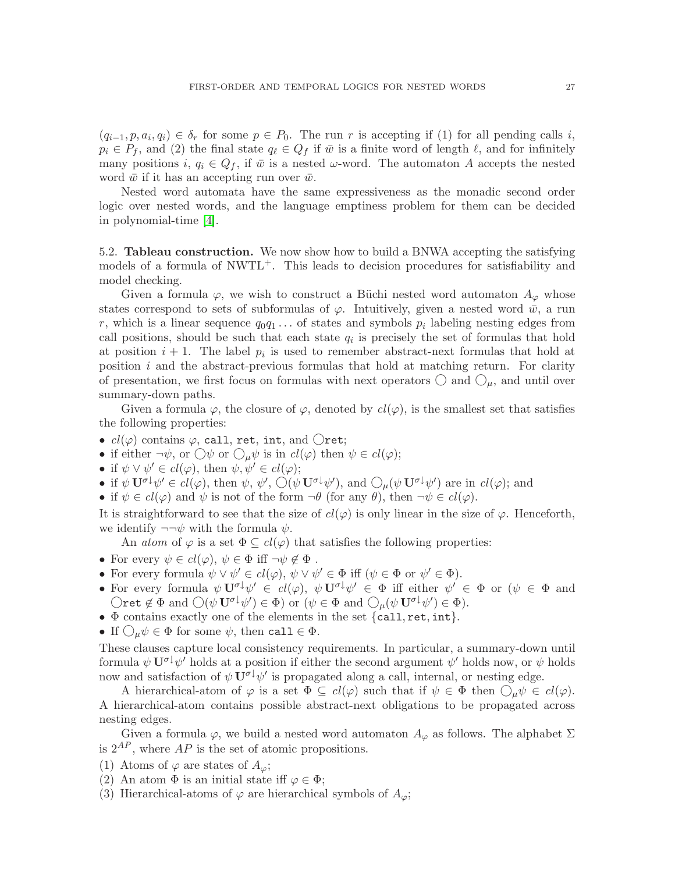$(q_{i-1},p,a_i,q_i) \in \delta_r$  for some  $p \in P_0$ . The run r is accepting if (1) for all pending calls i,  $p_i \in P_f$ , and (2) the final state  $q_\ell \in Q_f$  if  $\bar{w}$  is a finite word of length  $\ell$ , and for infinitely many positions i,  $q_i \in Q_f$ , if  $\bar{w}$  is a nested  $\omega$ -word. The automaton A accepts the nested word  $\bar{w}$  if it has an accepting run over  $\bar{w}$ .

Nested word automata have the same expressiveness as the monadic second order logic over nested words, and the language emptiness problem for them can be decided in polynomial-time [\[4\]](#page-39-0).

5.2. Tableau construction. We now show how to build a BNWA accepting the satisfying models of a formula of  $\text{NWTL}^+$ . This leads to decision procedures for satisfiability and model checking.

Given a formula  $\varphi$ , we wish to construct a Büchi nested word automaton  $A_{\varphi}$  whose states correspond to sets of subformulas of  $\varphi$ . Intuitively, given a nested word  $\bar{w}$ , a run r, which is a linear sequence  $q_0q_1 \ldots$  of states and symbols  $p_i$  labeling nesting edges from call positions, should be such that each state  $q_i$  is precisely the set of formulas that hold at position  $i+1$ . The label  $p_i$  is used to remember abstract-next formulas that hold at position  $i$  and the abstract-previous formulas that hold at matching return. For clarity of presentation, we first focus on formulas with next operators  $\bigcirc$  and  $\bigcirc_{\mu}$ , and until over summary-down paths.

Given a formula  $\varphi$ , the closure of  $\varphi$ , denoted by  $cl(\varphi)$ , is the smallest set that satisfies the following properties:

- $cl(\varphi)$  contains  $\varphi$ , call, ret, int, and  $\bigcirc$ ret;
- if either  $\neg \psi$ , or  $\bigcirc \psi$  or  $\bigcirc_{\mu} \psi$  is in  $cl(\varphi)$  then  $\psi \in cl(\varphi)$ ;
- if  $\psi \lor \psi' \in cl(\varphi)$ , then  $\psi, \psi' \in cl(\varphi)$ ;
- if  $\psi \mathbf{U}^{\sigma\downarrow} \psi' \in cl(\varphi)$ , then  $\psi$ ,  $\psi'$ ,  $\bigcirc (\psi \mathbf{U}^{\sigma\downarrow} \psi')$ , and  $\bigcirc_{\mu} (\psi \mathbf{U}^{\sigma\downarrow} \psi')$  are in  $cl(\varphi)$ ; and
- if  $\psi \in cl(\varphi)$  and  $\psi$  is not of the form  $\neg \theta$  (for any  $\theta$ ), then  $\neg \psi \in cl(\varphi)$ .

It is straightforward to see that the size of  $cl(\varphi)$  is only linear in the size of  $\varphi$ . Henceforth, we identify  $\neg\neg\psi$  with the formula  $\psi$ .

An *atom* of  $\varphi$  is a set  $\Phi \subseteq cl(\varphi)$  that satisfies the following properties:

- For every  $\psi \in cl(\varphi), \psi \in \Phi \text{ iff } \neg \psi \notin \Phi$ .
- For every formula  $\psi \lor \psi' \in cl(\varphi), \psi \lor \psi' \in \Phi$  iff  $(\psi \in \Phi \text{ or } \psi' \in \Phi)$ .
- For every formula  $\psi \mathbf{U}^{\sigma \downarrow} \psi' \in cl(\varphi), \ \psi \mathbf{U}^{\sigma \downarrow} \psi' \in \Phi$  iff either  $\psi' \in \Phi$  or  $(\psi \in \Phi \text{ and } \psi)$  $\bigcirc$ ret  $\notin \Phi$  and  $\bigcirc (\psi \mathbf{U}^{\sigma \downarrow} \psi') \in \Phi$ ) or  $(\psi \in \Phi \text{ and } \bigcirc_{\mu} (\psi \mathbf{U}^{\sigma \downarrow} \psi') \in \Phi)$ .
- Φ contains exactly one of the elements in the set {call, ret, int}.
- If  $\bigcirc_{\mu}\psi \in \Phi$  for some  $\psi$ , then call  $\in \Phi$ .

These clauses capture local consistency requirements. In particular, a summary-down until formula  $\psi \mathbf{U}^{\sigma\downarrow}\psi'$  holds at a position if either the second argument  $\psi'$  holds now, or  $\psi$  holds now and satisfaction of  $\psi \mathbf{U}^{\sigma \downarrow} \psi'$  is propagated along a call, internal, or nesting edge.

A hierarchical-atom of  $\varphi$  is a set  $\Phi \subseteq cl(\varphi)$  such that if  $\psi \in \Phi$  then  $\bigcirc_{\mu} \psi \in cl(\varphi)$ . A hierarchical-atom contains possible abstract-next obligations to be propagated across nesting edges.

Given a formula  $\varphi$ , we build a nested word automaton  $A_{\varphi}$  as follows. The alphabet  $\Sigma$ is  $2^{AP}$ , where AP is the set of atomic propositions.

- (1) Atoms of  $\varphi$  are states of  $A_{\varphi}$ ;
- (2) An atom  $\Phi$  is an initial state iff  $\varphi \in \Phi$ ;
- (3) Hierarchical-atoms of  $\varphi$  are hierarchical symbols of  $A_{\varphi}$ ;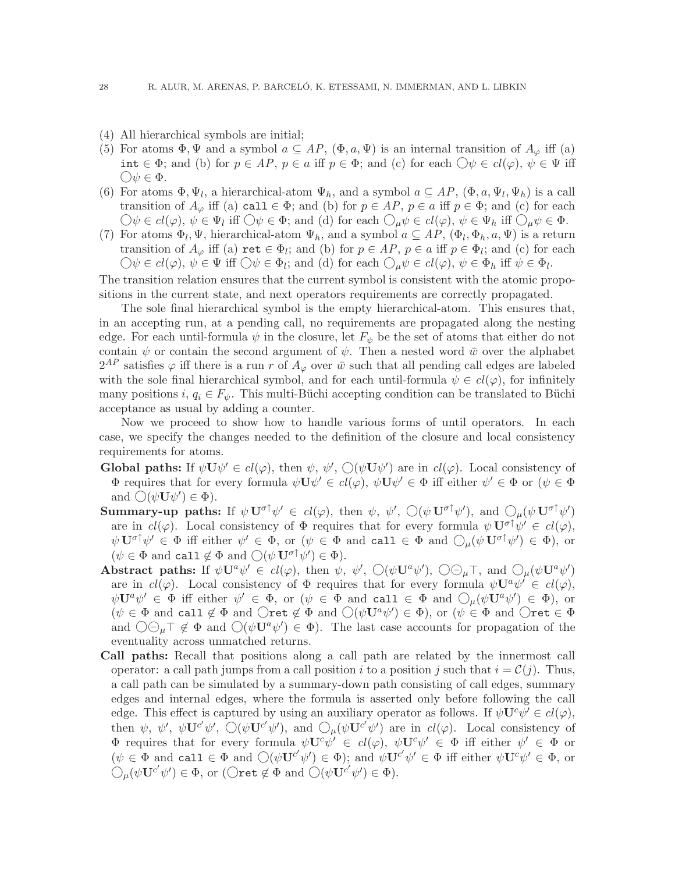- (4) All hierarchical symbols are initial;
- (5) For atoms  $\Phi, \Psi$  and a symbol  $a \subseteq AP$ ,  $(\Phi, a, \Psi)$  is an internal transition of  $A_{\varphi}$  iff (a) int ∈  $\Phi$ ; and (b) for  $p \in AP$ ,  $p \in a$  iff  $p \in \Phi$ ; and (c) for each  $\bigcirc \psi \in cl(\varphi)$ ,  $\psi \in \Psi$  iff  $\bigcirc \psi \in \Phi$ .
- (6) For atoms  $\Phi, \Psi_l$ , a hierarchical-atom  $\Psi_h$ , and a symbol  $a \subseteq AP$ ,  $(\Phi, a, \Psi_l, \Psi_h)$  is a call transition of  $A_{\varphi}$  iff (a) call  $\in \Phi$ ; and (b) for  $p \in AP$ ,  $p \in a$  iff  $p \in \Phi$ ; and (c) for each  $\bigcirc \psi \in cl(\varphi), \psi \in \Psi_l \text{ iff } \bigcirc \psi \in \Phi; \text{ and (d) for each } \bigcirc \mu \psi \in cl(\varphi), \psi \in \Psi_h \text{ iff } \bigcirc \mu \psi \in \Phi.$
- (7) For atoms  $\Phi_l$ ,  $\Psi$ , hierarchical-atom  $\Psi_h$ , and a symbol  $a \subseteq AP$ ,  $(\Phi_l, \Phi_h, a, \Psi)$  is a return transition of  $A_{\varphi}$  iff (a)  $\mathbf{ret} \in \Phi_l$ ; and (b) for  $p \in AP$ ,  $p \in a$  iff  $p \in \Phi_l$ ; and (c) for each  $\bigcirc \psi \in cl(\varphi), \psi \in \Psi \text{ iff } \bigcirc \psi \in \Phi_l \text{; and (d) for each } \bigcirc \mu \psi \in cl(\varphi), \psi \in \Phi_h \text{ iff } \psi \in \Phi_l.$

The transition relation ensures that the current symbol is consistent with the atomic propositions in the current state, and next operators requirements are correctly propagated.

The sole final hierarchical symbol is the empty hierarchical-atom. This ensures that, in an accepting run, at a pending call, no requirements are propagated along the nesting edge. For each until-formula  $\psi$  in the closure, let  $F_{\psi}$  be the set of atoms that either do not contain  $\psi$  or contain the second argument of  $\psi$ . Then a nested word  $\bar{w}$  over the alphabet  $2^{AP}$  satisfies  $\varphi$  iff there is a run r of  $A_{\varphi}$  over  $\bar{w}$  such that all pending call edges are labeled with the sole final hierarchical symbol, and for each until-formula  $\psi \in cl(\varphi)$ , for infinitely many positions i,  $q_i \in F_{\psi}$ . This multi-Büchi accepting condition can be translated to Büchi acceptance as usual by adding a counter.

Now we proceed to show how to handle various forms of until operators. In each case, we specify the changes needed to the definition of the closure and local consistency requirements for atoms.

- Global paths: If  $\psi \mathbf{U} \psi' \in cl(\varphi)$ , then  $\psi$ ,  $\psi'$ ,  $\mathcal{O}(\psi \mathbf{U} \psi')$  are in  $cl(\varphi)$ . Local consistency of  $\Phi$  requires that for every formula  $\psi \mathbf{U} \psi' \in cl(\varphi)$ ,  $\psi \mathbf{U} \psi' \in \Phi$  iff either  $\psi' \in \Phi$  or  $(\psi \in \Phi)$ and  $\bigcirc(\psi \mathbf{U}\psi') \in \Phi$ ).
- Summary-up paths: If  $\psi \mathbf{U}^{\sigma \dagger} \psi' \in cl(\varphi)$ , then  $\psi$ ,  $\psi'$ ,  $\bigcirc (\psi \mathbf{U}^{\sigma \dagger} \psi')$ , and  $\bigcirc_{\mu} (\psi \mathbf{U}^{\sigma \dagger} \psi')$ are in  $cl(\varphi)$ . Local consistency of  $\Phi$  requires that for every formula  $\psi \mathbf{U}^{\sigma \dagger} \psi' \in cl(\varphi)$ ,  $\psi\,\mathbf{U}^{\sigma\uparrow}\psi'\,\in\,\Phi$  iff either  $\psi'\,\in\,\Phi,$  or  $(\psi\in\,\Phi\,\,{\rm and}\,\,$  call  $\in\,\Phi\,\,{\rm and}\,\,\bigcirc_\mu(\psi\,\mathbf{U}^{\sigma\uparrow}\psi')\,\in\,\Phi),$  or  $(\psi \in \Phi \text{ and call } \notin \Phi \text{ and } \bigcirc (\psi \mathbf{U}^{\sigma \uparrow} \psi') \in \Phi).$
- Abstract paths: If  $\psi \mathbf{U}^a \psi' \in cl(\varphi)$ , then  $\psi$ ,  $\psi'$ ,  $\bigcirc (\psi \mathbf{U}^a \psi')$ ,  $\bigcirc \ominus_{\mu} \top$ , and  $\bigcirc_{\mu} (\psi \mathbf{U}^a \psi')$ are in  $cl(\varphi)$ . Local consistency of  $\Phi$  requires that for every formula  $\psi \mathbf{U}^a \psi' \in cl(\varphi)$ ,  $\psi\mathbf{U}^{a}\psi' \in \Phi$  iff either  $\psi' \in \Phi$ , or  $(\psi \in \Phi \text{ and call } \in \Phi \text{ and } \bigcirc_{\mu}(\psi\mathbf{U}^{a}\psi') \in \Phi)$ , or  $(\psi \in \Phi \text{ and call } \notin \Phi \text{ and } \bigcirc \text{ret } \notin \Phi \text{ and } \bigcirc (\psi \mathbf{U}^a \psi' ) \in \Phi)$ , or  $(\psi \in \Phi \text{ and } \bigcirc \text{ret } \in \Phi)$ and  $\bigcirc \ominus_{\mu} \top \notin \Phi$  and  $\bigcirc (\psi \check{\mathbf{U}}^a \psi') \in \Phi$ ). The last case accounts for propagation of the eventuality across unmatched returns.
- Call paths: Recall that positions along a call path are related by the innermost call operator: a call path jumps from a call position i to a position j such that  $i = \mathcal{C}(j)$ . Thus, a call path can be simulated by a summary-down path consisting of call edges, summary edges and internal edges, where the formula is asserted only before following the call edge. This effect is captured by using an auxiliary operator as follows. If  $\psi \mathbf{U}^c \psi' \in cl(\varphi)$ , then  $\psi$ ,  $\psi'$ ,  $\psi'$ ,  $\Diamond(\psi \mathbf{U}^{c'}\psi')$ , and  $\Diamond_{\mu}(\psi \mathbf{U}^{c'}\psi')$  are in  $cl(\varphi)$ . Local consistency of  $\Phi$  requires that for every formula  $\psi \mathbf{U}^c \psi' \in cl(\varphi)$ ,  $\psi \mathbf{U}^c \psi' \in \Phi$  iff either  $\psi' \in \Phi$  or  $(\psi \in \Phi \text{ and } \text{call} \in \Phi \text{ and } \bigcirc (\psi \mathbf{U}^{c'} \psi') \in \Phi);$  and  $\psi \mathbf{U}^{c'} \psi' \in \Phi$  iff either  $\psi \mathbf{U}^{c} \psi' \in \Phi$ , or  $\bigcirc_{\mu}(\psi\mathbf{U}^{c'}\psi') \in \Phi$ , or  $(\bigcirc \mathbf{ret} \notin \Phi \text{ and } \bigcirc (\psi \mathbf{U}^{c'}\psi') \in \Phi)$ .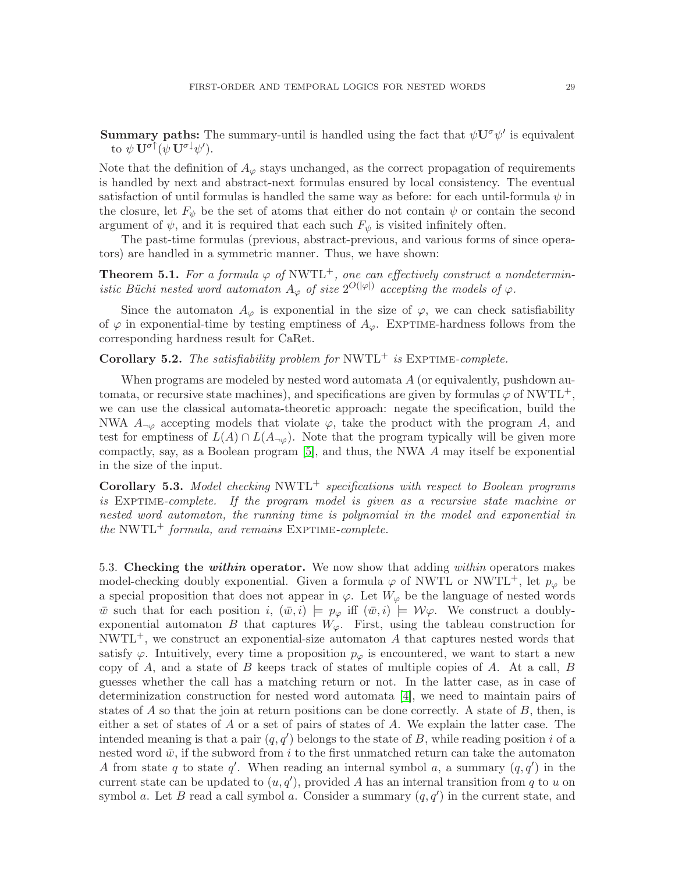**Summary paths:** The summary-until is handled using the fact that  $\psi \mathbf{U}^{\sigma} \psi'$  is equivalent to  $\psi \, {\bf U}^{\sigma \dagger}(\psi \, {\bf U}^{\sigma \downarrow} \psi').$ 

Note that the definition of  $A_{\varphi}$  stays unchanged, as the correct propagation of requirements is handled by next and abstract-next formulas ensured by local consistency. The eventual satisfaction of until formulas is handled the same way as before: for each until-formula  $\psi$  in the closure, let  $F_{\psi}$  be the set of atoms that either do not contain  $\psi$  or contain the second argument of  $\psi$ , and it is required that each such  $F_{\psi}$  is visited infinitely often.

<span id="page-30-0"></span>The past-time formulas (previous, abstract-previous, and various forms of since operators) are handled in a symmetric manner. Thus, we have shown:

**Theorem 5.1.** For a formula  $\varphi$  of NWTL<sup>+</sup>, one can effectively construct a nondetermin*istic Büchi nested word automaton*  $A_{\varphi}$  *of size*  $2^{O(|\varphi|)}$  *accepting the models of*  $\varphi$ *.* 

Since the automaton  $A_{\varphi}$  is exponential in the size of  $\varphi$ , we can check satisfiability of  $\varphi$  in exponential-time by testing emptiness of  $A_{\varphi}$ . EXPTIME-hardness follows from the corresponding hardness result for CaRet.

**Corollary 5.2.** *The satisfiability problem for*  $NWTL^+$  *is* EXPTIME-*complete.* 

When programs are modeled by nested word automata  $A$  (or equivalently, pushdown automata, or recursive state machines), and specifications are given by formulas  $\varphi$  of NWTL<sup>+</sup>, we can use the classical automata-theoretic approach: negate the specification, build the NWA  $A_{\neg \varphi}$  accepting models that violate  $\varphi$ , take the product with the program A, and test for emptiness of  $L(A) \cap L(A_{\neg \varphi})$ . Note that the program typically will be given more compactly, say, as a Boolean program [\[5\]](#page-39-3), and thus, the NWA A may itself be exponential in the size of the input.

Corollary 5.3. *Model checking* NWTL<sup>+</sup> *specifications with respect to Boolean programs is* Exptime*-complete. If the program model is given as a recursive state machine or nested word automaton, the running time is polynomial in the model and exponential in the* NWTL<sup>+</sup> *formula, and remains* EXPTIME-*complete.* 

5.3. Checking the within operator. We now show that adding *within* operators makes model-checking doubly exponential. Given a formula  $\varphi$  of NWTL or NWTL<sup>+</sup>, let  $p_{\varphi}$  be a special proposition that does not appear in  $\varphi$ . Let  $W_{\varphi}$  be the language of nested words w such that for each position i,  $(\bar{w},i) \models p_{\varphi}$  iff  $(\bar{w},i) \models \mathcal{W}\varphi$ . We construct a doublyexponential automaton B that captures  $W_{\varphi}$ . First, using the tableau construction for  $NWTL^+$ , we construct an exponential-size automaton A that captures nested words that satisfy  $\varphi$ . Intuitively, every time a proposition  $p_{\varphi}$  is encountered, we want to start a new copy of  $A$ , and a state of  $B$  keeps track of states of multiple copies of  $A$ . At a call,  $B$ guesses whether the call has a matching return or not. In the latter case, as in case of determinization construction for nested word automata [\[4\]](#page-39-0), we need to maintain pairs of states of A so that the join at return positions can be done correctly. A state of  $B$ , then, is either a set of states of  $A$  or a set of pairs of states of  $A$ . We explain the latter case. The intended meaning is that a pair  $(q, q')$  belongs to the state of B, while reading position i of a nested word  $\bar{w}$ , if the subword from i to the first unmatched return can take the automaton A from state q to state q'. When reading an internal symbol a, a summary  $(q, q')$  in the current state can be updated to  $(u, q')$ , provided A has an internal transition from q to u on symbol a. Let B read a call symbol a. Consider a summary  $(q, q')$  in the current state, and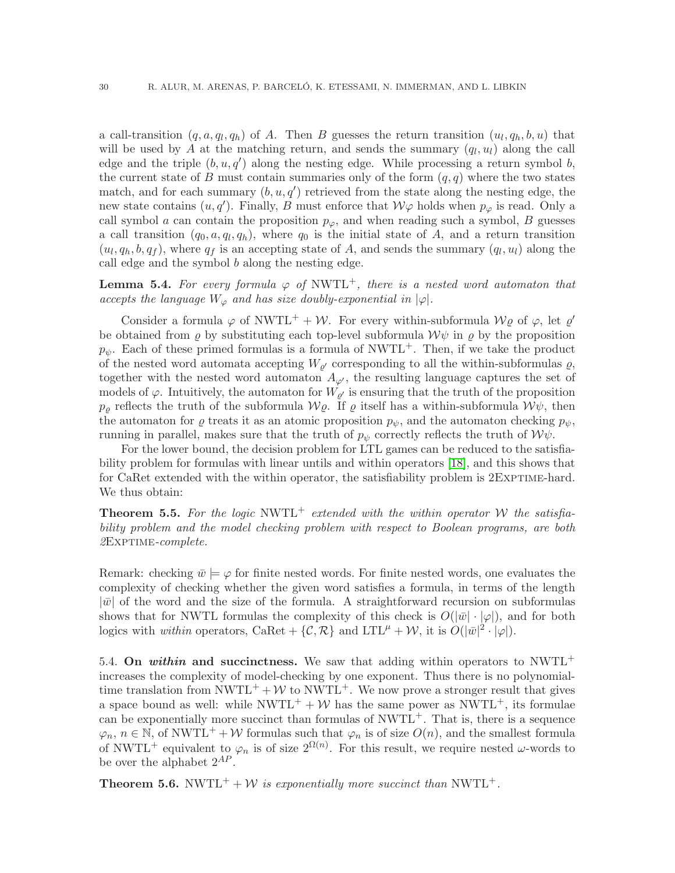a call-transition  $(q, a, q_l, q_h)$  of A. Then B guesses the return transition  $(u_l, q_h, b, u)$  that will be used by A at the matching return, and sends the summary  $(q_l, u_l)$  along the call edge and the triple  $(b, u, q')$  along the nesting edge. While processing a return symbol b, the current state of B must contain summaries only of the form  $(q, q)$  where the two states match, and for each summary  $(b, u, q')$  retrieved from the state along the nesting edge, the new state contains  $(u, q')$ . Finally, B must enforce that  $W\varphi$  holds when  $p_{\varphi}$  is read. Only a call symbol a can contain the proposition  $p_{\varphi}$ , and when reading such a symbol, B guesses a call transition  $(q_0, a, q_l, q_h)$ , where  $q_0$  is the initial state of A, and a return transition  $(u_l, q_h, b, q_f)$ , where  $q_f$  is an accepting state of A, and sends the summary  $(q_l, u_l)$  along the call edge and the symbol  $b$  along the nesting edge.

**Lemma 5.4.** For every formula  $\varphi$  of NWTL<sup>+</sup>, there is a nested word automaton that *accepts the language*  $W_{\varphi}$  *and has size doubly-exponential in*  $|\varphi|$ *.* 

Consider a formula  $\varphi$  of NWTL<sup>+</sup> + W. For every within-subformula  $\mathcal{W}\varrho$  of  $\varphi$ , let  $\varrho'$ be obtained from  $\rho$  by substituting each top-level subformula  $\mathcal{W}\psi$  in  $\rho$  by the proposition  $p_{\psi}$ . Each of these primed formulas is a formula of NWTL<sup>+</sup>. Then, if we take the product of the nested word automata accepting  $W_{\varrho'}$  corresponding to all the within-subformulas  $\varrho$ , together with the nested word automaton  $A_{\varphi'}$ , the resulting language captures the set of models of  $\varphi$ . Intuitively, the automaton for  $W_{\rho'}$  is ensuring that the truth of the proposition  $p_{\rho}$  reflects the truth of the subformula  $\mathcal{W}\varrho$ . If  $\rho$  itself has a within-subformula  $\mathcal{W}\psi$ , then the automaton for  $\varrho$  treats it as an atomic proposition  $p_{\psi}$ , and the automaton checking  $p_{\psi}$ , running in parallel, makes sure that the truth of  $p_{\psi}$  correctly reflects the truth of  $\mathcal{W}\psi$ .

For the lower bound, the decision problem for LTL games can be reduced to the satisfiability problem for formulas with linear untils and within operators [\[18\]](#page-39-25), and this shows that for CaRet extended with the within operator, the satisfiability problem is  $2$ EXPTIME-hard. We thus obtain:

**Theorem 5.5.** For the logic NWTL<sup>+</sup> extended with the within operator W the satisfia*bility problem and the model checking problem with respect to Boolean programs, are both 2*Exptime*-complete.*

Remark: checking  $\bar{w} \models \varphi$  for finite nested words. For finite nested words, one evaluates the complexity of checking whether the given word satisfies a formula, in terms of the length  $|\bar{w}|$  of the word and the size of the formula. A straightforward recursion on subformulas shows that for NWTL formulas the complexity of this check is  $O(|\bar{w}|\cdot|\varphi|)$ , and for both logics with *within* operators, CaRet + { $\mathcal{C}, \mathcal{R}$ } and LTL<sup> $\mu$ </sup> + W, it is  $O(|\bar{w}|^2 \cdot |\varphi|)$ .

5.4. On within and succinctness. We saw that adding within operators to NWTL<sup>+</sup> increases the complexity of model-checking by one exponent. Thus there is no polynomialtime translation from NWTL<sup>+</sup> + W to NWTL<sup>+</sup>. We now prove a stronger result that gives a space bound as well: while NWTL<sup>+</sup> + W has the same power as NWTL<sup>+</sup>, its formulae can be exponentially more succinct than formulas of  $NWTL^+$ . That is, there is a sequence  $\varphi_n$ ,  $n \in \mathbb{N}$ , of NWTL<sup>+</sup> + W formulas such that  $\varphi_n$  is of size  $O(n)$ , and the smallest formula of NWTL<sup>+</sup> equivalent to  $\varphi_n$  is of size  $2^{\Omega(n)}$ . For this result, we require nested  $\omega$ -words to be over the alphabet  $2^{AP}$ .

**Theorem 5.6.** NWTL<sup>+</sup> + *W* is exponentially more succinct than NWTL<sup>+</sup>.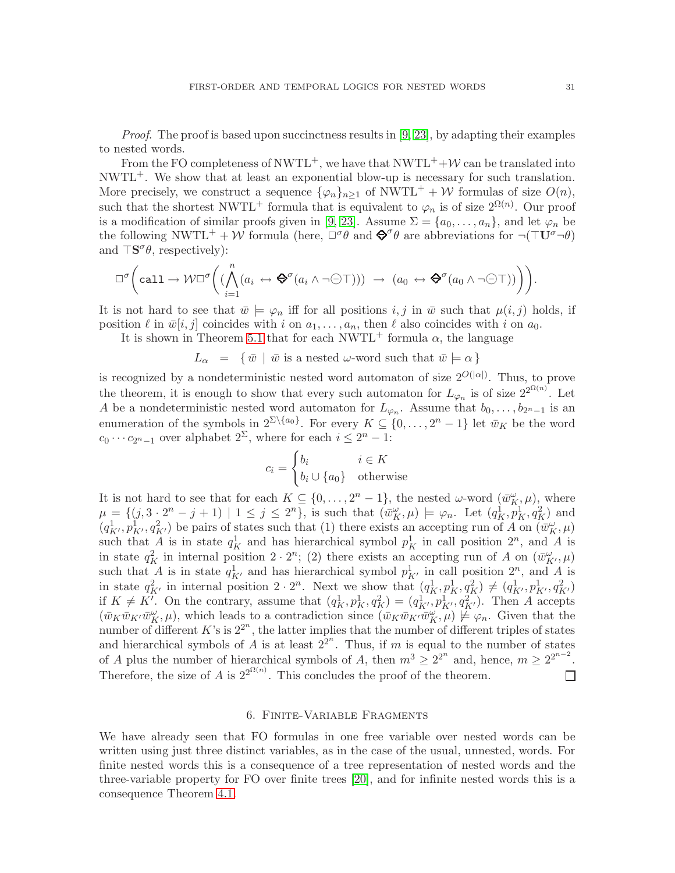*Proof.* The proof is based upon succinctness results in [\[9,](#page-39-12) [23\]](#page-39-26), by adapting their examples to nested words.

From the FO completeness of NWTL<sup>+</sup>, we have that  $NWTL^+$ +W can be translated into  $NWTL^+$ . We show that at least an exponential blow-up is necessary for such translation. More precisely, we construct a sequence  $\{\varphi_n\}_{n\geq 1}$  of NWTL<sup>+</sup> + W formulas of size  $O(n)$ , such that the shortest NWTL<sup>+</sup> formula that is equivalent to  $\varphi_n$  is of size  $2^{\Omega(n)}$ . Our proof is a modification of similar proofs given in [\[9,](#page-39-12) [23\]](#page-39-26). Assume  $\Sigma = \{a_0, \ldots, a_n\}$ , and let  $\varphi_n$  be the following NWTL<sup>+</sup> + W formula (here,  $\Box^{\sigma}\theta$  and  $\mathbf{\Theta}^{\sigma}\theta$  are abbreviations for  $\neg(\top \mathbf{U}^{\sigma}\neg\theta)$ and  $\top S^{\sigma} \theta$ , respectively):

$$
\Box^{\sigma}\bigg(\text{call}\to \mathcal{W} \Box^{\sigma}\bigg(\bigwedge_{i=1}^n (a_i \leftrightarrow \bigotimes^{\sigma}(a_i \wedge \neg \bigcirc \top))\big) \rightarrow (a_0 \leftrightarrow \bigotimes^{\sigma}(a_0 \wedge \neg \bigcirc \top))\bigg)\bigg).
$$

It is not hard to see that  $\bar{w} \models \varphi_n$  iff for all positions  $i, j$  in  $\bar{w}$  such that  $\mu(i,j)$  holds, if position  $\ell$  in  $\bar{w}[i,j]$  coincides with i on  $a_1,\ldots,a_n$ , then  $\ell$  also coincides with i on  $a_0$ .

It is shown in Theorem [5.1](#page-30-0) that for each NWTL<sup>+</sup> formula  $\alpha$ , the language

 $L_{\alpha} = {\ \overline{w} \mid \overline{w} \text{ is a nested } \omega\text{-word such that } \overline{w} \models \alpha \}$ 

is recognized by a nondeterministic nested word automaton of size  $2^{O(|\alpha|)}$ . Thus, to prove the theorem, it is enough to show that every such automaton for  $L_{\varphi_n}$  is of size  $2^{2^{\Omega(n)}}$ . Let A be a nondeterministic nested word automaton for  $L_{\varphi_n}$ . Assume that  $b_0,\ldots,b_{2^n-1}$  is an enumeration of the symbols in  $2^{\sum \{a_0\}}$ . For every  $K \subseteq \{0, \ldots, 2^n - 1\}$  let  $\bar{w}_K$  be the word  $c_0 \cdots c_{2n-1}$  over alphabet  $2^{\Sigma}$ , where for each  $i \leq 2^n - 1$ :

$$
c_i = \begin{cases} b_i & i \in K \\ b_i \cup \{a_0\} & \text{otherwise} \end{cases}
$$

It is not hard to see that for each  $K \subseteq \{0, \ldots, 2^n-1\}$ , the nested  $\omega$ -word  $(\bar{w}_K^{\omega}, \mu)$ , where  $\mu = \{ (j, 3 \cdot 2^n - j + 1) \mid 1 \leq j \leq 2^n \},\$ is such that  $(\bar{w}_K^{\omega}, \mu) \models \varphi_n$ . Let  $(q_K^1, p_K^1, q_K^2)$  and  $(q_{K'}^1, p_{K'}^1, q_{K'}^2)$  be pairs of states such that (1) there exists an accepting run of A on  $(\bar{w}_K^{\omega}, \mu)$ such that  $\overline{A}$  is in state  $q_K^1$  and has hierarchical symbol  $p_K^1$  in call position  $2^n$ , and  $\overline{A}$  is in state  $q_K^2$  in internal position  $2 \cdot 2^n$ ; (2) there exists an accepting run of A on  $(\bar{w}_{K'}^{\omega}, \mu)$ such that A is in state  $q_{K'}^1$  and has hierarchical symbol  $p_{K'}^1$  in call position  $2^n$ , and A is in state  $q_{K'}^2$  in internal position  $2 \cdot 2^n$ . Next we show that  $(q_K^1, p_K^1, q_K^2) \neq (q_{K'}^1, p_{K'}^1, q_{K'}^2)$ if  $K \neq K'$ . On the contrary, assume that  $(q_K^1, p_K^1, q_K^2) = (q_{K'}^1, p_{K'}^1, q_{K'}^2)$ . Then A accepts  $(\bar{w}_K \bar{w}_{K'} \bar{w}_{K}^{\omega}, \mu)$ , which leads to a contradiction since  $(\bar{w}_K \bar{w}_{K'} \bar{w}_{K'}^{\omega}, \mu) \not\models \varphi_n$ . Given that the number of different  $K$ 's is  $2^{2^n}$ , the latter implies that the number of different triples of states and hierarchical symbols of  $\hat{A}$  is at least  $2^{2^n}$ . Thus, if m is equal to the number of states of A plus the number of hierarchical symbols of A, then  $m^3 \geq 2^{2^n}$  and, hence,  $m \geq 2^{2^{n-2}}$ . Therefore, the size of A is  $2^{2^{\Omega(n)}}$ . This concludes the proof of the theorem.  $\Box$ 

### 6. Finite-Variable Fragments

<span id="page-32-0"></span>We have already seen that FO formulas in one free variable over nested words can be written using just three distinct variables, as in the case of the usual, unnested, words. For finite nested words this is a consequence of a tree representation of nested words and the three-variable property for FO over finite trees [\[20\]](#page-39-11), and for infinite nested words this is a consequence Theorem [4.1.](#page-11-2)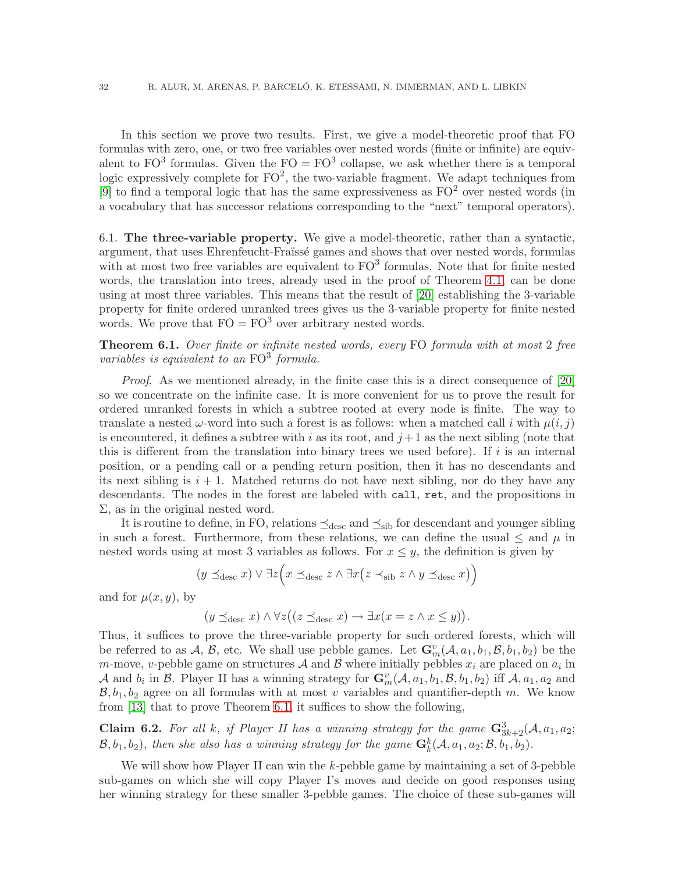In this section we prove two results. First, we give a model-theoretic proof that FO formulas with zero, one, or two free variables over nested words (finite or infinite) are equivalent to  $FO^3$  formulas. Given the  $FO = FO^3$  collapse, we ask whether there is a temporal logic expressively complete for  $FO^2$ , the two-variable fragment. We adapt techniques from [\[9\]](#page-39-12) to find a temporal logic that has the same expressiveness as  $FO^2$  over nested words (in a vocabulary that has successor relations corresponding to the "next" temporal operators).

6.1. The three-variable property. We give a model-theoretic, rather than a syntactic, argument, that uses Ehrenfeucht-Fraïssé games and shows that over nested words, formulas with at most two free variables are equivalent to  $FO<sup>3</sup>$  formulas. Note that for finite nested words, the translation into trees, already used in the proof of Theorem [4.1,](#page-11-2) can be done using at most three variables. This means that the result of [\[20\]](#page-39-11) establishing the 3-variable property for finite ordered unranked trees gives us the 3-variable property for finite nested words. We prove that  $FO = FO^3$  over arbitrary nested words.

<span id="page-33-0"></span>Theorem 6.1. *Over finite or infinite nested words, every* FO *formula with at most* 2 *free variables is equivalent to an*  $FO^3$  *formula.* 

*Proof*. As we mentioned already, in the finite case this is a direct consequence of [\[20\]](#page-39-11) so we concentrate on the infinite case. It is more convenient for us to prove the result for ordered unranked forests in which a subtree rooted at every node is finite. The way to translate a nested  $\omega$ -word into such a forest is as follows: when a matched call i with  $\mu(i,j)$ is encountered, it defines a subtree with i as its root, and  $j+1$  as the next sibling (note that this is different from the translation into binary trees we used before). If  $i$  is an internal position, or a pending call or a pending return position, then it has no descendants and its next sibling is  $i + 1$ . Matched returns do not have next sibling, nor do they have any descendants. The nodes in the forest are labeled with call, ret, and the propositions in  $\Sigma$ , as in the original nested word.

It is routine to define, in FO, relations  $\preceq_{\text{desc}}$  and  $\preceq_{\text{sib}}$  for descendant and younger sibling in such a forest. Furthermore, from these relations, we can define the usual  $\leq$  and  $\mu$  in nested words using at most 3 variables as follows. For  $x \leq y$ , the definition is given by

$$
(y \preceq_{\text{desc}} x) \lor \exists z \Big( x \preceq_{\text{desc}} z \land \exists x (z \prec_{\text{sib}} z \land y \preceq_{\text{desc}} x) \Big)
$$

and for  $\mu(x,y)$ , by

$$
(y \preceq_{\text{desc}} x) \land \forall z ((z \preceq_{\text{desc}} x) \to \exists x (x = z \land x \leq y)).
$$

Thus, it suffices to prove the three-variable property for such ordered forests, which will be referred to as  $A, B$ , etc. We shall use pebble games. Let  $\mathbf{G}_m^v(A, a_1, b_1, B, b_1, b_2)$  be the *m*-move, *v*-pebble game on structures  $A$  and  $B$  where initially pebbles  $x_i$  are placed on  $a_i$  in A and  $b_i$  in B. Player II has a winning strategy for  $\mathbf{G}_m^v(\mathcal{A},a_1,b_1,\mathcal{B},b_1,b_2)$  iff  $\mathcal{A},a_1,a_2$  and  $B, b_1, b_2$  agree on all formulas with at most v variables and quantifier-depth m. We know from [\[13\]](#page-39-10) that to prove Theorem [6.1,](#page-33-0) it suffices to show the following,

Claim 6.2. For all k, if Player II has a winning strategy for the game  $\mathbf{G}_{3k+2}^3(\mathcal{A},a_1,a_2;$  $(\mathcal{B}, b_1, b_2)$ , then she also has a winning strategy for the game  $\mathbf{G}_k^k(\mathcal{A}, a_1, a_2; \mathcal{B}, b_1, b_2)$ .

We will show how Player II can win the  $k$ -pebble game by maintaining a set of 3-pebble sub-games on which she will copy Player I's moves and decide on good responses using her winning strategy for these smaller 3-pebble games. The choice of these sub-games will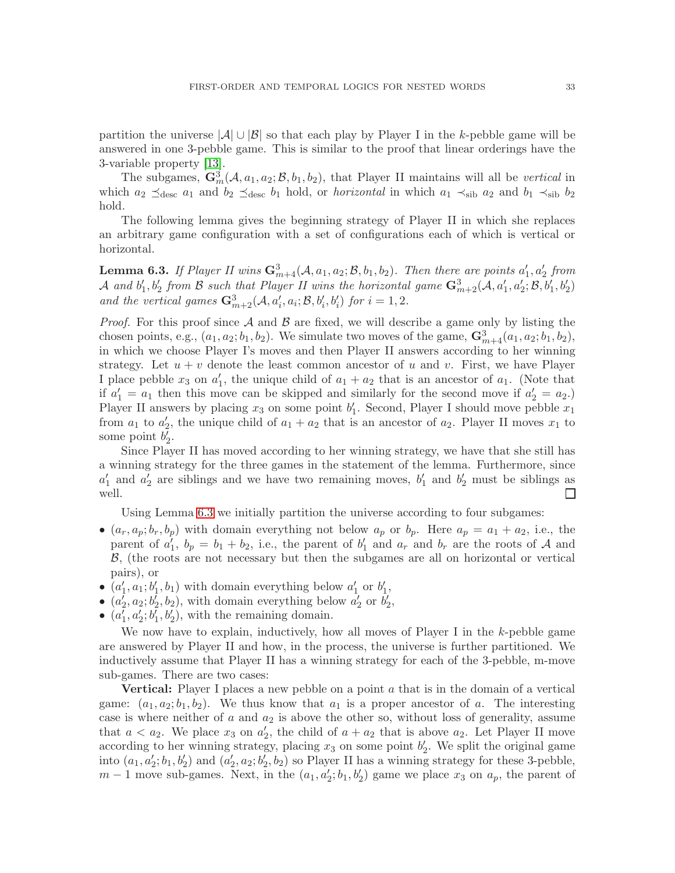partition the universe  $|\mathcal{A}| \cup |\mathcal{B}|$  so that each play by Player I in the k-pebble game will be answered in one 3-pebble game. This is similar to the proof that linear orderings have the 3-variable property [\[13\]](#page-39-10).

The subgames,  $\mathbf{G}_m^3(\mathcal{A}, a_1, a_2; \mathcal{B}, b_1, b_2)$ , that Player II maintains will all be *vertical* in which  $a_2 \preceq_{\text{desc}} a_1$  and  $b_2 \preceq_{\text{desc}} b_1$  hold, or *horizontal* in which  $a_1 \prec_{\text{sib}} a_2$  and  $b_1 \prec_{\text{sib}} b_2$ hold.

The following lemma gives the beginning strategy of Player II in which she replaces an arbitrary game configuration with a set of configurations each of which is vertical or horizontal.

<span id="page-34-0"></span>**Lemma 6.3.** If Player II wins  $\mathbf{G}_{m+4}^3(\mathcal{A}, a_1, a_2; \mathcal{B}, b_1, b_2)$ . Then there are points  $a'_1, a'_2$  from  $\mathcal A$  and  $b'_1, b'_2$  from  $\mathcal B$  such that Player II wins the horizontal game  $\mathbf{G}_{m+2}^3(\mathcal A, a'_1, a'_2; \mathcal B, b'_1, b'_2)$ *and the vertical games*  $\mathbf{G}_{m+2}^3(\mathcal{A}, a'_i, a_i; \mathcal{B}, b'_i, b'_i)$  *for*  $i = 1, 2$ *.* 

*Proof.* For this proof since  $A$  and  $B$  are fixed, we will describe a game only by listing the chosen points, e.g.,  $(a_1, a_2; b_1, b_2)$ . We simulate two moves of the game,  $\mathbf{G}_{m+4}^3(a_1, a_2; b_1, b_2)$ , in which we choose Player I's moves and then Player II answers according to her winning strategy. Let  $u + v$  denote the least common ancestor of u and v. First, we have Player I place pebble  $x_3$  on  $a'_1$ , the unique child of  $a_1 + a_2$  that is an ancestor of  $a_1$ . (Note that if  $a'_1 = a_1$  then this move can be skipped and similarly for the second move if  $a'_2 = a_2$ . Player II answers by placing  $x_3$  on some point  $b'_1$ . Second, Player I should move pebble  $x_1$ from  $a_1$  to  $a'_2$ , the unique child of  $a_1 + a_2$  that is an ancestor of  $a_2$ . Player II moves  $x_1$  to some point  $b'_2$ .

Since Player II has moved according to her winning strategy, we have that she still has a winning strategy for the three games in the statement of the lemma. Furthermore, since  $a'_1$  and  $a'_2$  are siblings and we have two remaining moves,  $b'_1$  and  $b'_2$  must be siblings as well. ⊔

Using Lemma [6.3](#page-34-0) we initially partition the universe according to four subgames:

- $(a_r, a_p; b_r, b_p)$  with domain everything not below  $a_p$  or  $b_p$ . Here  $a_p = a_1 + a_2$ , i.e., the parent of  $a'_1$ ,  $b_p = b_1 + b_2$ , i.e., the parent of  $b'_1$  and  $a_r$  and  $b_r$  are the roots of A and B, (the roots are not necessary but then the subgames are all on horizontal or vertical pairs), or
- $(a'_1, a_1; b'_1, b_1)$  with domain everything below  $a'_1$  or  $b'_1$ ,
- $(a'_2, a_2; b'_2, b_2)$ , with domain everything below  $a'_2$  or  $b'_2$ ,
- $(a'_1, a'_2; b'_1, b'_2)$ , with the remaining domain.

We now have to explain, inductively, how all moves of Player I in the  $k$ -pebble game are answered by Player II and how, in the process, the universe is further partitioned. We inductively assume that Player II has a winning strategy for each of the 3-pebble, m-move sub-games. There are two cases:

**Vertical:** Player I places a new pebble on a point  $a$  that is in the domain of a vertical game:  $(a_1, a_2; b_1, b_2)$ . We thus know that  $a_1$  is a proper ancestor of a. The interesting case is where neither of  $a$  and  $a_2$  is above the other so, without loss of generality, assume that  $a < a_2$ . We place  $x_3$  on  $a'_2$ , the child of  $a + a_2$  that is above  $a_2$ . Let Player II move according to her winning strategy, placing  $x_3$  on some point  $b'_2$ . We split the original game into  $(a_1, a'_2; b_1, b'_2)$  and  $(a'_2, a_2; b'_2, b_2)$  so Player II has a winning strategy for these 3-pebble,  $m-1$  move sub-games. Next, in the  $(a_1, a'_2; b_1, b'_2)$  game we place  $x_3$  on  $a_p$ , the parent of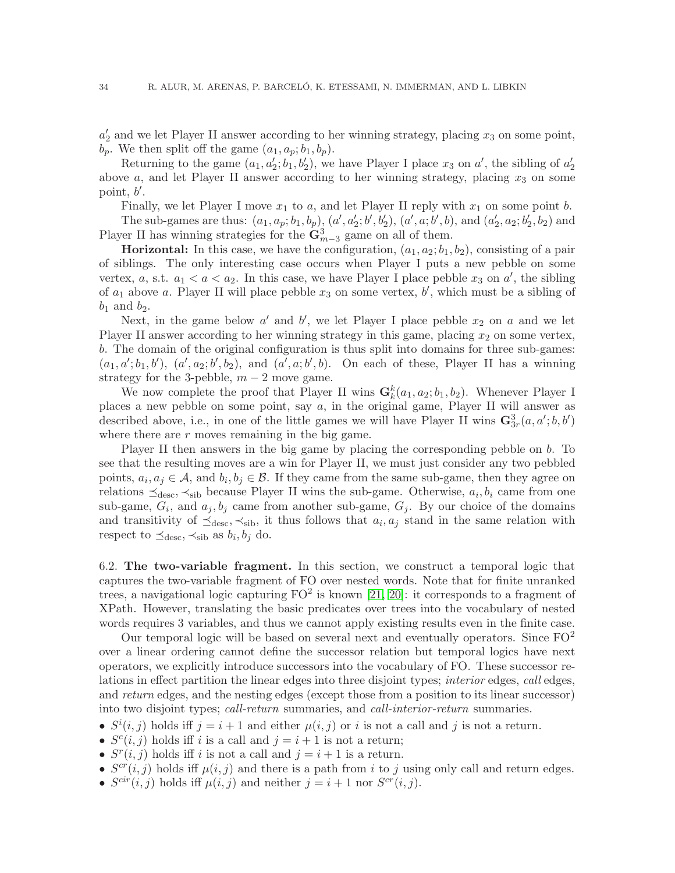$a'_2$  and we let Player II answer according to her winning strategy, placing  $x_3$  on some point,  $b_p$ . We then split off the game  $(a_1, a_p; b_1, b_p)$ .

Returning to the game  $(a_1, a'_2; b_1, b'_2)$ , we have Player I place  $x_3$  on  $a'$ , the sibling of  $a'_2$ above  $a$ , and let Player II answer according to her winning strategy, placing  $x_3$  on some point,  $b'$ .

Finally, we let Player I move  $x_1$  to a, and let Player II reply with  $x_1$  on some point b.

The sub-games are thus:  $(a_1, a_p; b_1, b_p)$ ,  $(a', a'_2; b', b'_2)$ ,  $(a', a; b', b)$ , and  $(a'_2, a_2; b'_2, b_2)$  and Player II has winning strategies for the  $\mathbf{G}_{m-3}^3$  game on all of them.

**Horizontal:** In this case, we have the configuration,  $(a_1, a_2; b_1, b_2)$ , consisting of a pair of siblings. The only interesting case occurs when Player I puts a new pebble on some vertex, a, s.t.  $a_1 < a < a_2$ . In this case, we have Player I place pebble  $x_3$  on  $a'$ , the sibling of  $a_1$  above a. Player II will place pebble  $x_3$  on some vertex,  $b'$ , which must be a sibling of  $b_1$  and  $b_2$ .

Next, in the game below  $a'$  and  $b'$ , we let Player I place pebble  $x_2$  on  $a$  and we let Player II answer according to her winning strategy in this game, placing  $x_2$  on some vertex, b. The domain of the original configuration is thus split into domains for three sub-games:  $(a_1, a'; b_1, b'), (a', a_2; b', b_2), \text{ and } (a', a; b', b).$  On each of these, Player II has a winning strategy for the 3-pebble,  $m-2$  move game.

We now complete the proof that Player II wins  $\mathbf{G}_k^k(a_1, a_2; b_1, b_2)$ . Whenever Player I places a new pebble on some point, say a, in the original game, Player II will answer as described above, i.e., in one of the little games we will have Player II wins  $\mathbf{G}_{3r}^3(a, a'; b, b')$ where there are  $r$  moves remaining in the big game.

Player II then answers in the big game by placing the corresponding pebble on b. To see that the resulting moves are a win for Player II, we must just consider any two pebbled points,  $a_i, a_j \in \mathcal{A}$ , and  $b_i, b_j \in \mathcal{B}$ . If they came from the same sub-game, then they agree on relations  $\preceq_{\text{desc}}, \prec_{\text{sib}}$  because Player II wins the sub-game. Otherwise,  $a_i, b_i$  came from one sub-game,  $G_i$ , and  $a_j, b_j$  came from another sub-game,  $G_j$ . By our choice of the domains and transitivity of  $\preceq_{\text{desc}}$ ,  $\prec_{\text{sib}}$ , it thus follows that  $a_i, a_j$  stand in the same relation with respect to  $\preceq_{\text{desc}}, \prec_{\text{sib}}$  as  $b_i, b_j$  do.

6.2. The two-variable fragment. In this section, we construct a temporal logic that captures the two-variable fragment of FO over nested words. Note that for finite unranked trees, a navigational logic capturing  $FO^2$  is known [\[21,](#page-39-27) [20\]](#page-39-11): it corresponds to a fragment of XPath. However, translating the basic predicates over trees into the vocabulary of nested words requires 3 variables, and thus we cannot apply existing results even in the finite case.

Our temporal logic will be based on several next and eventually operators. Since  $FO^2$ over a linear ordering cannot define the successor relation but temporal logics have next operators, we explicitly introduce successors into the vocabulary of FO. These successor relations in effect partition the linear edges into three disjoint types; *interior* edges, *call* edges, and *return* edges, and the nesting edges (except those from a position to its linear successor) into two disjoint types; *call-return* summaries, and *call-interior-return* summaries.

- $S^{i}(i, j)$  holds iff  $j = i + 1$  and either  $\mu(i, j)$  or i is not a call and j is not a return.
- $S<sup>c</sup>(i, j)$  holds iff i is a call and  $j = i + 1$  is not a return;
- $S^r(i, j)$  holds iff i is not a call and  $j = i + 1$  is a return.
- $S^{cr}(i,j)$  holds iff  $\mu(i,j)$  and there is a path from i to j using only call and return edges.
- $S^{cir}(i,j)$  holds iff  $\mu(i,j)$  and neither  $j = i + 1$  nor  $S^{cr}(i,j)$ .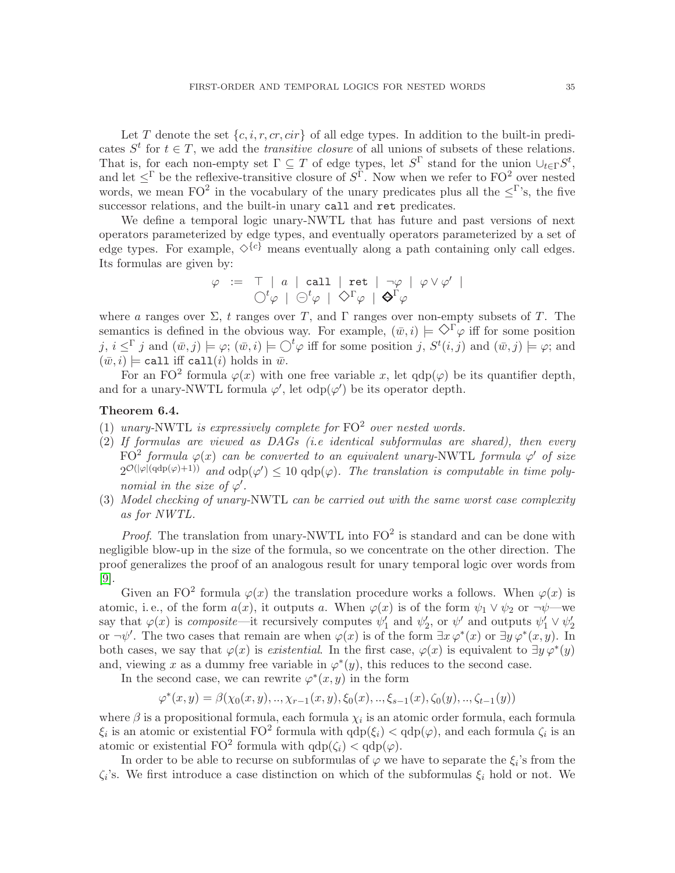Let T denote the set  $\{c, i, r, cr, cir\}$  of all edge types. In addition to the built-in predicates  $S<sup>t</sup>$  for  $t \in T$ , we add the *transitive closure* of all unions of subsets of these relations. That is, for each non-empty set  $\Gamma \subseteq T$  of edge types, let  $S^{\Gamma}$  stand for the union  $\cup_{t\in\Gamma}S^t$ , and let  $\leq^{\Gamma}$  be the reflexive-transitive closure of  $S^{\Gamma}$ . Now when we refer to FO<sup>2</sup> over nested words, we mean FO<sup>2</sup> in the vocabulary of the unary predicates plus all the  $\leq \Gamma$ 's, the five successor relations, and the built-in unary call and ret predicates.

We define a temporal logic unary-NWTL that has future and past versions of next operators parameterized by edge types, and eventually operators parameterized by a set of edge types. For example,  $\Diamond^{\{c\}}$  means eventually along a path containing only call edges. Its formulas are given by:

$$
\begin{array}{rcl}\varphi & := & \top \; | \; a \; | \; \mathsf{call} \; | \; \mathsf{ret} \; | \; \neg \varphi \; | \; \varphi \vee \varphi' \; | \\ & & \bigcirc^t \varphi \; | \; \ominus^t \varphi \; | \; \Diamond^{\Gamma} \varphi \; | \; \blacklozenge^{\Gamma} \varphi\end{array}
$$

where a ranges over  $\Sigma$ , t ranges over T, and  $\Gamma$  ranges over non-empty subsets of T. The semantics is defined in the obvious way. For example,  $(\bar{w},i) \models \Diamond \Gamma \varphi$  iff for some position j,  $i \leq \Gamma$  j and  $(\bar{w}, j) \models \varphi$ ;  $(\bar{w}, i) \models \bigcirc^t \varphi$  iff for some position j,  $S^t(i,j)$  and  $(\bar{w}, j) \models \varphi$ ; and  $(\bar{w},i) \models$  call iff call(i) holds in  $\bar{w}$ .

For an FO<sup>2</sup> formula  $\varphi(x)$  with one free variable x, let  $qdp(\varphi)$  be its quantifier depth, and for a unary-NWTL formula  $\varphi'$ , let  $\text{odp}(\varphi')$  be its operator depth.

### Theorem 6.4.

- (1) unary-NWTL is expressively complete for  $FO^2$  over nested words.
- (2) *If formulas are viewed as DAGs (i.e identical subformulas are shared), then every*  $FO<sup>2</sup>$  *formula*  $\varphi(x)$  *can be converted to an equivalent unary-NWTL formula*  $\varphi'$  *of size*  $2^{\mathcal{O}(|\varphi|(\text{qdp}(\varphi)+1))}$  and  $\text{odp}(\varphi') \leq 10 \text{ qdp}(\varphi)$ . The translation is computable in time poly*nomial in the size of*  $\varphi'$ .
- (3) *Model checking of unary-*NWTL *can be carried out with the same worst case complexity as for NWTL.*

*Proof.* The translation from unary-NWTL into  $FO^2$  is standard and can be done with negligible blow-up in the size of the formula, so we concentrate on the other direction. The proof generalizes the proof of an analogous result for unary temporal logic over words from [\[9\]](#page-39-12).

Given an FO<sup>2</sup> formula  $\varphi(x)$  the translation procedure works a follows. When  $\varphi(x)$  is atomic, i.e., of the form  $a(x)$ , it outputs a. When  $\varphi(x)$  is of the form  $\psi_1 \vee \psi_2$  or  $\neg \psi$ —we say that  $\varphi(x)$  is *composite*—it recursively computes  $\psi'_1$  and  $\psi'_2$ , or  $\psi'$  and outputs  $\psi'_1 \vee \psi'_2$ or  $\neg \psi'$ . The two cases that remain are when  $\varphi(x)$  is of the form  $\exists x \varphi^*(x)$  or  $\exists y \varphi^*(x, y)$ . In both cases, we say that  $\varphi(x)$  is *existential*. In the first case,  $\varphi(x)$  is equivalent to  $\exists y \varphi^*(y)$ and, viewing x as a dummy free variable in  $\varphi^*(y)$ , this reduces to the second case.

In the second case, we can rewrite  $\varphi^*(x, y)$  in the form

$$
\varphi^*(x, y) = \beta(\chi_0(x, y), \ldots, \chi_{r-1}(x, y), \xi_0(x), \ldots, \xi_{s-1}(x), \zeta_0(y), \ldots, \zeta_{t-1}(y))
$$

where  $\beta$  is a propositional formula, each formula  $\chi_i$  is an atomic order formula, each formula  $\xi_i$  is an atomic or existential FO<sup>2</sup> formula with  $qdp(\xi_i) < qdp(\varphi)$ , and each formula  $\zeta_i$  is an atomic or existential FO<sup>2</sup> formula with  $qdp(\zeta_i) < qdp(\varphi)$ .

In order to be able to recurse on subformulas of  $\varphi$  we have to separate the  $\xi_i$ 's from the  $\zeta_i$ 's. We first introduce a case distinction on which of the subformulas  $\xi_i$  hold or not. We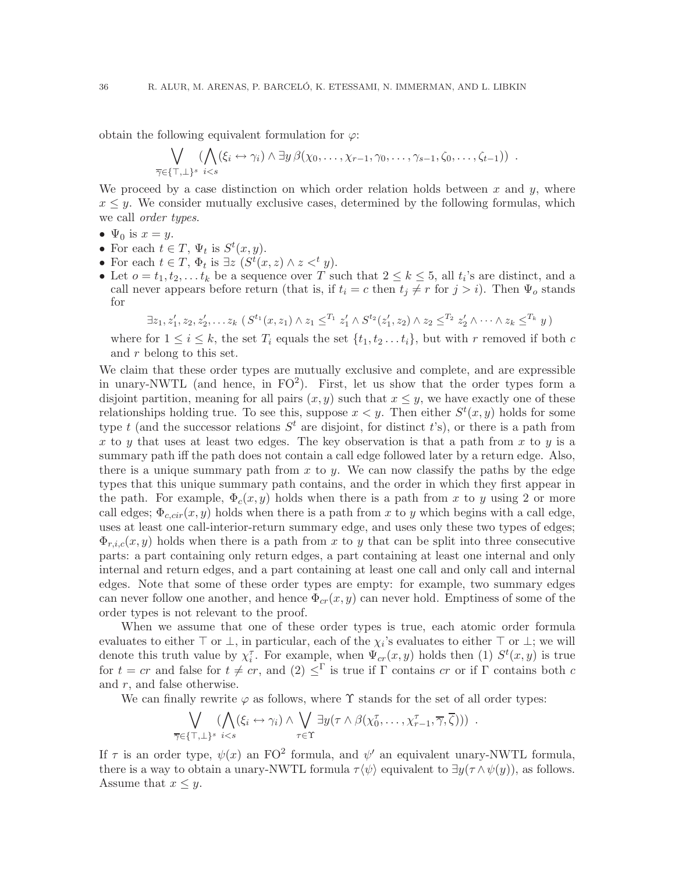obtain the following equivalent formulation for  $\varphi$ :

$$
\bigvee_{\overline{\gamma}\in\{\top,\bot\}^s} (\bigwedge_{i\leq s} (\xi_i \leftrightarrow \gamma_i) \wedge \exists y \, \beta(\chi_0,\ldots,\chi_{r-1},\gamma_0,\ldots,\gamma_{s-1},\zeta_0,\ldots,\zeta_{t-1})) \ .
$$

We proceed by a case distinction on which order relation holds between x and  $y$ , where  $x \leq y$ . We consider mutually exclusive cases, determined by the following formulas, which we call *order types*.

- $\Psi_0$  is  $x=y$ .
- For each  $t \in T$ ,  $\Psi_t$  is  $S^t(x, y)$ .
- For each  $t \in T$ ,  $\Phi_t$  is  $\exists z \ (S^t(x, z) \wedge z \lt^t y)$ .
- Let  $o = t_1, t_2, \ldots t_k$  be a sequence over T such that  $2 \leq k \leq 5$ , all  $t_i$ 's are distinct, and a call never appears before return (that is, if  $t_i = c$  then  $t_j \neq r$  for  $j > i$ ). Then  $\Psi_o$  stands for

$$
\exists z_1, z'_1, z_2, z'_2, \ldots z_k \; (S^{t_1}(x, z_1) \wedge z_1 \leq^{T_1} z'_1 \wedge S^{t_2}(z'_1, z_2) \wedge z_2 \leq^{T_2} z'_2 \wedge \cdots \wedge z_k \leq^{T_k} y)
$$

where for  $1 \leq i \leq k$ , the set  $T_i$  equals the set  $\{t_1, t_2 \ldots t_i\}$ , but with r removed if both c and r belong to this set.

We claim that these order types are mutually exclusive and complete, and are expressible in unary-NWTL (and hence, in  $FO^2$ ). First, let us show that the order types form a disjoint partition, meaning for all pairs  $(x, y)$  such that  $x \leq y$ , we have exactly one of these relationships holding true. To see this, suppose  $x < y$ . Then either  $S<sup>t</sup>(x, y)$  holds for some type t (and the successor relations  $S<sup>t</sup>$  are disjoint, for distinct t's), or there is a path from x to y that uses at least two edges. The key observation is that a path from x to y is a summary path iff the path does not contain a call edge followed later by a return edge. Also, there is a unique summary path from  $x$  to  $y$ . We can now classify the paths by the edge types that this unique summary path contains, and the order in which they first appear in the path. For example,  $\Phi_c(x,y)$  holds when there is a path from x to y using 2 or more call edges;  $\Phi_{c,cir}(x,y)$  holds when there is a path from x to y which begins with a call edge, uses at least one call-interior-return summary edge, and uses only these two types of edges;  $\Phi_{r,i,c}(x,y)$  holds when there is a path from x to y that can be split into three consecutive parts: a part containing only return edges, a part containing at least one internal and only internal and return edges, and a part containing at least one call and only call and internal edges. Note that some of these order types are empty: for example, two summary edges can never follow one another, and hence  $\Phi_{cr}(x,y)$  can never hold. Emptiness of some of the order types is not relevant to the proof.

When we assume that one of these order types is true, each atomic order formula evaluates to either  $\top$  or  $\bot$ , in particular, each of the  $\chi_i$ 's evaluates to either  $\top$  or  $\bot$ ; we will denote this truth value by  $\chi_i^{\tau}$ . For example, when  $\Psi_{cr}(x,y)$  holds then (1)  $S^t(x,y)$  is true for  $t = cr$  and false for  $t \neq cr$ , and  $(2) \leq^{\Gamma}$  is true if  $\Gamma$  contains cr or if  $\Gamma$  contains both c and  $r$ , and false otherwise.

We can finally rewrite  $\varphi$  as follows, where  $\Upsilon$  stands for the set of all order types:

$$
\bigvee_{\overline{\gamma}\in\{\top,\bot\}^s} (\bigwedge_{i\leq s} (\xi_i \leftrightarrow \gamma_i) \wedge \bigvee_{\tau\in\Upsilon} \exists y (\tau \wedge \beta(\chi_0^{\tau}, \ldots, \chi_{r-1}^{\tau}, \overline{\gamma}, \overline{\zeta}))) .
$$

If  $\tau$  is an order type,  $\psi(x)$  an FO<sup>2</sup> formula, and  $\psi'$  an equivalent unary-NWTL formula, there is a way to obtain a unary-NWTL formula  $\tau \langle \psi \rangle$  equivalent to  $\exists y(\tau \wedge \psi(y))$ , as follows. Assume that  $x \leq y$ .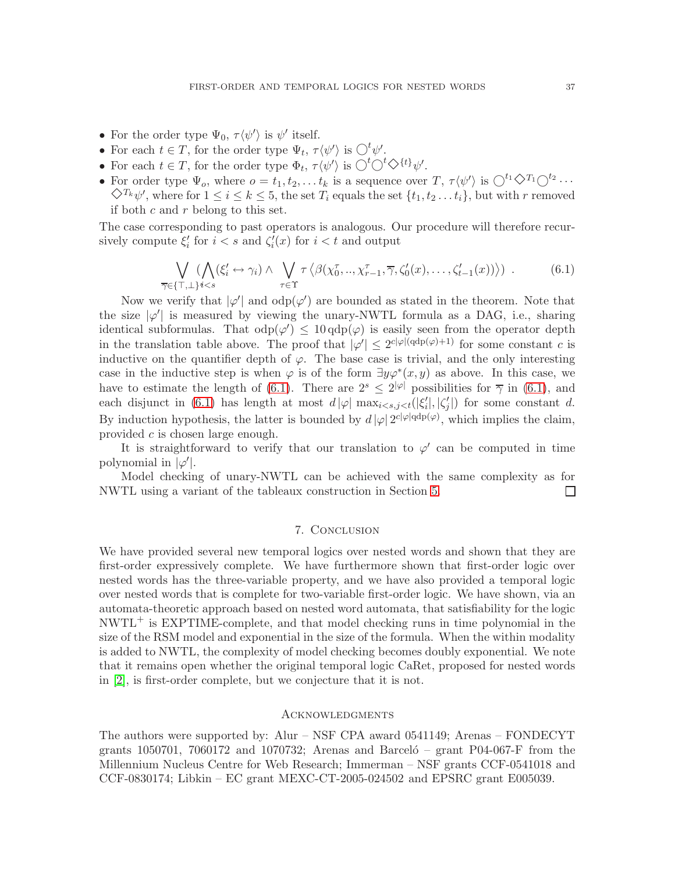- For the order type  $\Psi_0$ ,  $\tau \langle \psi' \rangle$  is  $\psi'$  itself.
- For each  $t \in T$ , for the order type  $\Psi_t$ ,  $\tau \langle \psi' \rangle$  is  $\bigcirc^t \psi'$ .
- For each  $t \in T$ , for the order type  $\Phi_t$ ,  $\tau \langle \psi' \rangle$  is  $\bigcirc^t \bigcirc^t \bigcirc^{\{t\}} \psi'$ .
- For order type  $\Psi_o$ , where  $o = t_1, t_2, \ldots t_k$  is a sequence over  $T, \tau \langle \psi' \rangle$  is  $\bigcirc^{t_1} \bigcirc^{T_1} \bigcirc^{t_2} \cdots$  $\Diamond^{T_k} \psi'$ , where for  $1 \le i \le k \le 5$ , the set  $T_i$  equals the set  $\{t_1, t_2, \ldots t_i\}$ , but with r removed if both  $c$  and  $r$  belong to this set.

The case corresponding to past operators is analogous. Our procedure will therefore recursively compute  $\xi'_i$  for  $i < s$  and  $\zeta'_i(x)$  for  $i < t$  and output

<span id="page-38-0"></span>
$$
\bigvee_{\overline{\gamma}\in\{\top,\bot\}^{i\leq s}} (\bigwedge_{i\in\gamma}\left(\xi_{i}^{\prime}\leftrightarrow\gamma_{i}\right)\land\bigvee_{\tau\in\Upsilon}\tau\left\langle\beta(\chi_{0}^{\tau},..,\chi_{r-1}^{\tau},\overline{\gamma},\zeta_{0}^{\prime}(x),\ldots,\zeta_{t-1}^{\prime}(x))\right\rangle) .\tag{6.1}
$$

Now we verify that  $|\varphi'|$  and  $odp(\varphi')$  are bounded as stated in the theorem. Note that the size  $|\varphi'|$  is measured by viewing the unary-NWTL formula as a DAG, i.e., sharing identical subformulas. That  $odp(\varphi) \leq 10 \cdot d\rho(\varphi)$  is easily seen from the operator depth in the translation table above. The proof that  $|\varphi'| \leq 2^{c|\varphi|(\text{qdp}(\varphi)+1)}$  for some constant c is inductive on the quantifier depth of  $\varphi$ . The base case is trivial, and the only interesting case in the inductive step is when  $\varphi$  is of the form  $\exists y \varphi^*(x, y)$  as above. In this case, we have to estimate the length of [\(6.1\)](#page-38-0). There are  $2^s \leq 2^{|\varphi|}$  possibilities for  $\overline{\gamma}$  in (6.1), and each disjunct in [\(6.1\)](#page-38-0) has length at most  $d |\varphi|$  max $_{i < s, j < t}(|\xi'_i|, |\zeta'_j|)$  for some constant d. By induction hypothesis, the latter is bounded by  $d |\varphi| 2^{c |\varphi| \text{qdp}(\varphi)}$ , which implies the claim, provided c is chosen large enough.

It is straightforward to verify that our translation to  $\varphi'$  can be computed in time polynomial in  $|\varphi'|$ .

Model checking of unary-NWTL can be achieved with the same complexity as for NWTL using a variant of the tableaux construction in Section [5.](#page-27-0)  $\Box$ 

#### 7. Conclusion

We have provided several new temporal logics over nested words and shown that they are first-order expressively complete. We have furthermore shown that first-order logic over nested words has the three-variable property, and we have also provided a temporal logic over nested words that is complete for two-variable first-order logic. We have shown, via an automata-theoretic approach based on nested word automata, that satisfiability for the logic NWTL<sup>+</sup> is EXPTIME-complete, and that model checking runs in time polynomial in the size of the RSM model and exponential in the size of the formula. When the within modality is added to NWTL, the complexity of model checking becomes doubly exponential. We note that it remains open whether the original temporal logic CaRet, proposed for nested words in [\[2\]](#page-39-2), is first-order complete, but we conjecture that it is not.

#### **ACKNOWLEDGMENTS**

The authors were supported by: Alur – NSF CPA award 0541149; Arenas – FONDECYT grants 1050701, 7060172 and 1070732; Arenas and Barcelo<sup> $-$ </sup> grant P04-067-F from the Millennium Nucleus Centre for Web Research; Immerman – NSF grants CCF-0541018 and CCF-0830174; Libkin – EC grant MEXC-CT-2005-024502 and EPSRC grant E005039.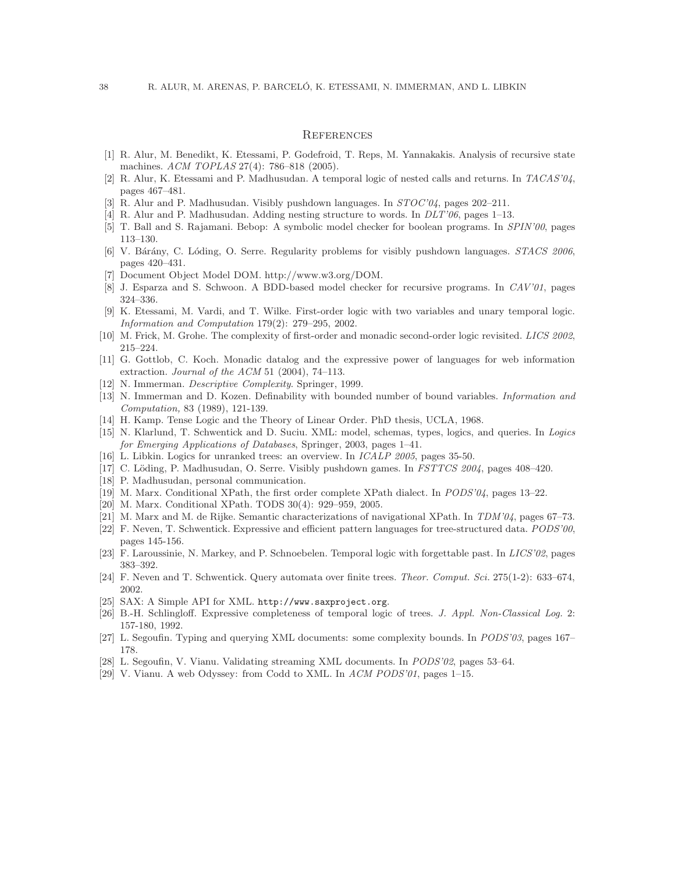#### **REFERENCES**

- <span id="page-39-5"></span>[1] R. Alur, M. Benedikt, K. Etessami, P. Godefroid, T. Reps, M. Yannakakis. Analysis of recursive state machines. *ACM TOPLAS* 27(4): 786–818 (2005).
- <span id="page-39-2"></span><span id="page-39-1"></span>[2] R. Alur, K. Etessami and P. Madhusudan. A temporal logic of nested calls and returns. In *TACAS'04*, pages 467–481.
- <span id="page-39-0"></span>[3] R. Alur and P. Madhusudan. Visibly pushdown languages. In *STOC'04*, pages 202–211.
- <span id="page-39-3"></span>[4] R. Alur and P. Madhusudan. Adding nesting structure to words. In *DLT'06*, pages 1–13.
- <span id="page-39-16"></span>[5] T. Ball and S. Rajamani. Bebop: A symbolic model checker for boolean programs. In *SPIN'00*, pages 113–130.
- <span id="page-39-15"></span>[6] V. B´ar´any, C. L´oding, O. Serre. Regularity problems for visibly pushdown languages. *STACS 2006*, pages 420–431.
- <span id="page-39-4"></span>[7] Document Object Model DOM. http://www.w3.org/DOM.
- <span id="page-39-12"></span>[8] J. Esparza and S. Schwoon. A BDD-based model checker for recursive programs. In *CAV'01*, pages 324–336.
- [9] K. Etessami, M. Vardi, and T. Wilke. First-order logic with two variables and unary temporal logic. *Information and Computation* 179(2): 279–295, 2002.
- <span id="page-39-19"></span><span id="page-39-18"></span>[10] M. Frick, M. Grohe. The complexity of first-order and monadic second-order logic revisited. *LICS 2002*, 215–224.
- [11] G. Gottlob, C. Koch. Monadic datalog and the expressive power of languages for web information extraction. *Journal of the ACM* 51 (2004), 74–113.
- <span id="page-39-23"></span><span id="page-39-10"></span>[12] N. Immerman. *Descriptive Complexity*. Springer, 1999.
- [13] N. Immerman and D. Kozen. Definability with bounded number of bound variables. *Information and Computation,* 83 (1989), 121-139.
- <span id="page-39-24"></span><span id="page-39-7"></span>[14] H. Kamp. Tense Logic and the Theory of Linear Order. PhD thesis, UCLA, 1968.
- [15] N. Klarlund, T. Schwentick and D. Suciu. XML: model, schemas, types, logics, and queries. In *Logics for Emerging Applications of Databases*, Springer, 2003, pages 1–41.
- <span id="page-39-13"></span><span id="page-39-8"></span>[16] L. Libkin. Logics for unranked trees: an overview. In *ICALP 2005*, pages 35-50.
- <span id="page-39-25"></span>[17] C. L¨oding, P. Madhusudan, O. Serre. Visibly pushdown games. In *FSTTCS 2004*, pages 408–420.
- <span id="page-39-21"></span>[18] P. Madhusudan, personal communication.
- <span id="page-39-11"></span>[19] M. Marx. Conditional XPath, the first order complete XPath dialect. In *PODS'04*, pages 13–22.
- <span id="page-39-27"></span>[20] M. Marx. Conditional XPath. TODS 30(4): 929–959, 2005.
- <span id="page-39-20"></span>[21] M. Marx and M. de Rijke. Semantic characterizations of navigational XPath. In *TDM'04*, pages 67–73.
- [22] F. Neven, T. Schwentick. Expressive and efficient pattern languages for tree-structured data. *PODS'00*, pages 145-156.
- <span id="page-39-26"></span>[23] F. Laroussinie, N. Markey, and P. Schnoebelen. Temporal logic with forgettable past. In *LICS'02*, pages 383–392.
- <span id="page-39-14"></span>[24] F. Neven and T. Schwentick. Query automata over finite trees. *Theor. Comput. Sci.* 275(1-2): 633–674, 2002.
- <span id="page-39-22"></span>[25] SAX: A Simple API for XML. http://www.saxproject.org.
- [26] B.-H. Schlingloff. Expressive completeness of temporal logic of trees. *J. Appl. Non-Classical Log.* 2: 157-180, 1992.
- <span id="page-39-17"></span><span id="page-39-6"></span>[27] L. Segoufin. Typing and querying XML documents: some complexity bounds. In *PODS'03*, pages 167– 178.
- <span id="page-39-9"></span>[28] L. Segoufin, V. Vianu. Validating streaming XML documents. In *PODS'02*, pages 53–64.
- [29] V. Vianu. A web Odyssey: from Codd to XML. In *ACM PODS'01*, pages 1–15.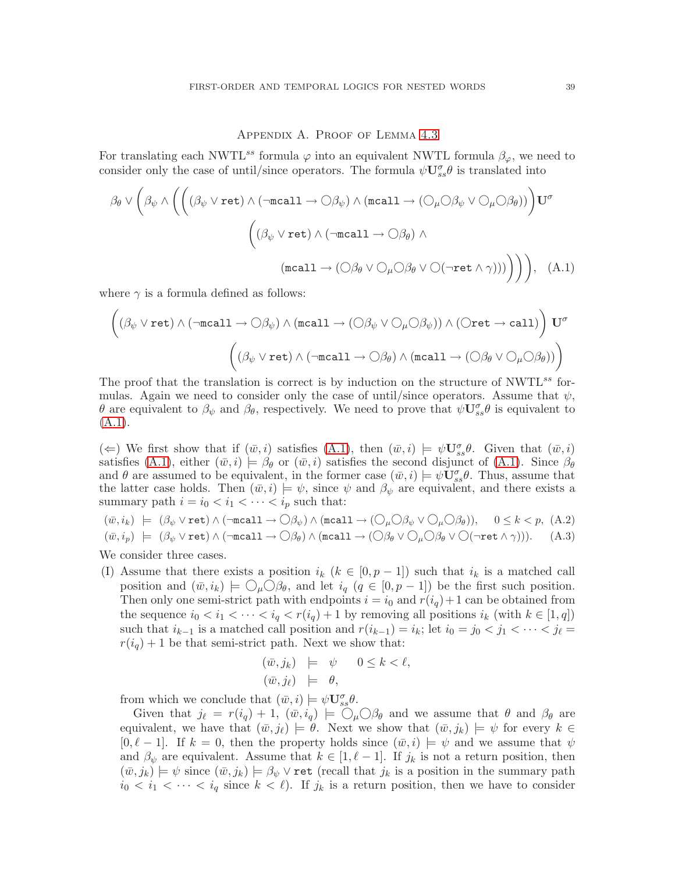### <span id="page-40-0"></span>Appendix A. Proof of Lemma [4.3](#page-13-1)

For translating each NWTL<sup>ss</sup> formula  $\varphi$  into an equivalent NWTL formula  $\beta_{\varphi}$ , we need to consider only the case of until/since operators. The formula  $\psi \mathbf{U}_{ss}^{\sigma} \theta$  is translated into

$$
\beta_{\theta} \vee \left( \beta_{\psi} \wedge \left( \left( (\beta_{\psi} \vee \text{ret}) \wedge (\neg \text{recall} \rightarrow \bigcirc \beta_{\psi}) \wedge (\text{recall} \rightarrow (\bigcirc_{\mu} \bigcirc \beta_{\psi} \vee \bigcirc_{\mu} \bigcirc \beta_{\theta})) \right) U^{\sigma} \right) \right)
$$

$$
\left( (\beta_{\psi} \vee \text{ret}) \wedge (\neg \text{recall} \rightarrow \bigcirc \beta_{\theta}) \wedge \left( (\text{recall} \rightarrow (\bigcirc \beta_{\theta} \vee \bigcirc \bigcirc \bigcirc \bigcirc \text{ret} \wedge \gamma)) \big) \right) \right), \quad (A.1)
$$

where  $\gamma$  is a formula defined as follows:

$$
\left((\beta_{\psi}\lor \text{ret})\land (\neg \text{mcall}\to \bigcirc \beta_{\psi})\land (\text{mcall}\to (\bigcirc \beta_{\psi}\lor \bigcirc_{\mu}\bigcirc \beta_{\psi}))\land (\bigcirc \text{ret}\to \text{call})\right)U^{\sigma}
$$

$$
\left((\beta_{\psi}\lor \text{ret})\land (\neg \text{mcall}\to \bigcirc \beta_{\theta})\land (\text{mcall}\to (\bigcirc \beta_{\theta}\lor \bigcirc_{\mu}\bigcirc \beta_{\theta}))\right)
$$

The proof that the translation is correct is by induction on the structure of  $\text{NWTL}^{ss}$  formulas. Again we need to consider only the case of until/since operators. Assume that  $\psi$ , θ are equivalent to  $\beta_\psi$  and  $\beta_\theta$ , respectively. We need to prove that  $\psi \mathbf{U}_{ss}^{\sigma} \theta$  is equivalent to  $(A.1).$  $(A.1).$ 

( $\Leftarrow$ ) We first show that if  $(\bar{w}, i)$  satisfies  $(A.1)$ , then  $(\bar{w}, i) \models \psi \mathbf{U}_{ss}^{\sigma} \theta$ . Given that  $(\bar{w}, i)$ satisfies [\(A.1\)](#page-40-0), either  $(\bar{w},i) \models \beta_\theta$  or  $(\bar{w},i)$  satisfies the second disjunct of (A.1). Since  $\beta_\theta$ and  $\theta$  are assumed to be equivalent, in the former case  $(\bar{w}, i) \models \psi \mathbf{U}_{ss}^{\sigma} \theta$ . Thus, assume that the latter case holds. Then  $(\bar{w}, i) \models \psi$ , since  $\psi$  and  $\beta_{\psi}$  are equivalent, and there exists a summary path  $i = i_0 < i_1 < \cdots < i_p$  such that:

<span id="page-40-1"></span>
$$
(\bar{w}, i_k) \models (\beta_{\psi} \lor \text{ret}) \land (\neg \text{recall} \to \bigcirc \beta_{\psi}) \land (\text{recall} \to (\bigcirc_{\mu} \bigcirc \beta_{\psi} \lor \bigcirc_{\mu} \bigcirc \beta_{\theta})), \quad 0 \le k < p, \text{ (A.2)}
$$
  

$$
(\bar{w}, i_p) \models (\beta_{\psi} \lor \text{ret}) \land (\neg \text{recall} \to \bigcirc \beta_{\theta}) \land (\text{recall} \to (\bigcirc \beta_{\theta} \lor \bigcirc_{\mu} \bigcirc \beta_{\theta} \lor \bigcirc (\neg \text{ret} \land \gamma))). \quad (A.3)
$$

We consider three cases.

(I) Assume that there exists a position  $i_k$  ( $k \in [0, p-1]$ ) such that  $i_k$  is a matched call position and  $(\bar{w}, i_k) \models \bigcirc_{\mu} \bigcirc \beta_{\theta}$ , and let  $i_q$   $(q \in [0, p-1])$  be the first such position. Then only one semi-strict path with endpoints  $i = i_0$  and  $r(i_q) + 1$  can be obtained from the sequence  $i_0 < i_1 < \cdots < i_q < r(i_q) + 1$  by removing all positions  $i_k$  (with  $k \in [1, q]$ ) such that  $i_{k-1}$  is a matched call position and  $r(i_{k-1}) = i_k$ ; let  $i_0 = j_0 < j_1 < \cdots < j_\ell =$  $r(i_q) + 1$  be that semi-strict path. Next we show that:

$$
\begin{array}{rcl}\n(\bar{w}, j_k) & \models & \psi & 0 \le k < \ell, \\
(\bar{w}, j_\ell) & \models & \theta,\n\end{array}
$$

from which we conclude that  $(\bar{w}, i) \models \psi \mathbf{U}_{ss}^{\sigma} \theta$ .

Given that  $j_{\ell} = r(i_q) + 1$ ,  $(\bar{w}, i_q) \models \bigcirc_{\mu} \bigcirc \beta_{\theta}$  and we assume that  $\theta$  and  $\beta_{\theta}$  are equivalent, we have that  $(\bar{w},j_\ell) \models \theta$ . Next we show that  $(\bar{w},j_k) \models \psi$  for every  $k \in$  $[0, \ell - 1]$ . If  $k = 0$ , then the property holds since  $(\bar{w}, i) \models \psi$  and we assume that  $\psi$ and  $\beta_{\psi}$  are equivalent. Assume that  $k \in [1, \ell - 1]$ . If  $j_k$  is not a return position, then  $(\bar{w},j_k) \models \psi$  since  $(\bar{w},j_k) \models \beta_{\psi} \vee \text{ret}$  (recall that  $j_k$  is a position in the summary path  $i_0 < i_1 < \cdots < i_q$  since  $k < \ell$ ). If  $j_k$  is a return position, then we have to consider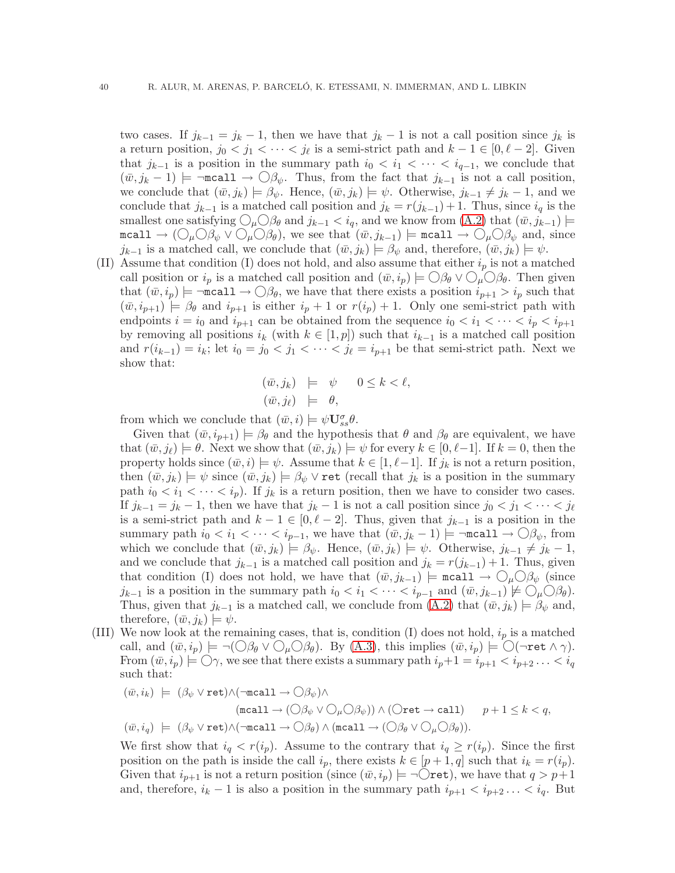two cases. If  $j_{k-1} = j_k - 1$ , then we have that  $j_k - 1$  is not a call position since  $j_k$  is a return position,  $j_0 < j_1 < \cdots < j_\ell$  is a semi-strict path and  $k - 1 \in [0, \ell - 2]$ . Given that  $j_{k-1}$  is a position in the summary path  $i_0 < i_1 < \cdots < i_{q-1}$ , we conclude that  $(\bar{w}, j_k - 1) \models \neg \text{recall} \rightarrow \bigcirc \beta_{\psi}$ . Thus, from the fact that  $j_{k-1}$  is not a call position, we conclude that  $(\bar{w}, j_k) \models \beta_{\psi}$ . Hence,  $(\bar{w}, j_k) \models \psi$ . Otherwise,  $j_{k-1} \neq j_k - 1$ , and we conclude that  $j_{k-1}$  is a matched call position and  $j_k = r(j_{k-1}) + 1$ . Thus, since  $i_q$  is the smallest one satisfying  $\bigcirc_{\mu} \bigcirc_{\beta} \beta_{\theta}$  and  $j_{k-1} < i_q$ , and we know from  $(A.2)$  that  $(\bar{w}, j_{k-1}) \models$ mcall  $\rightarrow$   $(\bigcirc_{\mu} \bigcirc_{\beta_{\psi}} \vee \bigcirc_{\mu} \bigcirc_{\beta_{\theta}})$ , we see that  $(\bar{w}, j_{k-1})$   $\models$  mcall  $\rightarrow \bigcirc_{\mu} \bigcirc_{\beta_{\psi}}$  and, since  $j_{k-1}$  is a matched call, we conclude that  $(\bar{w},j_k) \models \beta_{\psi}$  and, therefore,  $(\bar{w},j_k) \models \psi$ .

(II) Assume that condition (I) does not hold, and also assume that either  $i_p$  is not a matched call position or  $i_p$  is a matched call position and  $(\bar{w}, i_p) \models \bigcirc \beta_\theta \vee \bigcirc_{\mu} \bigcirc \beta_\theta$ . Then given that  $(\bar{w}, i_p) \models \neg \texttt{mcall} \rightarrow \bigcirc \beta_\theta$ , we have that there exists a position  $i_{p+1} > i_p$  such that  $(\bar{w}, i_{p+1}) \models \beta_\theta$  and  $i_{p+1}$  is either  $i_p + 1$  or  $r(i_p) + 1$ . Only one semi-strict path with endpoints  $i = i_0$  and  $i_{p+1}$  can be obtained from the sequence  $i_0 < i_1 < \cdots < i_p < i_{p+1}$ by removing all positions  $i_k$  (with  $k \in [1,p]$ ) such that  $i_{k-1}$  is a matched call position and  $r(i_{k-1}) = i_k$ ; let  $i_0 = j_0 < j_1 < \cdots < j_\ell = i_{p+1}$  be that semi-strict path. Next we show that:

$$
\begin{array}{rcl}\n(\bar{w}, j_k) & \models & \psi & 0 \le k < \ell, \\
(\bar{w}, j_\ell) & \models & \theta,\n\end{array}
$$

from which we conclude that  $(\bar{w}, i) \models \psi \mathbf{U}_{ss}^{\sigma} \theta$ .

Given that  $(\bar{w}, i_{p+1}) \models \beta_\theta$  and the hypothesis that  $\theta$  and  $\beta_\theta$  are equivalent, we have that  $(\bar{w},j_{\ell}) \models \theta$ . Next we show that  $(\bar{w},j_k) \models \psi$  for every  $k \in [0,\ell-1]$ . If  $k = 0$ , then the property holds since  $(\bar{w},i) \models \psi$ . Assume that  $k \in [1,\ell-1]$ . If  $j_k$  is not a return position, then  $(\bar{w},j_k) \models \psi$  since  $(\bar{w},j_k) \models \beta_{\psi} \vee \text{ret}$  (recall that  $j_k$  is a position in the summary path  $i_0 < i_1 < \cdots < i_p$ ). If  $j_k$  is a return position, then we have to consider two cases. If  $j_{k-1} = j_k - 1$ , then we have that  $j_k - 1$  is not a call position since  $j_0 < j_1 < \cdots < j_\ell$ is a semi-strict path and  $k - 1 \in [0, \ell - 2]$ . Thus, given that  $j_{k-1}$  is a position in the summary path  $i_0 < i_1 < \cdots < i_{p-1}$ , we have that  $(\bar{w}, j_k - 1) \models \neg \text{recall} \rightarrow \bigcirc \beta_{\psi}$ , from which we conclude that  $(\bar{w}, j_k) \models \beta_{\psi}$ . Hence,  $(\bar{w}, j_k) \models \psi$ . Otherwise,  $j_{k-1} \neq j_k - 1$ , and we conclude that  $j_{k-1}$  is a matched call position and  $j_k = r(j_{k-1}) + 1$ . Thus, given that condition (I) does not hold, we have that  $(\bar{w}, j_{k-1})$   $\models$  mcall  $\rightarrow \bigcirc_{\mu} \bigcirc \beta_{\psi}$  (since  $j_{k-1}$  is a position in the summary path  $i_0 < i_1 < \cdots < i_{p-1}$  and  $(\bar{w}, j_{k-1}) \not\models \bigcirc_{\mu} \bigcirc \beta_{\theta}$ . Thus, given that  $j_{k-1}$  is a matched call, we conclude from [\(A.2\)](#page-40-1) that  $(\bar{w}, j_k) \models \beta_{\psi}$  and, therefore,  $(\bar{w}, j_k) \models \psi$ .

(III) We now look at the remaining cases, that is, condition (I) does not hold,  $i_p$  is a matched call, and  $(\bar{w}, i_p) \models \neg (\bigcirc \beta_\theta \lor \bigcirc_\mu \bigcirc \beta_\theta)$ . By [\(A.3\)](#page-40-1), this implies  $(\bar{w}, i_p) \models \bigcirc (\neg \text{ret } \wedge \gamma)$ . From  $(\bar{w},i_p) \models \bigcirc \gamma$ , we see that there exists a summary path  $i_p+1 = i_{p+1} < i_{p+2} \ldots < i_q$ such that:

$$
\begin{array}{rl} (\bar{w},i_k)&\models&(\beta_\psi\lor\texttt{ret})\land(\neg\texttt{mcall}\to\bigcirc\beta_\psi)\land\\ &&(\texttt{mcall}\to(\bigcirc\beta_\psi\lor\bigcirc_\mu\bigcirc\beta_\psi))\land(\bigcirc\texttt{ret}\to\texttt{call})\qquad p+1\leq k< q,\\ &&(\bar{w},i_q)&\models&(\beta_\psi\lor\texttt{ret})\land(\neg\texttt{mcall}\to\bigcirc\beta_\theta)\land(\texttt{mcall}\to(\bigcirc\beta_\theta\lor\bigcirc_\mu\bigcirc\beta_\theta)).\end{array}
$$

We first show that  $i_q < r(i_p)$ . Assume to the contrary that  $i_q \ge r(i_p)$ . Since the first position on the path is inside the call  $i_p$ , there exists  $k \in [p+1,q]$  such that  $i_k = r(i_p)$ . Given that  $i_{p+1}$  is not a return position (since  $(\bar{w}, i_p) \models \neg \bigcirc \text{ret}$ ), we have that  $q > p+1$ and, therefore,  $i_k - 1$  is also a position in the summary path  $i_{p+1} < i_{p+2} \ldots < i_q$ . But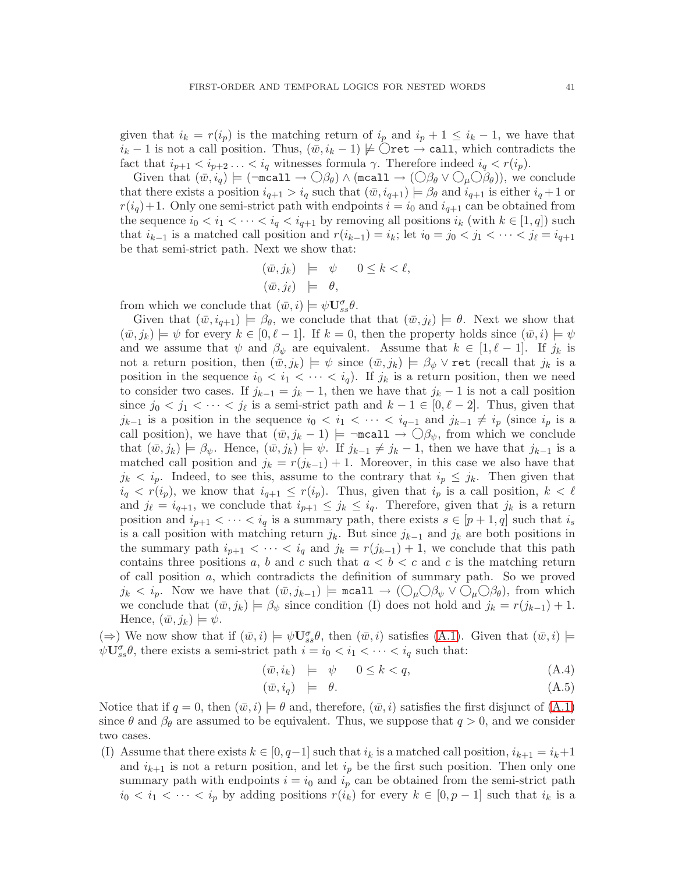given that  $i_k = r(i_p)$  is the matching return of  $i_p$  and  $i_p + 1 \leq i_k - 1$ , we have that  $i_k - 1$  is not a call position. Thus,  $(\bar{w}, i_k - 1) \not\models \bigcirc$  ret  $\rightarrow$  call, which contradicts the fact that  $i_{p+1} < i_{p+2} \ldots < i_q$  witnesses formula  $\gamma$ . Therefore indeed  $i_q < r(i_p)$ .

Given that  $(\bar{w}, i_q) \models (\neg \text{recall} \rightarrow \bigcirc \beta_\theta) \land (\text{recall} \rightarrow (\bigcirc \beta_\theta \lor \bigcirc_\mu \bigcirc \beta_\theta))$ , we conclude that there exists a position  $i_{q+1} > i_q$  such that  $(\bar{w}, i_{q+1}) \models \beta_\theta$  and  $i_{q+1}$  is either  $i_q + 1$  or  $r(i_q)+1$ . Only one semi-strict path with endpoints  $i = i_0$  and  $i_{q+1}$  can be obtained from the sequence  $i_0 < i_1 < \cdots < i_q < i_{q+1}$  by removing all positions  $i_k$  (with  $k \in [1,q]$ ) such that  $i_{k-1}$  is a matched call position and  $r(i_{k-1}) = i_k$ ; let  $i_0 = j_0 < j_1 < \cdots < j_\ell = i_{q+1}$ be that semi-strict path. Next we show that:

$$
\begin{array}{rcl}\n(\bar{w}, j_k) & \models & \psi & 0 \le k < \ell, \\
(\bar{w}, j_\ell) & \models & \theta,\n\end{array}
$$

from which we conclude that  $(\bar{w}, i) \models \psi \mathbf{U}_{ss}^{\sigma} \theta$ .

Given that  $(\bar{w}, i_{q+1}) \models \beta_{\theta}$ , we conclude that that  $(\bar{w}, j_{\ell}) \models \theta$ . Next we show that  $(\bar{w},j_k) \models \psi$  for every  $k \in [0,\ell-1]$ . If  $k=0$ , then the property holds since  $(\bar{w},i) \models \psi$ and we assume that  $\psi$  and  $\beta_{\psi}$  are equivalent. Assume that  $k \in [1, \ell-1]$ . If  $j_k$  is not a return position, then  $(\bar{w}, j_k) \models \psi$  since  $(\bar{w}, j_k) \models \beta_{\psi} \vee \text{ret}$  (recall that  $j_k$  is a position in the sequence  $i_0 < i_1 < \cdots < i_q$ . If  $j_k$  is a return position, then we need to consider two cases. If  $j_{k-1} = j_k - 1$ , then we have that  $j_k - 1$  is not a call position since  $j_0 < j_1 < \cdots < j_\ell$  is a semi-strict path and  $k-1 \in [0, \ell-2]$ . Thus, given that  $j_{k-1}$  is a position in the sequence  $i_0 < i_1 < \cdots < i_{q-1}$  and  $j_{k-1} \neq i_p$  (since  $i_p$  is a call position), we have that  $(\bar{w}, j_k - 1)$  = ¬mcall  $\rightarrow \bigcirc \beta_{\psi}$ , from which we conclude that  $(\bar{w}, j_k) \models \beta_{\psi}$ . Hence,  $(\bar{w}, j_k) \models \psi$ . If  $j_{k-1} \neq j_k - 1$ , then we have that  $j_{k-1}$  is a matched call position and  $j_k = r(j_{k-1}) + 1$ . Moreover, in this case we also have that  $j_k < i_p$ . Indeed, to see this, assume to the contrary that  $i_p \leq j_k$ . Then given that  $i_q < r(i_p)$ , we know that  $i_{q+1} \leq r(i_p)$ . Thus, given that  $i_p$  is a call position,  $k < \ell$ and  $j_{\ell} = i_{q+1}$ , we conclude that  $i_{p+1} \leq j_k \leq i_q$ . Therefore, given that  $j_k$  is a return position and  $i_{p+1} < \cdots < i_q$  is a summary path, there exists  $s \in [p+1,q]$  such that  $i_s$ is a call position with matching return  $j_k$ . But since  $j_{k-1}$  and  $j_k$  are both positions in the summary path  $i_{p+1} < \cdots < i_q$  and  $j_k = r(j_{k-1}) + 1$ , we conclude that this path contains three positions a, b and c such that  $a < b < c$  and c is the matching return of call position  $a$ , which contradicts the definition of summary path. So we proved  $j_k < i_p$ . Now we have that  $(\bar{w}, j_{k-1}) \models \text{recall} \rightarrow (\bigcirc_{\mu} \bigcirc \beta_{\psi} \vee \bigcirc_{\mu} \bigcirc \beta_{\theta})$ , from which we conclude that  $(\bar{w}, j_k) \models \beta_{\psi}$  since condition (I) does not hold and  $j_k = r(j_{k-1}) + 1$ . Hence,  $(\bar{w}, j_k) \models \psi$ .

 $(\Rightarrow)$  We now show that if  $(\bar{w}, i) \models \psi \mathbf{U}_{ss}^{\sigma} \theta$ , then  $(\bar{w}, i)$  satisfies  $(A.1)$ . Given that  $(\bar{w}, i) \models$  $\psi \mathbf{U}_{ss}^{\sigma} \theta$ , there exists a semi-strict path  $i = i_0 < i_1 < \cdots < i_q$  such that:

<span id="page-42-0"></span>
$$
(\bar{w}, i_k) \models \psi \qquad 0 \le k < q,\tag{A.4}
$$

$$
(\bar{w}, i_q) \models \theta. \tag{A.5}
$$

Notice that if  $q = 0$ , then  $(\bar{w}, i) \models \theta$  and, therefore,  $(\bar{w}, i)$  satisfies the first disjunct of  $(A.1)$ since  $\theta$  and  $\beta_{\theta}$  are assumed to be equivalent. Thus, we suppose that  $q > 0$ , and we consider two cases.

(I) Assume that there exists  $k \in [0, q-1]$  such that  $i_k$  is a matched call position,  $i_{k+1} = i_k+1$ and  $i_{k+1}$  is not a return position, and let  $i_p$  be the first such position. Then only one summary path with endpoints  $i = i_0$  and  $i_p$  can be obtained from the semi-strict path  $i_0 < i_1 < \cdots < i_p$  by adding positions  $r(i_k)$  for every  $k \in [0, p-1]$  such that  $i_k$  is a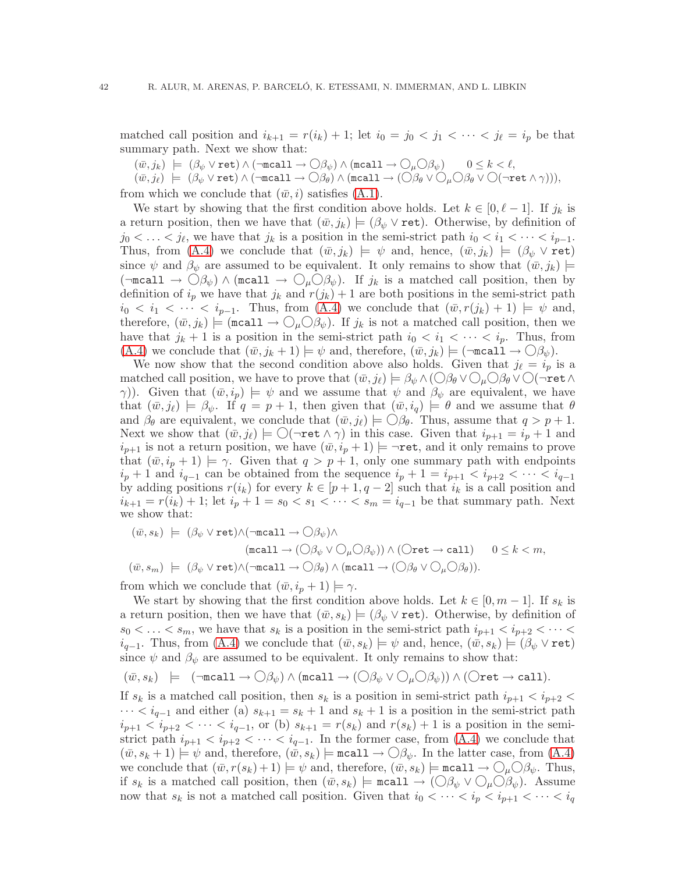matched call position and  $i_{k+1} = r(i_k) + 1$ ; let  $i_0 = j_0 < j_1 < \cdots < j_\ell = i_p$  be that summary path. Next we show that:

 $(\bar w, j_k) \models (\beta_\psi \vee \texttt{ret}) \wedge (\neg \texttt{mcall} \to \bigcirc \beta_\psi) \wedge (\texttt{mcall} \to \bigcirc_\mu \bigcirc \beta_\psi) \quad \quad 0 \leq k < \ell,$ 

 $(w, j_\ell) \models (\beta_\psi \vee \texttt{ret}) \wedge (\neg \texttt{mcall} \rightarrow \bigcirc \beta_\theta) \wedge (\texttt{mcall} \rightarrow (\bigcirc \beta_\theta \vee \bigcirc_\mu \bigcirc \beta_\theta \vee \bigcirc (\neg \texttt{ret} \wedge \gamma)))$ 

from which we conclude that  $(\bar{w},i)$  satisfies  $(A.1)$ .

We start by showing that the first condition above holds. Let  $k \in [0, \ell-1]$ . If  $j_k$  is a return position, then we have that  $(\bar{w}, j_k) \models (\beta_{\psi} \vee \text{ret})$ . Otherwise, by definition of  $j_0 < \ldots < j_\ell$ , we have that  $j_k$  is a position in the semi-strict path  $i_0 < i_1 < \cdots < i_{p-1}$ . Thus, from [\(A.4\)](#page-42-0) we conclude that  $(\bar{w}, j_k) \models \psi$  and, hence,  $(\bar{w}, j_k) \models (\beta_{\psi} \vee \text{ret})$ since  $\psi$  and  $\beta_{\psi}$  are assumed to be equivalent. It only remains to show that  $(\bar{w},j_k) \models$  $(\neg \text{recall} \rightarrow \bigcirc \beta_{\psi}) \land (\text{recall} \rightarrow \bigcirc_{\mu} \bigcirc \beta_{\psi}).$  If  $j_k$  is a matched call position, then by definition of  $i_p$  we have that  $j_k$  and  $r(j_k) + 1$  are both positions in the semi-strict path  $i_0 < i_1 < \cdots < i_{p-1}$ . Thus, from [\(A.4\)](#page-42-0) we conclude that  $(\bar{w}, r(j_k) + 1) \models \psi$  and, therefore,  $(\bar{w}, j_k)$  = (mcall  $\rightarrow \bigcirc_{\mu} \bigcirc \beta_{\psi}$ ). If  $j_k$  is not a matched call position, then we have that  $j_k + 1$  is a position in the semi-strict path  $i_0 < i_1 < \cdots < i_p$ . Thus, from  $(A.4)$  we conclude that  $(\bar{w}, j_k + 1) \models \psi$  and, therefore,  $(\bar{w}, j_k) \models (\neg \text{recall} \rightarrow \bigcirc \mathcal{O}_{\psi}).$ 

We now show that the second condition above also holds. Given that  $j_{\ell} = i_p$  is a matched call position, we have to prove that  $(\bar{w}, j_\ell) \models \beta_{\psi} \land (\bigcirc \beta_{\theta} \lor \bigcirc_{\mu} \bigcirc \beta_{\theta} \lor \bigcirc (\neg \mathtt{ret} \land \neg \mathtt{ect} \land \neg \mathtt{ret} \land \neg \mathtt{ret} \land \neg \mathtt{ret} \land \neg \mathtt{ret} \land \neg \mathtt{ret} \land \neg \mathtt{ret} \land \neg \mathtt{ret} \land \neg \mathtt{ret} \land \neg \mathtt{ret} \land \neg \mathtt{ret} \land \neg \mat$ γ)). Given that  $(\bar{w}, i_p) \models \psi$  and we assume that  $\psi$  and  $\beta_{\psi}$  are equivalent, we have that  $(\bar{w},j_\ell) \models \beta_\psi$ . If  $q = p + 1$ , then given that  $(\bar{w},i_q) \models \theta$  and we assume that  $\theta$ and  $\beta_{\theta}$  are equivalent, we conclude that  $(\bar{w},j_{\ell}) \models \bigcirc \beta_{\theta}$ . Thus, assume that  $q > p + 1$ . Next we show that  $(\bar{w}, j_{\ell}) \models \bigcirc (\neg \mathtt{ret} \land \gamma)$  in this case. Given that  $i_{p+1} = i_p + 1$  and  $i_{p+1}$  is not a return position, we have  $(\bar{w}, i_p + 1) \models \neg \text{ret}$ , and it only remains to prove that  $(\bar{w}, i_p + 1) \models \gamma$ . Given that  $q > p + 1$ , only one summary path with endpoints  $i_p + 1$  and  $i_{q-1}$  can be obtained from the sequence  $i_p + 1 = i_{p+1} < i_{p+2} < \cdots < i_{q-1}$ by adding positions  $r(i_k)$  for every  $k \in [p+1,q-2]$  such that  $i_k$  is a call position and  $i_{k+1} = r(i_k) + 1$ ; let  $i_p + 1 = s_0 < s_1 < \cdots < s_m = i_{q-1}$  be that summary path. Next we show that:

$$
\begin{array}{rl} (\bar{w},s_k)&\models& (\beta_\psi\vee\texttt{ret})\wedge(\neg\texttt{mcall}\rightarrow\bigcirc\beta_\psi)\wedge\\ &&(\texttt{mcall}\rightarrow(\bigcirc\beta_\psi\vee\bigcirc_\mu\bigcirc\beta_\psi))\wedge(\bigcirc\texttt{ret}\rightarrow\texttt{call})\qquad 0\leq k
$$

from which we conclude that  $(\bar{w}, i_p + 1) \models \gamma$ .

We start by showing that the first condition above holds. Let  $k \in [0, m-1]$ . If  $s_k$  is a return position, then we have that  $(\bar{w}, s_k) \models (\beta_{\psi} \vee \text{ret})$ . Otherwise, by definition of  $s_0 < \ldots < s_m$ , we have that  $s_k$  is a position in the semi-strict path  $i_{p+1} < i_{p+2} < \cdots <$  $i_{q-1}$ . Thus, from [\(A.4\)](#page-42-0) we conclude that  $(\bar{w}, s_k) \models \psi$  and, hence,  $(\bar{w}, s_k) \models (\beta_{\psi} \vee \text{ret})$ since  $\psi$  and  $\beta_{\psi}$  are assumed to be equivalent. It only remains to show that:

$$
(\bar{w}, s_k) \models (\neg \texttt{mcall} \rightarrow \bigcirc \beta_{\psi}) \land (\texttt{mcall} \rightarrow (\bigcirc \beta_{\psi} \lor \bigcirc_{\mu} \bigcirc \beta_{\psi})) \land (\bigcirc \texttt{ret} \rightarrow \texttt{call}).
$$

If  $s_k$  is a matched call position, then  $s_k$  is a position in semi-strict path  $i_{p+1} < i_{p+2}$  $\cdots < i_{q-1}$  and either (a)  $s_{k+1} = s_k + 1$  and  $s_k + 1$  is a position in the semi-strict path  $i_{p+1} < i_{p+2} < \cdots < i_{q-1}$ , or (b)  $s_{k+1} = r(s_k)$  and  $r(s_k) + 1$  is a position in the semistrict path  $i_{p+1} < i_{p+2} < \cdots < i_{q-1}$ . In the former case, from [\(A.4\)](#page-42-0) we conclude that  $(\bar{w}, s_k + 1) \models \psi$  and, therefore,  $(\bar{w}, s_k) \models \text{recall} \rightarrow \bigcirc \beta_{\psi}$ . In the latter case, from  $(A.4)$ we conclude that  $(\bar{w}, r(s_k) + 1) \models \psi$  and, therefore,  $(\bar{w}, s_k) \models \text{recall} \rightarrow \bigcirc_\mu \bigcirc \beta_\psi$ . Thus, if  $s_k$  is a matched call position, then  $(\bar{w}, s_k) \models \text{recall} \rightarrow (\bigcirc \beta_{\psi} \vee \bigcirc_{\mu} \bigcirc \beta_{\psi}).$  Assume now that  $s_k$  is not a matched call position. Given that  $i_0 < \cdots < i_p < i_{p+1} < \cdots < i_q$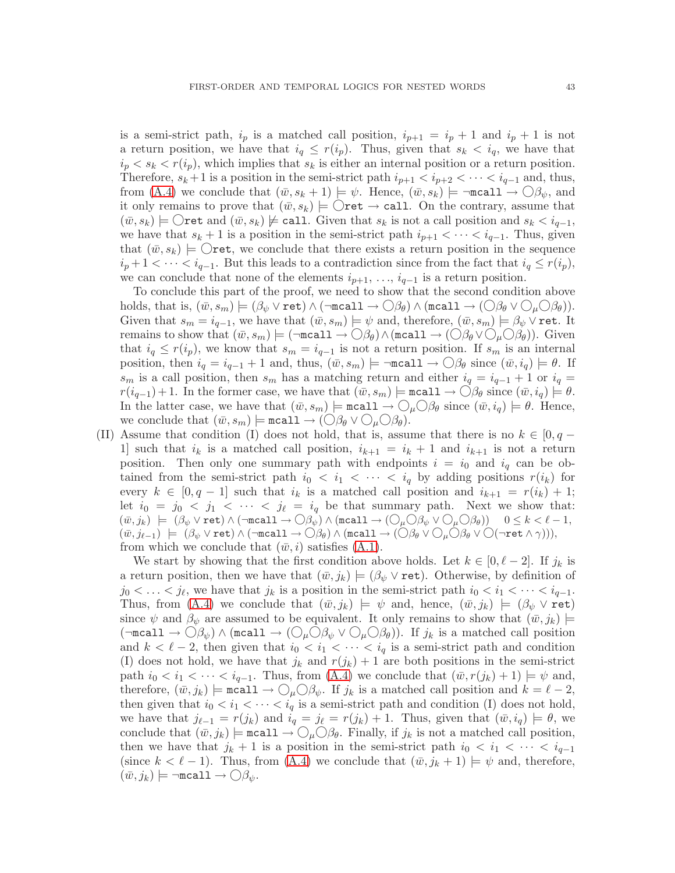is a semi-strict path,  $i_p$  is a matched call position,  $i_{p+1} = i_p + 1$  and  $i_p + 1$  is not a return position, we have that  $i_q \leq r(i_p)$ . Thus, given that  $s_k < i_q$ , we have that  $i_p < s_k < r(i_p)$ , which implies that  $s_k$  is either an internal position or a return position. Therefore,  $s_k + 1$  is a position in the semi-strict path  $i_{p+1} < i_{p+2} < \cdots < i_{q-1}$  and, thus, from [\(A.4\)](#page-42-0) we conclude that  $(\bar{w}, s_k + 1) \models \psi$ . Hence,  $(\bar{w}, s_k) \models \neg \text{recall} \rightarrow \bigcirc \beta_{\psi}$ , and it only remains to prove that  $(\bar{w}, s_k) \models \bigcirc$  ret  $\rightarrow$  call. On the contrary, assume that  $(w, s_k) \models \bigcirc$  ret and  $(\bar{w}, s_k) \not\models$  call. Given that  $s_k$  is not a call position and  $s_k < i_{q-1}$ , we have that  $s_k + 1$  is a position in the semi-strict path  $i_{p+1} < \cdots < i_{q-1}$ . Thus, given that  $(\bar{w}, s_k) \models \bigcirc$  ret, we conclude that there exists a return position in the sequence  $i_p+1 < \cdots < i_{q-1}$ . But this leads to a contradiction since from the fact that  $i_q \leq r(i_p)$ , we can conclude that none of the elements  $i_{p+1}, \ldots, i_{q-1}$  is a return position.

To conclude this part of the proof, we need to show that the second condition above holds, that is,  $(\bar{w}, s_m) \models (\beta_{\psi} \vee \text{ret}) \wedge (\neg \text{recall} \rightarrow \bigcirc \beta_{\theta}) \wedge (\text{recall} \rightarrow (\bigcirc \beta_{\theta} \vee \bigcirc_{\mu} \bigcirc \beta_{\theta})).$ Given that  $s_m = i_{q-1}$ , we have that  $(\bar{w}, s_m) \models \psi$  and, therefore,  $(\bar{w}, s_m) \models \beta_{\psi} \vee \text{ret. It}$ remains to show that  $(\bar{w}, s_m) \models (\neg \text{recall} \rightarrow \bigcirc \beta_{\theta}) \land (\text{recall} \rightarrow (\bigcirc \beta_{\theta} \lor \bigcirc_{\mu} \bigcirc \beta_{\theta}))$ . Given that  $i_q \leq r(i_p)$ , we know that  $s_m = i_{q-1}$  is not a return position. If  $s_m$  is an internal position, then  $i_q = i_{q-1} + 1$  and, thus,  $(\bar{w}, s_m) \models \neg \text{recall} \rightarrow \bigcirc \beta_\theta$  since  $(\bar{w}, i_q) \models \theta$ . If  $s_m$  is a call position, then  $s_m$  has a matching return and either  $i_q = i_{q-1} + 1$  or  $i_q =$  $r(i_{q-1})+1$ . In the former case, we have that  $(\bar{w}, s_m) \models \texttt{mcall} \rightarrow \bigcirc \beta_{\theta}$  since  $(\bar{w}, i_q) \models \theta$ . In the latter case, we have that  $(\bar{w}, s_m) \models \texttt{recall} \rightarrow \bigcirc_{\mu} \bigcirc \beta_{\theta}$  since  $(\bar{w}, i_q) \models \theta$ . Hence, we conclude that  $(\bar{w}, s_m) \models \text{recall} \rightarrow (\bigcirc \beta_{\theta} \vee \bigcirc_{\mu} \bigcirc \beta_{\theta}).$ 

(II) Assume that condition (I) does not hold, that is, assume that there is no  $k \in [0, q - 1]$ 1 such that  $i_k$  is a matched call position,  $i_{k+1} = i_k + 1$  and  $i_{k+1}$  is not a return position. Then only one summary path with endpoints  $i = i_0$  and  $i_q$  can be obtained from the semi-strict path  $i_0 < i_1 < \cdots < i_q$  by adding positions  $r(i_k)$  for every  $k \in [0, q-1]$  such that  $i_k$  is a matched call position and  $i_{k+1} = r(i_k) + 1$ ; let  $i_0 = j_0 < j_1 < \cdots < j_\ell = i_q$  be that summary path. Next we show that:  $(\bar{w},j_k) \ \models \ (\beta_\psi \vee \mathtt{ret}) \wedge (\neg \mathtt{mcall} \to \bigcirc \beta_\psi) \wedge (\mathtt{mcall} \to (\bigcirc_\mu \bigcirc \beta_\psi \vee \bigcirc_\mu \bigcirc \beta_\theta)) \quad \ 0 \leq k < \ell - 1,$  $(\bar{w}, j_{\ell-1}) \models (\beta_{\psi} \vee \texttt{ret}) \wedge (\neg \texttt{recall} \rightarrow \bigcirc \beta_{\theta}) \wedge (\texttt{recall} \rightarrow (\bigcirc \beta_{\theta} \vee \bigcirc_{\mu} \bigcirc \beta_{\theta} \vee \bigcirc (\neg \texttt{ret} \wedge \gamma))),$ from which we conclude that  $(\bar{w},i)$  satisfies  $(A.1)$ .

We start by showing that the first condition above holds. Let  $k \in [0, \ell-2]$ . If  $j_k$  is a return position, then we have that  $(\bar{w}, j_k) \models (\beta_{\psi} \vee \text{ret})$ . Otherwise, by definition of  $j_0 < \ldots < j_\ell$ , we have that  $j_k$  is a position in the semi-strict path  $i_0 < i_1 < \cdots < i_{q-1}$ . Thus, from [\(A.4\)](#page-42-0) we conclude that  $(\bar{w}, j_k) \models \psi$  and, hence,  $(\bar{w}, j_k) \models (\beta_{\psi} \vee \text{ret})$ since  $\psi$  and  $\beta_{\psi}$  are assumed to be equivalent. It only remains to show that  $(\bar{w},j_k)$  $(\neg \text{recall} \rightarrow \bigcirc \beta_{\psi}) \land (\text{recall} \rightarrow (\bigcirc_{\mu} \bigcirc \beta_{\psi} \lor \bigcirc_{\mu} \bigcirc \beta_{\theta}))$ . If  $j_k$  is a matched call position and  $k < \ell - 2$ , then given that  $i_0 < i_1 < \cdots < i_q$  is a semi-strict path and condition (I) does not hold, we have that  $j_k$  and  $r(j_k) + 1$  are both positions in the semi-strict path  $i_0 < i_1 < \cdots < i_{q-1}$ . Thus, from [\(A.4\)](#page-42-0) we conclude that  $(\bar{w}, r(j_k) + 1) \models \psi$  and, therefore,  $(\bar{w}, j_k) \models \text{recall} \rightarrow \bigcirc_{\mu} \bigcirc \beta_{\psi}$ . If  $j_k$  is a matched call position and  $k = \ell - 2$ , then given that  $i_0 < i_1 < \cdots < i_q$  is a semi-strict path and condition (I) does not hold, we have that  $j_{\ell-1} = r(j_k)$  and  $i_q = j_\ell = r(j_k) + 1$ . Thus, given that  $(\bar{w}, i_q) \models \theta$ , we conclude that  $(\bar{w}, j_k) \models \text{recall} \rightarrow \bigcirc_{\mu} \bigcirc \beta_{\theta}$ . Finally, if  $j_k$  is not a matched call position, then we have that  $j_k + 1$  is a position in the semi-strict path  $i_0 < i_1 < \cdots < i_{q-1}$ (since  $k < \ell - 1$ ). Thus, from [\(A.4\)](#page-42-0) we conclude that  $(\bar{w}, j_k + 1) \models \psi$  and, therefore,  $(\bar{w}, j_k) \models \neg \texttt{mcall} \rightarrow \bigcirc \beta_{\psi}.$